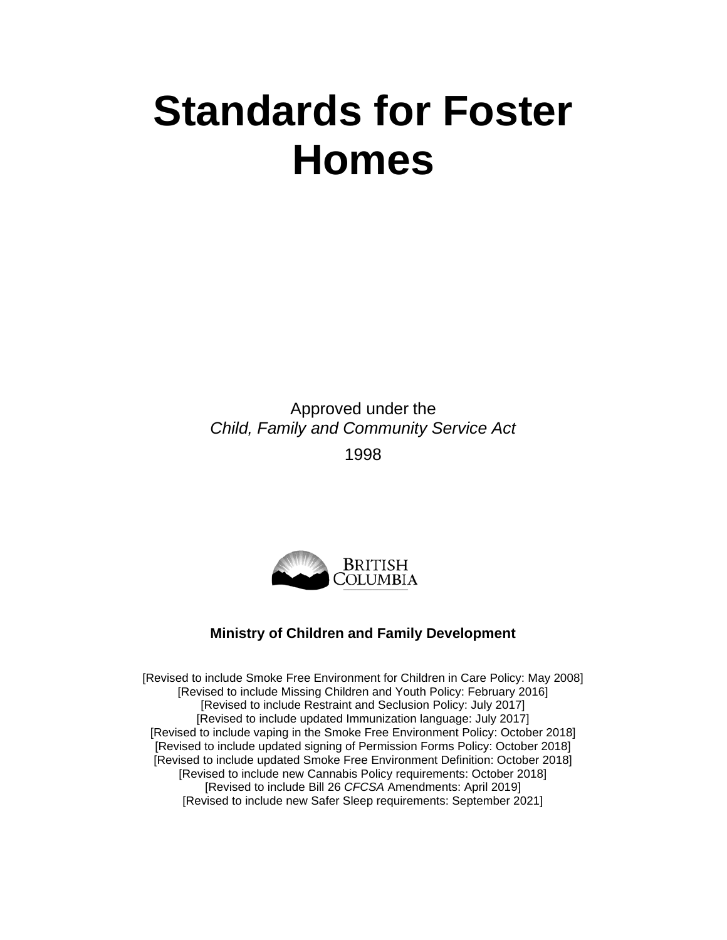# **Standards for Foster Homes**

Approved under the *Child, Family and Community Service Act* 1998



#### **Ministry of Children and Family Development**

[Revised to include Smoke Free Environment for Children in Care Policy: May 2008] [Revised to include Missing Children and Youth Policy: February 2016] [Revised to include Restraint and Seclusion Policy: July 2017] [Revised to include updated Immunization language: July 2017] [Revised to include vaping in the Smoke Free Environment Policy: October 2018] [Revised to include updated signing of Permission Forms Policy: October 2018] [Revised to include updated Smoke Free Environment Definition: October 2018] [Revised to include new Cannabis Policy requirements: October 2018] [Revised to include Bill 26 *CFCSA* Amendments: April 2019] [Revised to include new Safer Sleep requirements: September 2021]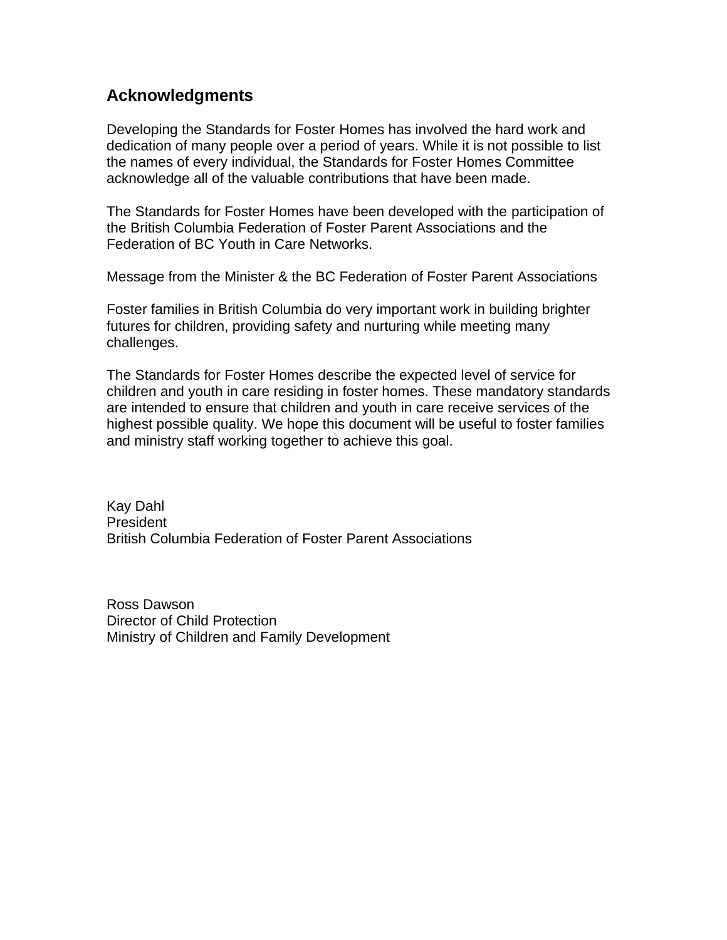### **Acknowledgments**

Developing the Standards for Foster Homes has involved the hard work and dedication of many people over a period of years. While it is not possible to list the names of every individual, the Standards for Foster Homes Committee acknowledge all of the valuable contributions that have been made.

The Standards for Foster Homes have been developed with the participation of the British Columbia Federation of Foster Parent Associations and the Federation of BC Youth in Care Networks.

Message from the Minister & the BC Federation of Foster Parent Associations

Foster families in British Columbia do very important work in building brighter futures for children, providing safety and nurturing while meeting many challenges.

The Standards for Foster Homes describe the expected level of service for children and youth in care residing in foster homes. These mandatory standards are intended to ensure that children and youth in care receive services of the highest possible quality. We hope this document will be useful to foster families and ministry staff working together to achieve this goal.

Kay Dahl President British Columbia Federation of Foster Parent Associations

Ross Dawson Director of Child Protection Ministry of Children and Family Development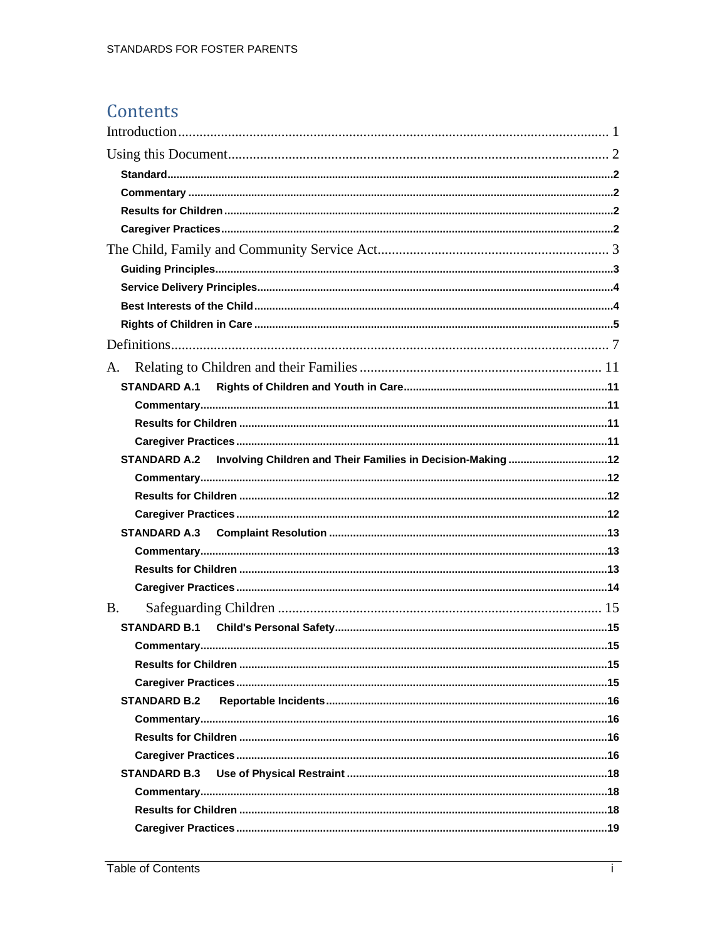## Contents

| A.                                                                       |  |
|--------------------------------------------------------------------------|--|
|                                                                          |  |
|                                                                          |  |
|                                                                          |  |
|                                                                          |  |
| STANDARD A.2 Involving Children and Their Families in Decision-Making 12 |  |
|                                                                          |  |
|                                                                          |  |
|                                                                          |  |
|                                                                          |  |
|                                                                          |  |
|                                                                          |  |
|                                                                          |  |
| <b>B.</b>                                                                |  |
|                                                                          |  |
|                                                                          |  |
|                                                                          |  |
|                                                                          |  |
| <b>STANDARD B.2</b>                                                      |  |
|                                                                          |  |
|                                                                          |  |
|                                                                          |  |
| <b>STANDARD B.3</b>                                                      |  |
|                                                                          |  |
|                                                                          |  |
|                                                                          |  |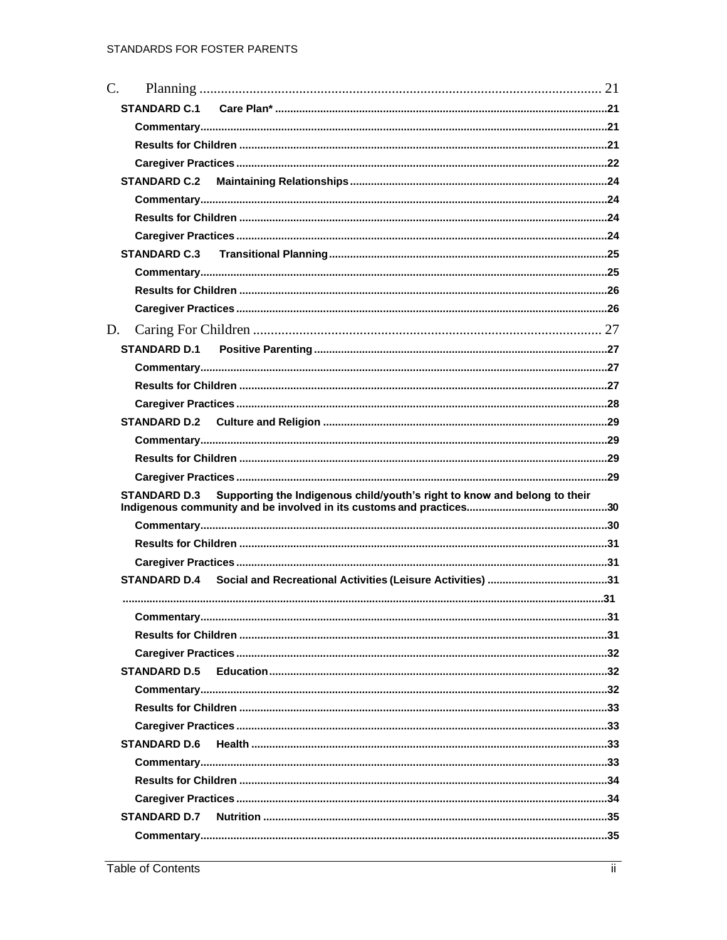| $C_{\cdot}$ |                                                                                                  |  |
|-------------|--------------------------------------------------------------------------------------------------|--|
|             |                                                                                                  |  |
|             |                                                                                                  |  |
|             |                                                                                                  |  |
|             |                                                                                                  |  |
|             |                                                                                                  |  |
|             |                                                                                                  |  |
|             |                                                                                                  |  |
|             |                                                                                                  |  |
|             | <b>STANDARD C.3</b>                                                                              |  |
|             |                                                                                                  |  |
|             |                                                                                                  |  |
|             |                                                                                                  |  |
| D.          |                                                                                                  |  |
|             | <b>STANDARD D.1</b>                                                                              |  |
|             |                                                                                                  |  |
|             |                                                                                                  |  |
|             |                                                                                                  |  |
|             |                                                                                                  |  |
|             |                                                                                                  |  |
|             |                                                                                                  |  |
|             |                                                                                                  |  |
|             |                                                                                                  |  |
|             | Supporting the Indigenous child/youth's right to know and belong to their<br><b>STANDARD D.3</b> |  |
|             |                                                                                                  |  |
|             |                                                                                                  |  |
|             |                                                                                                  |  |
|             |                                                                                                  |  |
|             |                                                                                                  |  |
|             |                                                                                                  |  |
|             |                                                                                                  |  |
|             |                                                                                                  |  |
|             | <b>STANDARD D.5</b>                                                                              |  |
|             |                                                                                                  |  |
|             |                                                                                                  |  |
|             |                                                                                                  |  |
|             | <b>STANDARD D.6</b>                                                                              |  |
|             |                                                                                                  |  |
|             |                                                                                                  |  |
|             |                                                                                                  |  |
|             | <b>STANDARD D.7</b>                                                                              |  |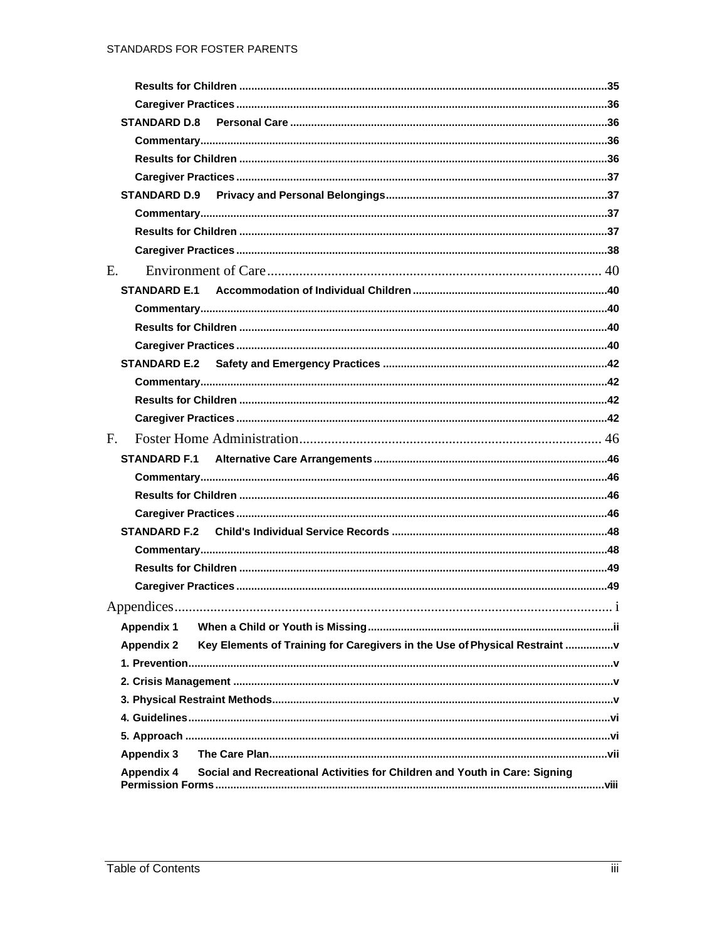| <b>STANDARD D.9</b> |                                                                            |     |
|---------------------|----------------------------------------------------------------------------|-----|
|                     |                                                                            |     |
|                     |                                                                            |     |
|                     |                                                                            |     |
| E.                  |                                                                            |     |
|                     |                                                                            |     |
|                     |                                                                            |     |
|                     |                                                                            |     |
|                     |                                                                            |     |
|                     |                                                                            |     |
|                     |                                                                            |     |
|                     |                                                                            |     |
|                     |                                                                            |     |
| F.                  |                                                                            |     |
|                     |                                                                            |     |
|                     |                                                                            |     |
|                     |                                                                            |     |
|                     |                                                                            |     |
|                     |                                                                            |     |
|                     |                                                                            |     |
|                     |                                                                            |     |
|                     |                                                                            |     |
| Appendices.         |                                                                            | . 1 |
| <b>Appendix 1</b>   |                                                                            |     |
| <b>Appendix 2</b>   | Key Elements of Training for Caregivers in the Use of Physical Restraint   |     |
|                     |                                                                            |     |
|                     |                                                                            |     |
|                     |                                                                            |     |
|                     |                                                                            |     |
|                     |                                                                            |     |
| Appendix 3          |                                                                            |     |
| <b>Appendix 4</b>   | Social and Recreational Activities for Children and Youth in Care: Signing |     |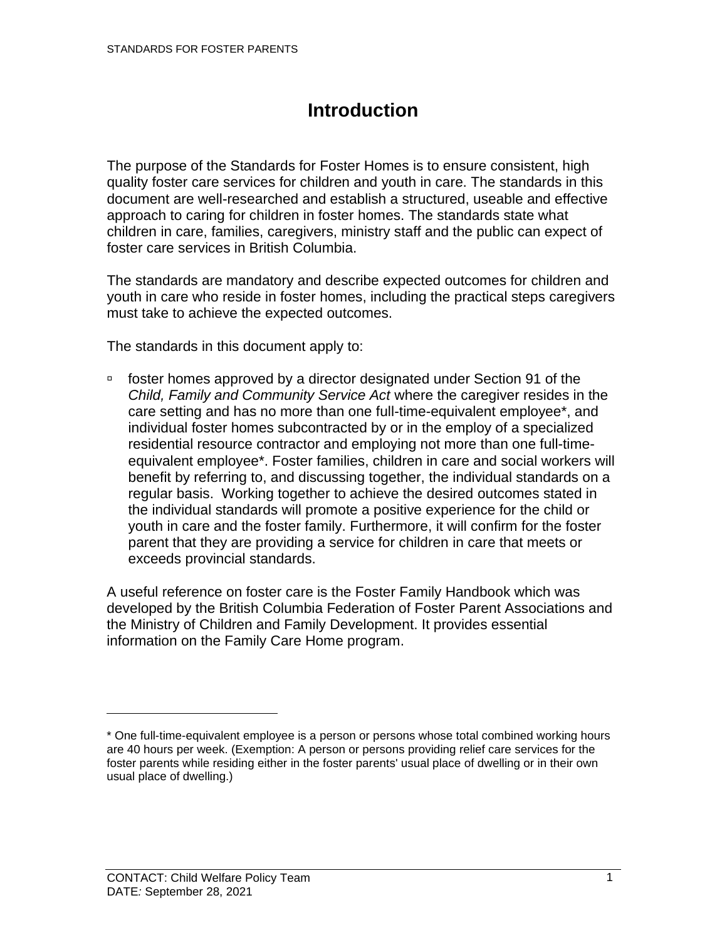# **Introduction**

<span id="page-6-0"></span>The purpose of the Standards for Foster Homes is to ensure consistent, high quality foster care services for children and youth in care. The standards in this document are well-researched and establish a structured, useable and effective approach to caring for children in foster homes. The standards state what children in care, families, caregivers, ministry staff and the public can expect of foster care services in British Columbia.

The standards are mandatory and describe expected outcomes for children and youth in care who reside in foster homes, including the practical steps caregivers must take to achieve the expected outcomes.

The standards in this document apply to:

 foster homes approved by a director designated under Section 91 of the *Child, Family and Community Service Act* where the caregiver resides in the care setting and has no more than one full-time-equivalent employee\*, and individual foster homes subcontracted by or in the employ of a specialized residential resource contractor and employing not more than one full-timeequivalent employee\*. Foster families, children in care and social workers will benefit by referring to, and discussing together, the individual standards on a regular basis. Working together to achieve the desired outcomes stated in the individual standards will promote a positive experience for the child or youth in care and the foster family. Furthermore, it will confirm for the foster parent that they are providing a service for children in care that meets or exceeds provincial standards.

A useful reference on foster care is the Foster Family Handbook which was developed by the British Columbia Federation of Foster Parent Associations and the Ministry of Children and Family Development. It provides essential information on the Family Care Home program.

<sup>\*</sup> One full-time-equivalent employee is a person or persons whose total combined working hours are 40 hours per week. (Exemption: A person or persons providing relief care services for the foster parents while residing either in the foster parents' usual place of dwelling or in their own usual place of dwelling.)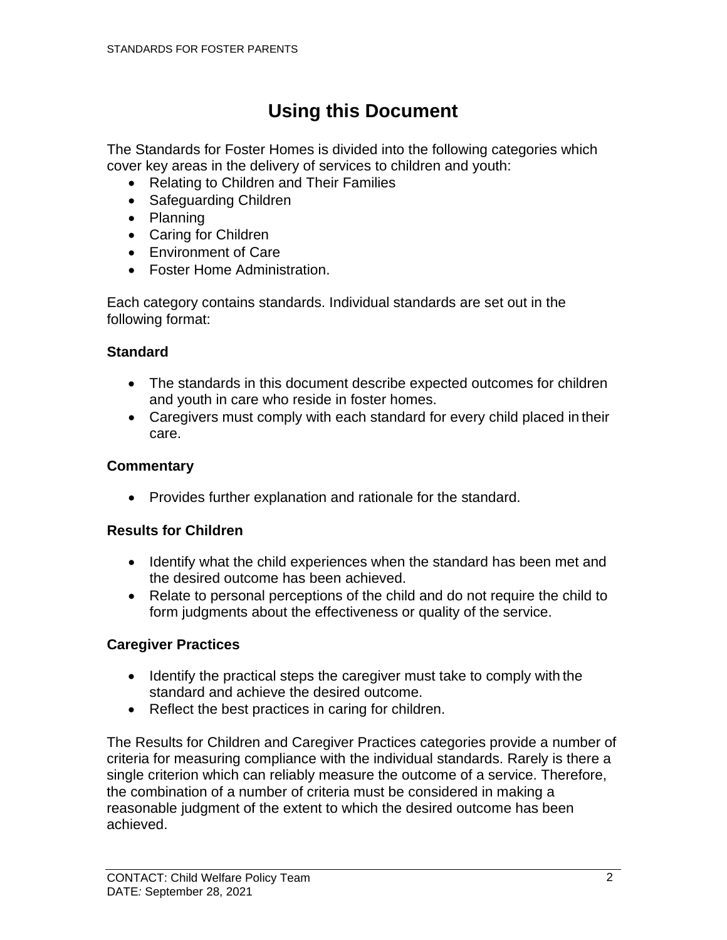# **Using this Document**

<span id="page-7-0"></span>The Standards for Foster Homes is divided into the following categories which cover key areas in the delivery of services to children and youth:

- Relating to Children and Their Families
- Safeguarding Children
- Planning
- Caring for Children
- Environment of Care
- Foster Home Administration.

Each category contains standards. Individual standards are set out in the following format:

#### <span id="page-7-1"></span>**Standard**

- The standards in this document describe expected outcomes for children and youth in care who reside in foster homes.
- Caregivers must comply with each standard for every child placed in their care.

### <span id="page-7-2"></span>**Commentary**

• Provides further explanation and rationale for the standard.

#### <span id="page-7-3"></span>**Results for Children**

- Identify what the child experiences when the standard has been met and the desired outcome has been achieved.
- Relate to personal perceptions of the child and do not require the child to form judgments about the effectiveness or quality of the service.

### <span id="page-7-4"></span>**Caregiver Practices**

- Identify the practical steps the caregiver must take to comply with the standard and achieve the desired outcome.
- Reflect the best practices in caring for children.

The Results for Children and Caregiver Practices categories provide a number of criteria for measuring compliance with the individual standards. Rarely is there a single criterion which can reliably measure the outcome of a service. Therefore, the combination of a number of criteria must be considered in making a reasonable judgment of the extent to which the desired outcome has been achieved.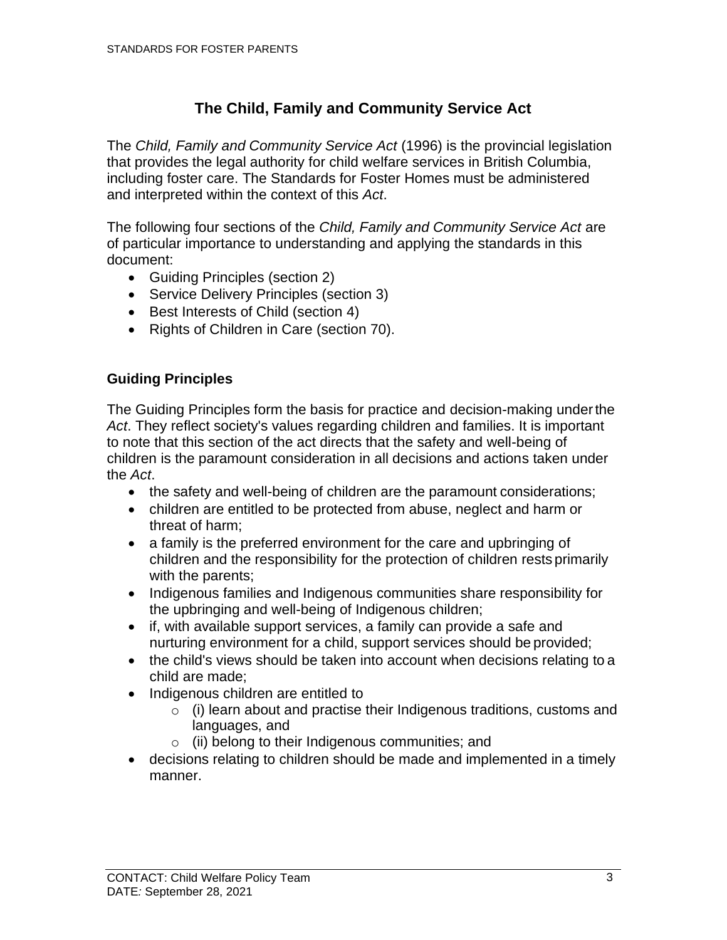### **The Child, Family and Community Service Act**

<span id="page-8-0"></span>The *Child, Family and Community Service Act* (1996) is the provincial legislation that provides the legal authority for child welfare services in British Columbia, including foster care. The Standards for Foster Homes must be administered and interpreted within the context of this *Act*.

The following four sections of the *Child, Family and Community Service Act* are of particular importance to understanding and applying the standards in this document:

- Guiding Principles (section 2)
- Service Delivery Principles (section 3)
- Best Interests of Child (section 4)
- Rights of Children in Care (section 70).

### <span id="page-8-1"></span>**Guiding Principles**

The Guiding Principles form the basis for practice and decision-making underthe *Act*. They reflect society's values regarding children and families. It is important to note that this section of the act directs that the safety and well-being of children is the paramount consideration in all decisions and actions taken under the *Act*.

- the safety and well-being of children are the paramount considerations;
- children are entitled to be protected from abuse, neglect and harm or threat of harm;
- a family is the preferred environment for the care and upbringing of children and the responsibility for the protection of children rests primarily with the parents;
- Indigenous families and Indigenous communities share responsibility for the upbringing and well-being of Indigenous children;
- if, with available support services, a family can provide a safe and nurturing environment for a child, support services should be provided;
- the child's views should be taken into account when decisions relating to a child are made;
- Indigenous children are entitled to
	- $\circ$  (i) learn about and practise their Indigenous traditions, customs and languages, and
	- $\circ$  (ii) belong to their Indigenous communities; and
- decisions relating to children should be made and implemented in a timely manner.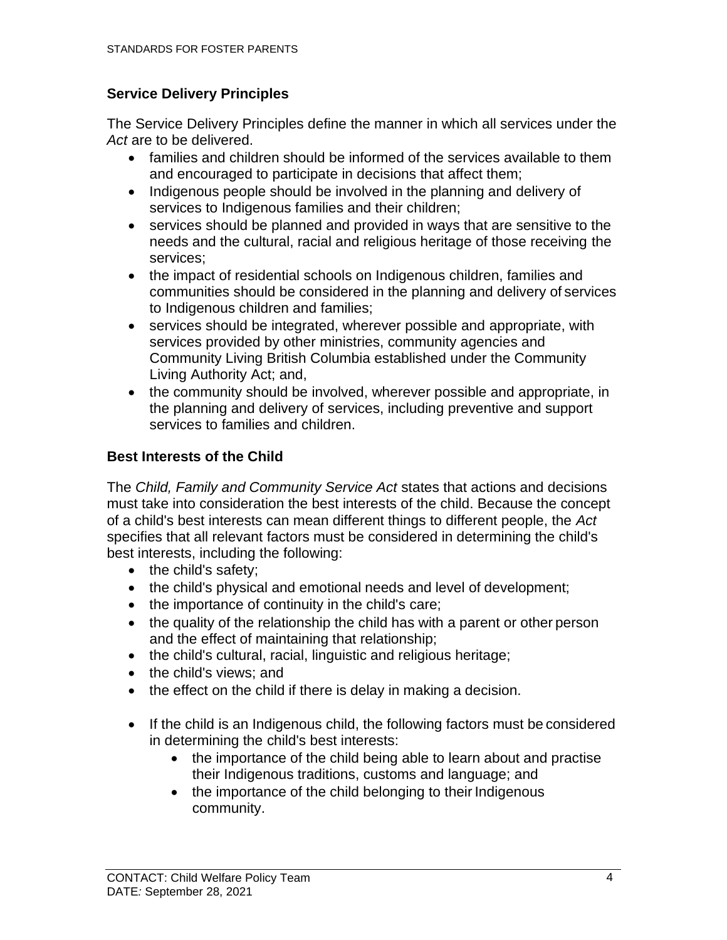### <span id="page-9-0"></span>**Service Delivery Principles**

The Service Delivery Principles define the manner in which all services under the *Act* are to be delivered.

- families and children should be informed of the services available to them and encouraged to participate in decisions that affect them;
- Indigenous people should be involved in the planning and delivery of services to Indigenous families and their children;
- services should be planned and provided in ways that are sensitive to the needs and the cultural, racial and religious heritage of those receiving the services;
- the impact of residential schools on Indigenous children, families and communities should be considered in the planning and delivery of services to Indigenous children and families;
- services should be integrated, wherever possible and appropriate, with services provided by other ministries, community agencies and Community Living British Columbia established under the Community Living Authority Act; and,
- the community should be involved, wherever possible and appropriate, in the planning and delivery of services, including preventive and support services to families and children.

### <span id="page-9-1"></span>**Best Interests of the Child**

The *Child, Family and Community Service Act* states that actions and decisions must take into consideration the best interests of the child. Because the concept of a child's best interests can mean different things to different people, the *Act*  specifies that all relevant factors must be considered in determining the child's best interests, including the following:

- the child's safety:
- the child's physical and emotional needs and level of development;
- the importance of continuity in the child's care;
- the quality of the relationship the child has with a parent or other person and the effect of maintaining that relationship;
- the child's cultural, racial, linguistic and religious heritage;
- the child's views; and
- the effect on the child if there is delay in making a decision.
- If the child is an Indigenous child, the following factors must be considered in determining the child's best interests:
	- the importance of the child being able to learn about and practise their Indigenous traditions, customs and language; and
	- the importance of the child belonging to their Indigenous community.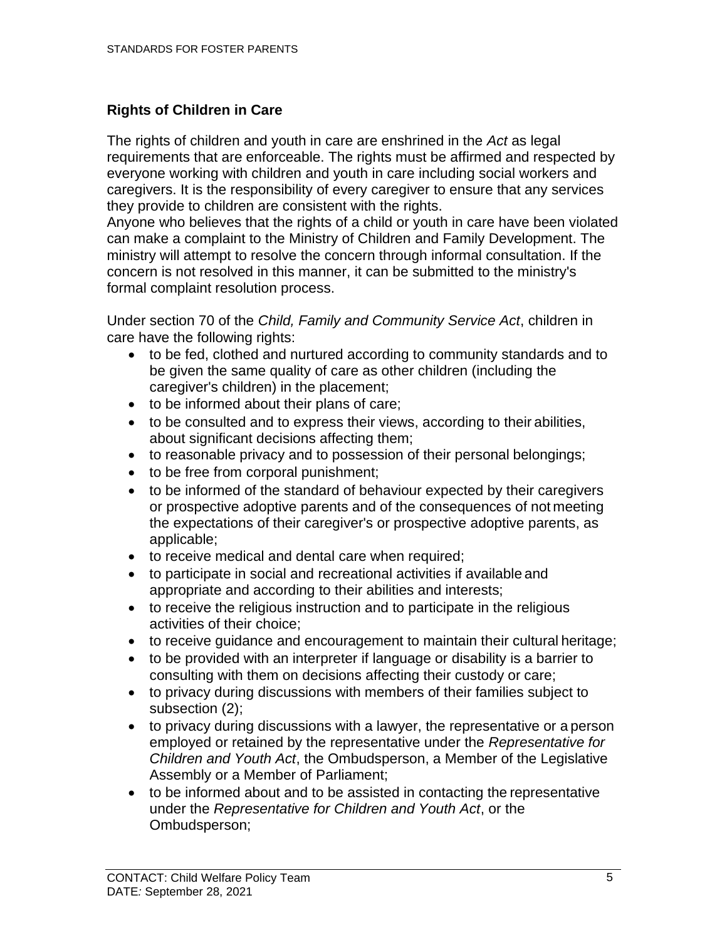#### <span id="page-10-0"></span>**Rights of Children in Care**

The rights of children and youth in care are enshrined in the *Act* as legal requirements that are enforceable. The rights must be affirmed and respected by everyone working with children and youth in care including social workers and caregivers. It is the responsibility of every caregiver to ensure that any services they provide to children are consistent with the rights.

Anyone who believes that the rights of a child or youth in care have been violated can make a complaint to the Ministry of Children and Family Development. The ministry will attempt to resolve the concern through informal consultation. If the concern is not resolved in this manner, it can be submitted to the ministry's formal complaint resolution process.

Under section 70 of the *Child, Family and Community Service Act*, children in care have the following rights:

- to be fed, clothed and nurtured according to community standards and to be given the same quality of care as other children (including the caregiver's children) in the placement;
- to be informed about their plans of care;
- to be consulted and to express their views, according to their abilities, about significant decisions affecting them;
- to reasonable privacy and to possession of their personal belongings;
- to be free from corporal punishment;
- to be informed of the standard of behaviour expected by their caregivers or prospective adoptive parents and of the consequences of not meeting the expectations of their caregiver's or prospective adoptive parents, as applicable;
- to receive medical and dental care when required;
- to participate in social and recreational activities if available and appropriate and according to their abilities and interests;
- to receive the religious instruction and to participate in the religious activities of their choice;
- to receive guidance and encouragement to maintain their cultural heritage;
- to be provided with an interpreter if language or disability is a barrier to consulting with them on decisions affecting their custody or care;
- to privacy during discussions with members of their families subject to subsection (2);
- to privacy during discussions with a lawyer, the representative or a person employed or retained by the representative under the *[Representative for](http://www.bclaws.ca/civix/document/id/complete/statreg/06029_01) [Children and Youth Act](http://www.bclaws.ca/civix/document/id/complete/statreg/06029_01)*, the Ombudsperson, a Member of the Legislative Assembly or a Member of Parliament;
- to be informed about and to be assisted in contacting the representative under the *[Representative for Children and Youth Act](http://www.bclaws.ca/civix/document/id/complete/statreg/06029_01)*, or the Ombudsperson;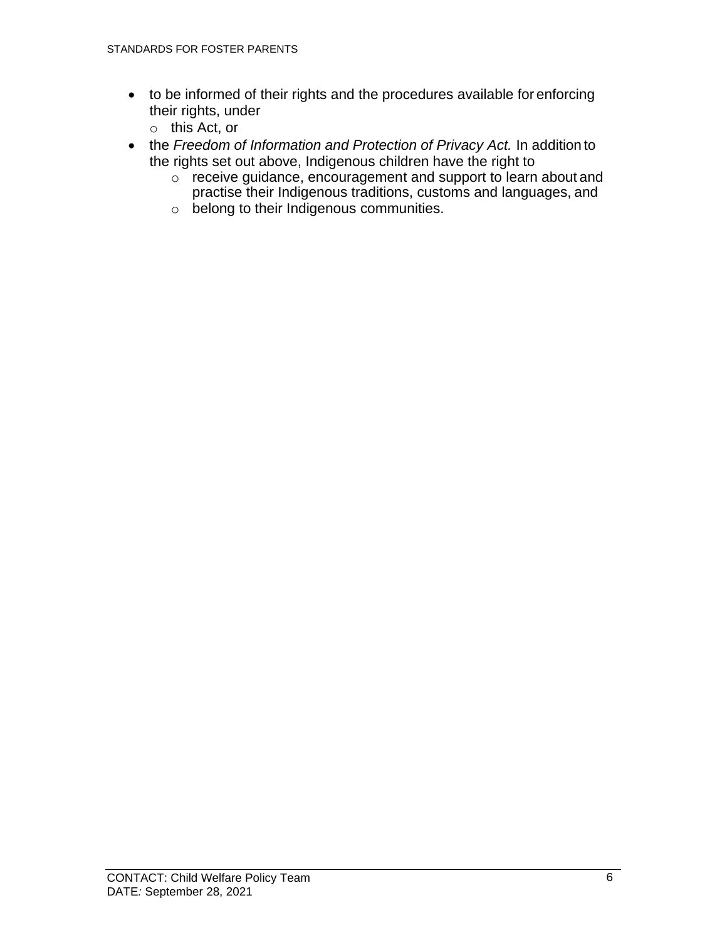- to be informed of their rights and the procedures available for enforcing their rights, under
	- o this Act, or
- the *Freedom of Information and Protection of Privacy Act.* In addition to the rights set out above, Indigenous children have the right to
	- $\circ$  receive guidance, encouragement and support to learn about and practise their Indigenous traditions, customs and languages, and
	- o belong to their Indigenous communities.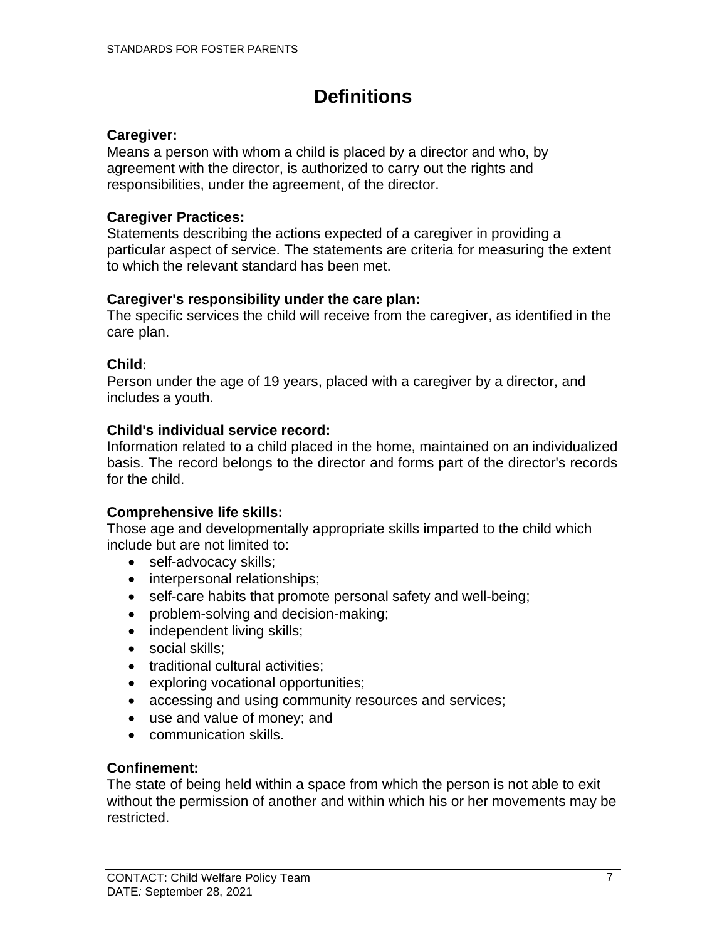# **Definitions**

#### <span id="page-12-0"></span>**Caregiver:**

Means a person with whom a child is placed by a director and who, by agreement with the director, is authorized to carry out the rights and responsibilities, under the agreement, of the director.

#### **Caregiver Practices:**

Statements describing the actions expected of a caregiver in providing a particular aspect of service. The statements are criteria for measuring the extent to which the relevant standard has been met.

#### **Caregiver's responsibility under the care plan:**

The specific services the child will receive from the caregiver, as identified in the care plan.

#### **Child**:

Person under the age of 19 years, placed with a caregiver by a director, and includes a youth.

#### **Child's individual service record:**

Information related to a child placed in the home, maintained on an individualized basis. The record belongs to the director and forms part of the director's records for the child.

#### **Comprehensive life skills:**

Those age and developmentally appropriate skills imparted to the child which include but are not limited to:

- self-advocacy skills;
- interpersonal relationships;
- self-care habits that promote personal safety and well-being;
- problem-solving and decision-making;
- independent living skills;
- social skills:
- traditional cultural activities;
- exploring vocational opportunities;
- accessing and using community resources and services;
- use and value of money; and
- communication skills.

#### **Confinement:**

The state of being held within a space from which the person is not able to exit without the permission of another and within which his or her movements may be restricted.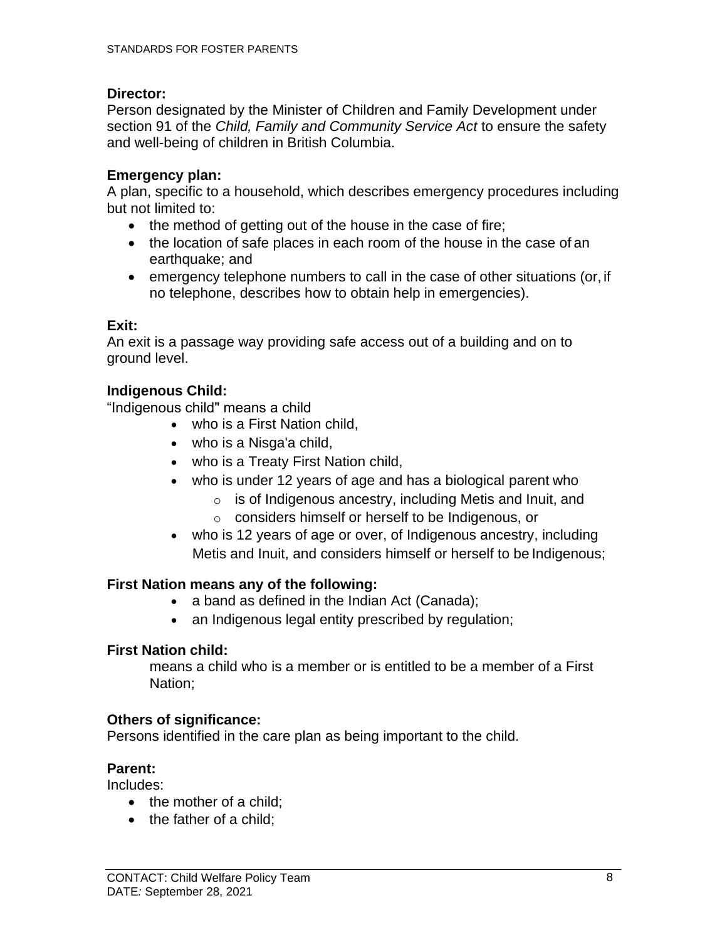#### **Director:**

Person designated by the Minister of Children and Family Development under section 91 of the *Child, Family and Community Service Act* to ensure the safety and well-being of children in British Columbia.

#### **Emergency plan:**

A plan, specific to a household, which describes emergency procedures including but not limited to:

- the method of getting out of the house in the case of fire;
- the location of safe places in each room of the house in the case of an earthquake; and
- emergency telephone numbers to call in the case of other situations (or, if no telephone, describes how to obtain help in emergencies).

#### **Exit:**

An exit is a passage way providing safe access out of a building and on to ground level.

#### **Indigenous Child:**

"Indigenous child" means a child

- who is a First Nation child,
- who is a Nisga'a child,
- who is a Treaty First Nation child,
- who is under 12 years of age and has a biological parent who
	- o is of Indigenous ancestry, including Metis and Inuit, and
	- o considers himself or herself to be Indigenous, or
- who is 12 years of age or over, of Indigenous ancestry, including Metis and Inuit, and considers himself or herself to be Indigenous;

#### **First Nation means any of the following:**

- a band as defined in the Indian Act (Canada);
- an Indigenous legal entity prescribed by regulation;

#### **First Nation child:**

means a child who is a member or is entitled to be a member of a First Nation;

#### **Others of significance:**

Persons identified in the care plan as being important to the child.

#### **Parent:**

Includes:

- the mother of a child;
- the father of a child;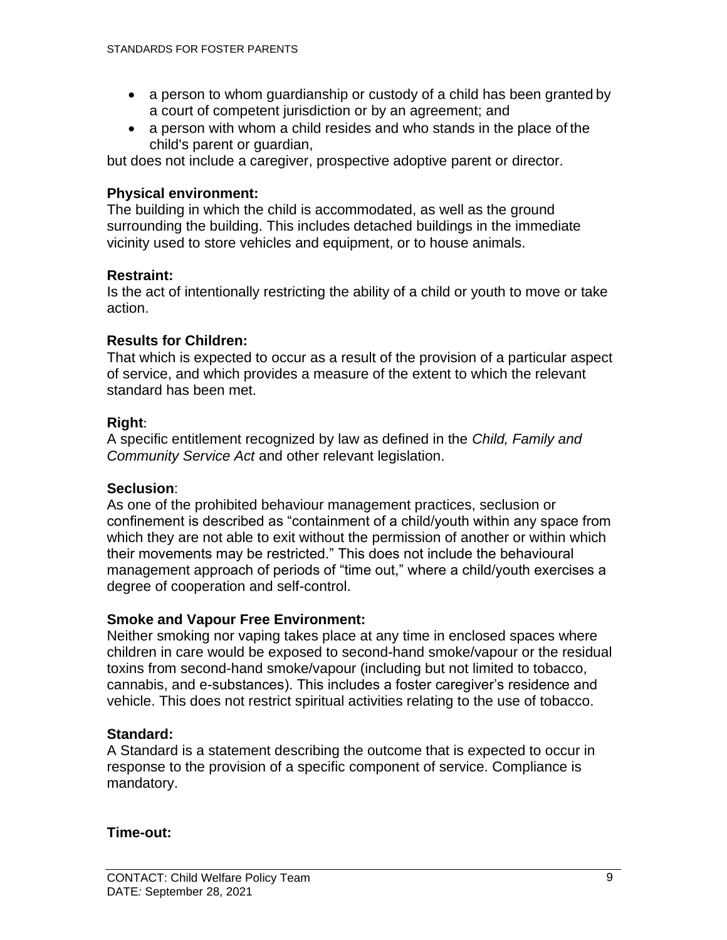- a person to whom guardianship or custody of a child has been granted by a court of competent jurisdiction or by an agreement; and
- a person with whom a child resides and who stands in the place of the child's parent or guardian,

but does not include a caregiver, prospective adoptive parent or director.

#### **Physical environment:**

The building in which the child is accommodated, as well as the ground surrounding the building. This includes detached buildings in the immediate vicinity used to store vehicles and equipment, or to house animals.

#### **Restraint:**

Is the act of intentionally restricting the ability of a child or youth to move or take action.

### **Results for Children:**

That which is expected to occur as a result of the provision of a particular aspect of service, and which provides a measure of the extent to which the relevant standard has been met.

#### **Right**:

A specific entitlement recognized by law as defined in the *Child, Family and Community Service Act* and other relevant legislation.

#### **Seclusion**:

As one of the prohibited behaviour management practices, seclusion or confinement is described as "containment of a child/youth within any space from which they are not able to exit without the permission of another or within which their movements may be restricted." This does not include the behavioural management approach of periods of "time out," where a child/youth exercises a degree of cooperation and self-control.

#### **Smoke and Vapour Free Environment:**

Neither smoking nor vaping takes place at any time in enclosed spaces where children in care would be exposed to second-hand smoke/vapour or the residual toxins from second-hand smoke/vapour (including but not limited to tobacco, cannabis, and e-substances). This includes a foster caregiver's residence and vehicle. This does not restrict spiritual activities relating to the use of tobacco.

#### **Standard:**

A Standard is a statement describing the outcome that is expected to occur in response to the provision of a specific component of service. Compliance is mandatory.

#### **Time-out:**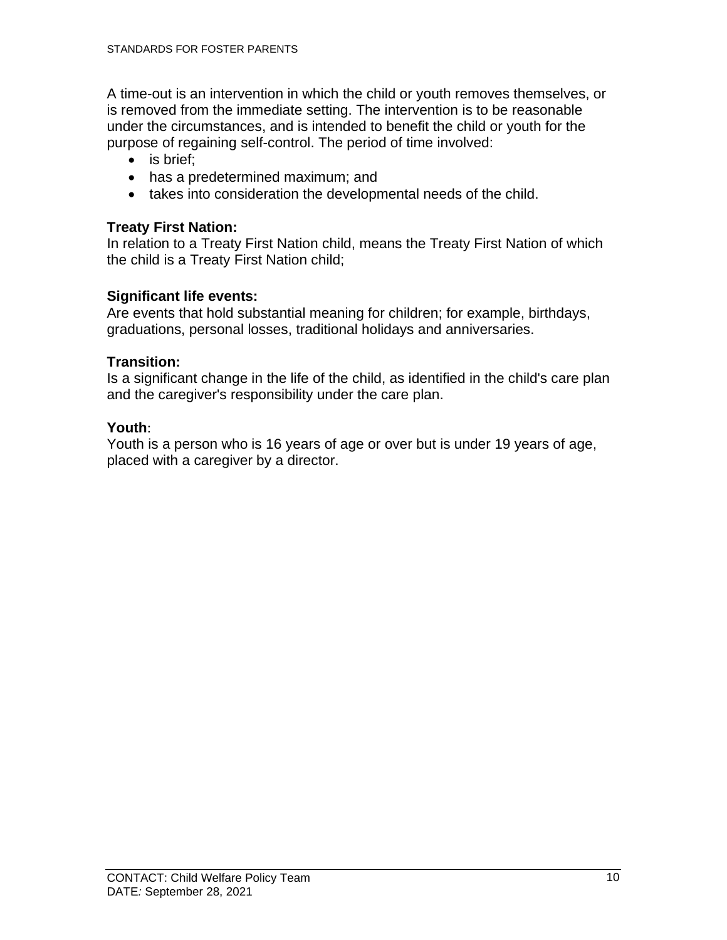A time-out is an intervention in which the child or youth removes themselves, or is removed from the immediate setting. The intervention is to be reasonable under the circumstances, and is intended to benefit the child or youth for the purpose of regaining self-control. The period of time involved:

- is brief:
- has a predetermined maximum; and
- takes into consideration the developmental needs of the child.

### **Treaty First Nation:**

In relation to a Treaty First Nation child, means the Treaty First Nation of which the child is a Treaty First Nation child;

### **Significant life events:**

Are events that hold substantial meaning for children; for example, birthdays, graduations, personal losses, traditional holidays and anniversaries.

### **Transition:**

Is a significant change in the life of the child, as identified in the child's care plan and the caregiver's responsibility under the care plan.

### **Youth**:

Youth is a person who is 16 years of age or over but is under 19 years of age, placed with a caregiver by a director.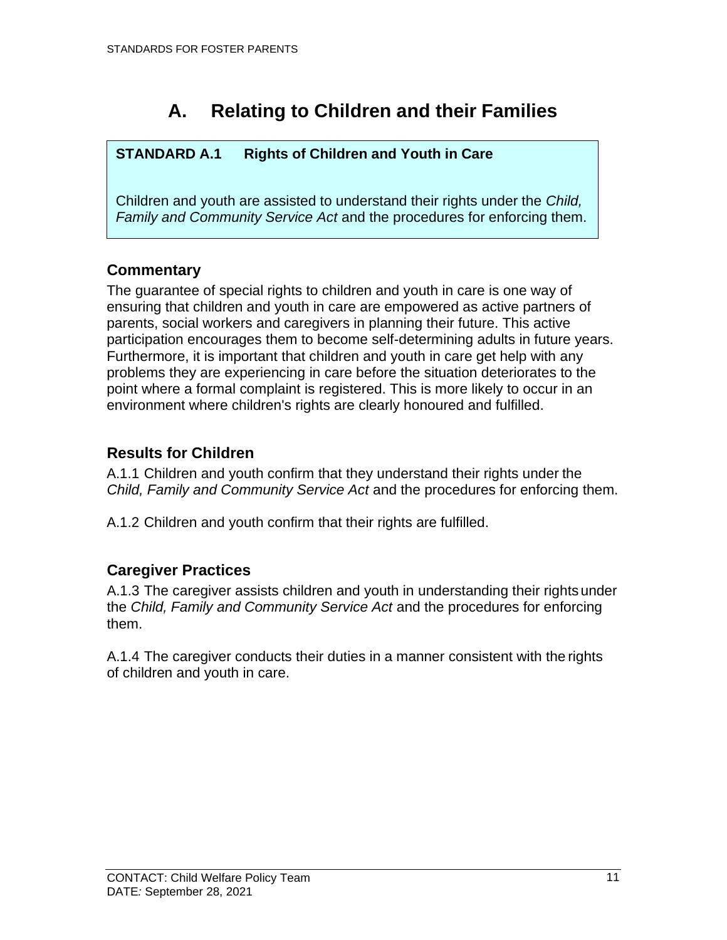# **A. Relating to Children and their Families**

### <span id="page-16-0"></span>**STANDARD A.1 Rights of Children and Youth in Care**

Children and youth are assisted to understand their rights under the *Child, Family and Community Service Act* and the procedures for enforcing them.

### <span id="page-16-1"></span>**Commentary**

The guarantee of special rights to children and youth in care is one way of ensuring that children and youth in care are empowered as active partners of parents, social workers and caregivers in planning their future. This active participation encourages them to become self-determining adults in future years. Furthermore, it is important that children and youth in care get help with any problems they are experiencing in care before the situation deteriorates to the point where a formal complaint is registered. This is more likely to occur in an environment where children's rights are clearly honoured and fulfilled.

### <span id="page-16-2"></span>**Results for Children**

A.1.1 Children and youth confirm that they understand their rights under the *Child, Family and Community Service Act* and the procedures for enforcing them.

A.1.2 Children and youth confirm that their rights are fulfilled.

### <span id="page-16-3"></span>**Caregiver Practices**

A.1.3 The caregiver assists children and youth in understanding their rightsunder the *Child, Family and Community Service Act* and the procedures for enforcing them.

A.1.4 The caregiver conducts their duties in a manner consistent with the rights of children and youth in care.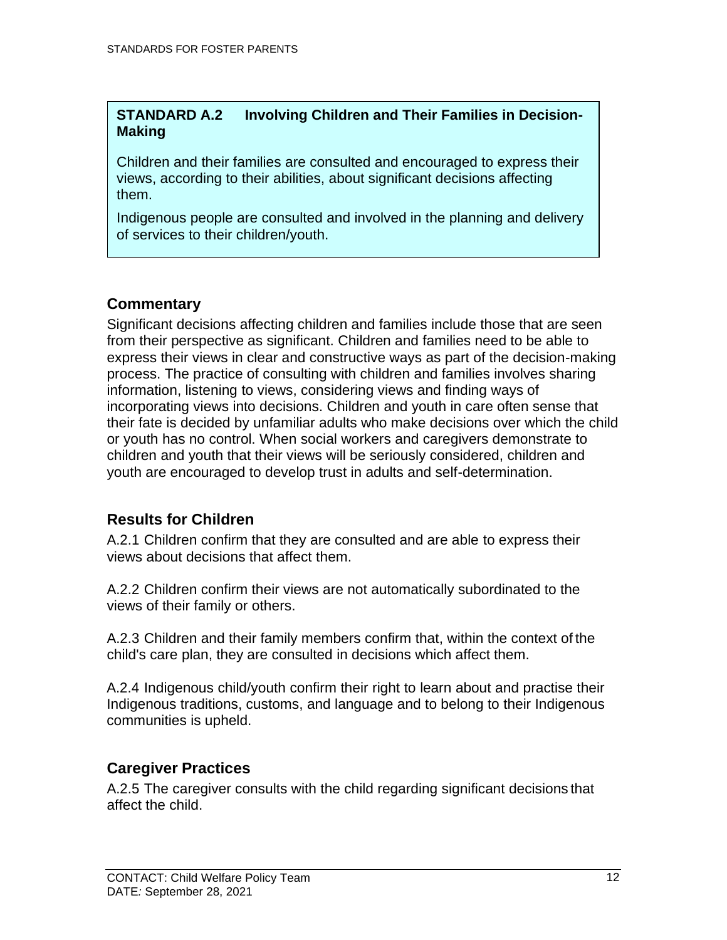#### **STANDARD A.2 Involving Children and Their Families in Decision-Making**

Children and their families are consulted and encouraged to express their views, according to their abilities, about significant decisions affecting them.

Indigenous people are consulted and involved in the planning and delivery of services to their children/youth.

### <span id="page-17-0"></span>**Commentary**

Significant decisions affecting children and families include those that are seen from their perspective as significant. Children and families need to be able to express their views in clear and constructive ways as part of the decision-making process. The practice of consulting with children and families involves sharing information, listening to views, considering views and finding ways of incorporating views into decisions. Children and youth in care often sense that their fate is decided by unfamiliar adults who make decisions over which the child or youth has no control. When social workers and caregivers demonstrate to children and youth that their views will be seriously considered, children and youth are encouraged to develop trust in adults and self-determination.

### <span id="page-17-1"></span>**Results for Children**

A.2.1 Children confirm that they are consulted and are able to express their views about decisions that affect them.

A.2.2 Children confirm their views are not automatically subordinated to the views of their family or others.

A.2.3 Children and their family members confirm that, within the context of the child's care plan, they are consulted in decisions which affect them.

A.2.4 Indigenous child/youth confirm their right to learn about and practise their Indigenous traditions, customs, and language and to belong to their Indigenous communities is upheld.

### <span id="page-17-2"></span>**Caregiver Practices**

A.2.5 The caregiver consults with the child regarding significant decisions that affect the child.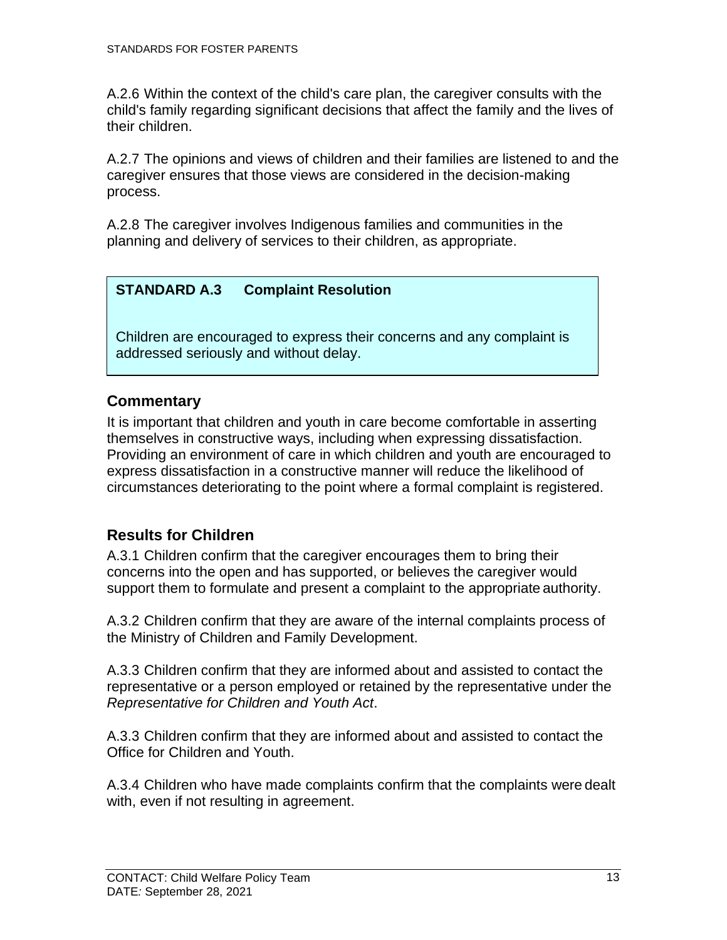A.2.6 Within the context of the child's care plan, the caregiver consults with the child's family regarding significant decisions that affect the family and the lives of their children.

A.2.7 The opinions and views of children and their families are listened to and the caregiver ensures that those views are considered in the decision-making process.

A.2.8 The caregiver involves Indigenous families and communities in the planning and delivery of services to their children, as appropriate.

### **STANDARD A.3 Complaint Resolution**

Children are encouraged to express their concerns and any complaint is addressed seriously and without delay.

### <span id="page-18-0"></span>**Commentary**

It is important that children and youth in care become comfortable in asserting themselves in constructive ways, including when expressing dissatisfaction. Providing an environment of care in which children and youth are encouraged to express dissatisfaction in a constructive manner will reduce the likelihood of circumstances deteriorating to the point where a formal complaint is registered.

### <span id="page-18-1"></span>**Results for Children**

A.3.1 Children confirm that the caregiver encourages them to bring their concerns into the open and has supported, or believes the caregiver would support them to formulate and present a complaint to the appropriate authority.

A.3.2 Children confirm that they are aware of the internal complaints process of the Ministry of Children and Family Development.

A.3.3 Children confirm that they are informed about and assisted to contact the representative or a person employed or retained by the representative under th[e](http://www.bclaws.ca/civix/document/id/complete/statreg/06029_01) *[Representative for Children and Youth Act](http://www.bclaws.ca/civix/document/id/complete/statreg/06029_01)*.

A.3.3 Children confirm that they are informed about and assisted to contact the Office for Children and Youth.

A.3.4 Children who have made complaints confirm that the complaints were dealt with, even if not resulting in agreement.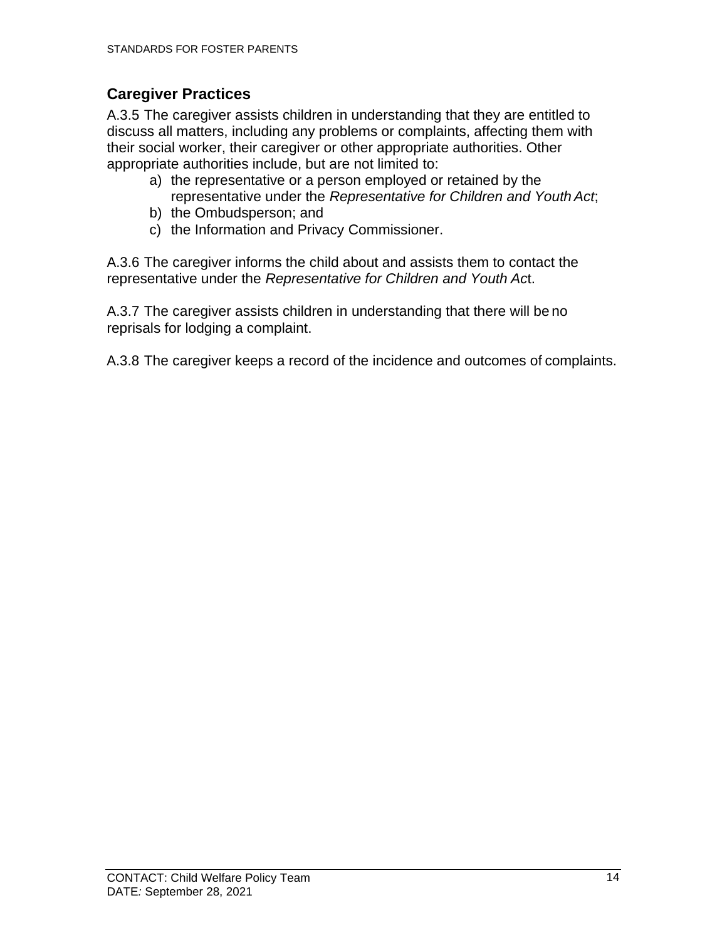### <span id="page-19-0"></span>**Caregiver Practices**

A.3.5 The caregiver assists children in understanding that they are entitled to discuss all matters, including any problems or complaints, affecting them with their social worker, their caregiver or other appropriate authorities. Other appropriate authorities include, but are not limited to:

- a) the representative or a person employed or retained by the representative under the *[Representative for Children and Youth](http://www.bclaws.ca/civix/document/id/complete/statreg/06029_01) Act*;
- b) the Ombudsperson; and
- c) the Information and Privacy Commissioner.

A.3.6 The caregiver informs the child about and assists them to contact the representative under the *[Representative for Children and Youth](http://www.bclaws.ca/civix/document/id/complete/statreg/06029_01) Ac*t.

A.3.7 The caregiver assists children in understanding that there will be no reprisals for lodging a complaint.

A.3.8 The caregiver keeps a record of the incidence and outcomes of complaints.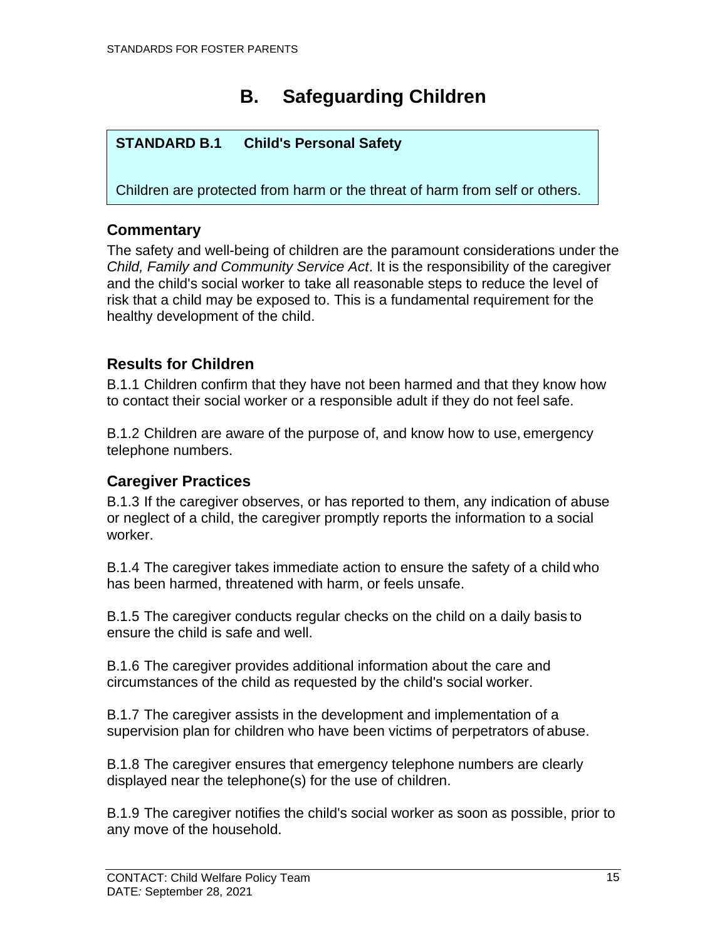# **B. Safeguarding Children**

### <span id="page-20-0"></span>**STANDARD B.1 Child's Personal Safety**

Children are protected from harm or the threat of harm from self or others.

### <span id="page-20-1"></span>**Commentary**

The safety and well-being of children are the paramount considerations under the *Child, Family and Community Service Act*. It is the responsibility of the caregiver and the child's social worker to take all reasonable steps to reduce the level of risk that a child may be exposed to. This is a fundamental requirement for the healthy development of the child.

### <span id="page-20-2"></span>**Results for Children**

B.1.1 Children confirm that they have not been harmed and that they know how to contact their social worker or a responsible adult if they do not feel safe.

B.1.2 Children are aware of the purpose of, and know how to use, emergency telephone numbers.

### <span id="page-20-3"></span>**Caregiver Practices**

B.1.3 If the caregiver observes, or has reported to them, any indication of abuse or neglect of a child, the caregiver promptly reports the information to a social worker.

B.1.4 The caregiver takes immediate action to ensure the safety of a child who has been harmed, threatened with harm, or feels unsafe.

B.1.5 The caregiver conducts regular checks on the child on a daily basis to ensure the child is safe and well.

B.1.6 The caregiver provides additional information about the care and circumstances of the child as requested by the child's social worker.

B.1.7 The caregiver assists in the development and implementation of a supervision plan for children who have been victims of perpetrators of abuse.

B.1.8 The caregiver ensures that emergency telephone numbers are clearly displayed near the telephone(s) for the use of children.

B.1.9 The caregiver notifies the child's social worker as soon as possible, prior to any move of the household.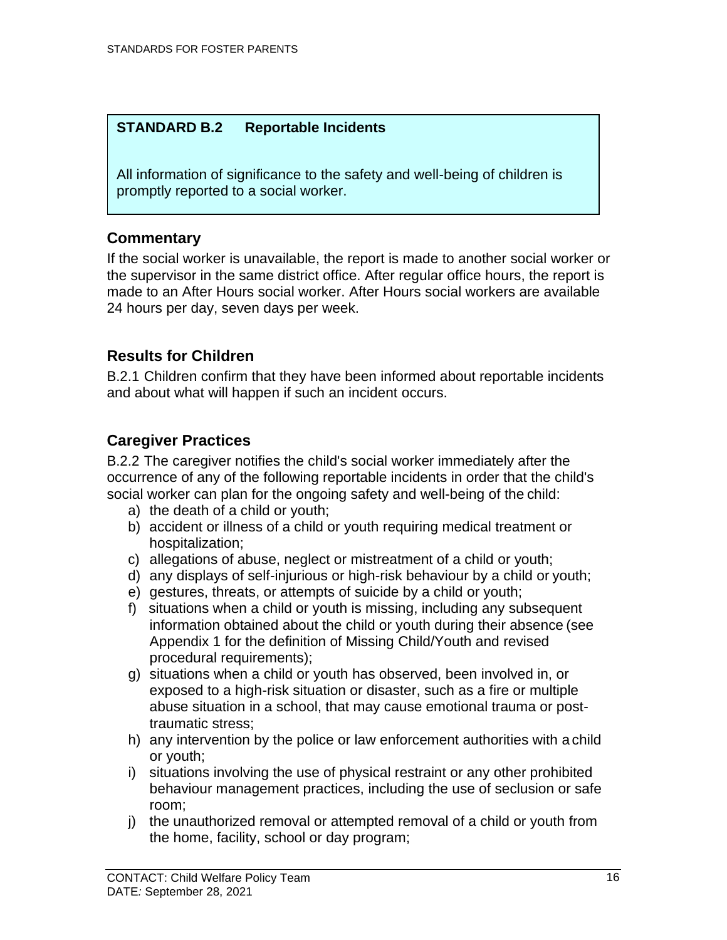### **STANDARD B.2 Reportable Incidents**

All information of significance to the safety and well-being of children is promptly reported to a social worker.

#### <span id="page-21-0"></span>**Commentary**

If the social worker is unavailable, the report is made to another social worker or the supervisor in the same district office. After regular office hours, the report is made to an After Hours social worker. After Hours social workers are available 24 hours per day, seven days per week.

### <span id="page-21-1"></span>**Results for Children**

B.2.1 Children confirm that they have been informed about reportable incidents and about what will happen if such an incident occurs.

### <span id="page-21-2"></span>**Caregiver Practices**

B.2.2 The caregiver notifies the child's social worker immediately after the occurrence of any of the following reportable incidents in order that the child's social worker can plan for the ongoing safety and well-being of the child:

- a) the death of a child or youth;
- b) accident or illness of a child or youth requiring medical treatment or hospitalization;
- c) allegations of abuse, neglect or mistreatment of a child or youth;
- d) any displays of self-injurious or high-risk behaviour by a child or youth;
- e) gestures, threats, or attempts of suicide by a child or youth;
- f) situations when a child or youth is missing, including any subsequent information obtained about the child or youth during their absence (see Appendix 1 for the definition of Missing Child/Youth and revised procedural requirements);
- g) situations when a child or youth has observed, been involved in, or exposed to a high-risk situation or disaster, such as a fire or multiple abuse situation in a school, that may cause emotional trauma or posttraumatic stress;
- h) any intervention by the police or law enforcement authorities with a child or youth;
- i) situations involving the use of physical restraint or any other prohibited behaviour management practices, including the use of seclusion or safe room;
- j) the unauthorized removal or attempted removal of a child or youth from the home, facility, school or day program;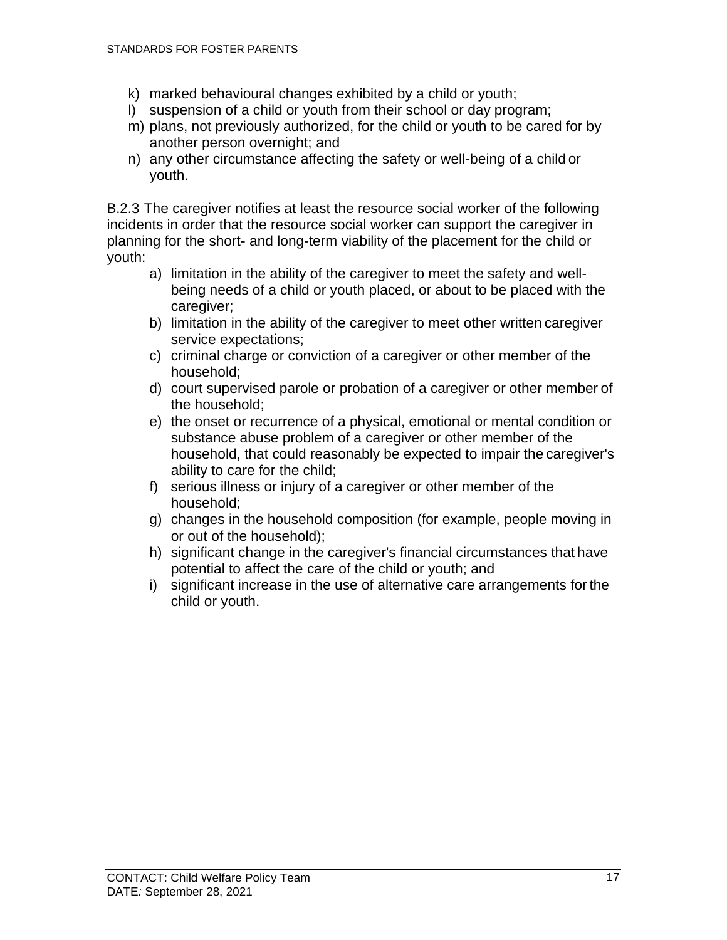- k) marked behavioural changes exhibited by a child or youth;
- l) suspension of a child or youth from their school or day program;
- m) plans, not previously authorized, for the child or youth to be cared for by another person overnight; and
- n) any other circumstance affecting the safety or well-being of a child or youth.

B.2.3 The caregiver notifies at least the resource social worker of the following incidents in order that the resource social worker can support the caregiver in planning for the short- and long-term viability of the placement for the child or youth:

- a) limitation in the ability of the caregiver to meet the safety and wellbeing needs of a child or youth placed, or about to be placed with the caregiver;
- b) limitation in the ability of the caregiver to meet other written caregiver service expectations;
- c) criminal charge or conviction of a caregiver or other member of the household;
- d) court supervised parole or probation of a caregiver or other member of the household;
- e) the onset or recurrence of a physical, emotional or mental condition or substance abuse problem of a caregiver or other member of the household, that could reasonably be expected to impair the caregiver's ability to care for the child;
- f) serious illness or injury of a caregiver or other member of the household;
- g) changes in the household composition (for example, people moving in or out of the household);
- h) significant change in the caregiver's financial circumstances that have potential to affect the care of the child or youth; and
- i) significant increase in the use of alternative care arrangements forthe child or youth.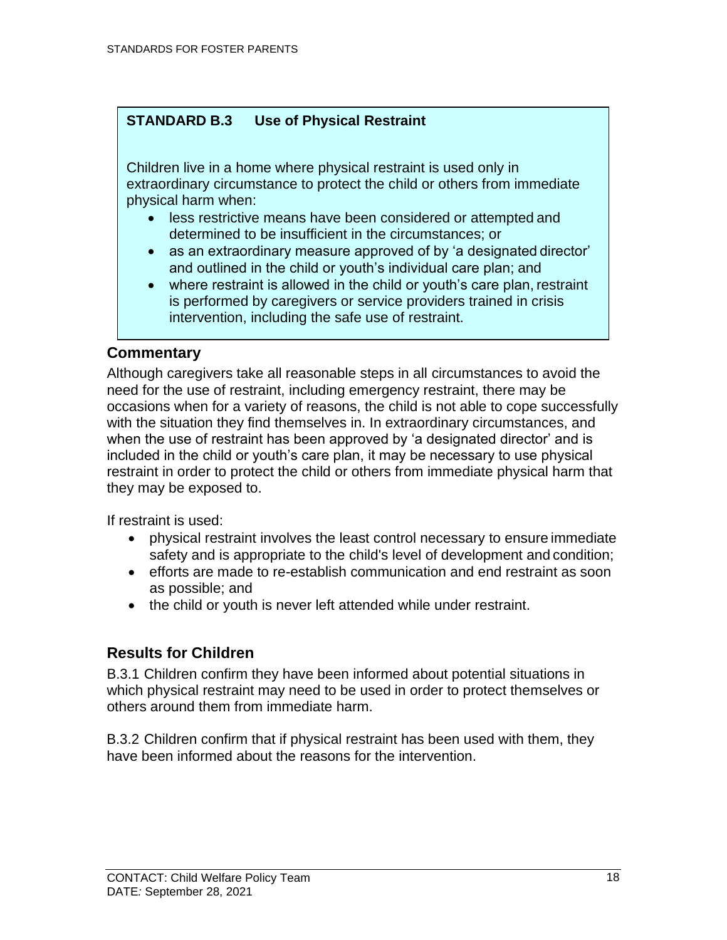### **STANDARD B.3 Use of Physical Restraint**

Children live in a home where physical restraint is used only in extraordinary circumstance to protect the child or others from immediate physical harm when:

- less restrictive means have been considered or attempted and determined to be insufficient in the circumstances; or
- as an extraordinary measure approved of by 'a designated director' and outlined in the child or youth's individual care plan; and
- where restraint is allowed in the child or youth's care plan, restraint is performed by caregivers or service providers trained in crisis intervention, including the safe use of restraint.

#### <span id="page-23-0"></span>**Commentary**

Although caregivers take all reasonable steps in all circumstances to avoid the need for the use of restraint, including emergency restraint, there may be occasions when for a variety of reasons, the child is not able to cope successfully with the situation they find themselves in. In extraordinary circumstances, and when the use of restraint has been approved by 'a designated director' and is included in the child or youth's care plan, it may be necessary to use physical restraint in order to protect the child or others from immediate physical harm that they may be exposed to.

If restraint is used:

- physical restraint involves the least control necessary to ensure immediate safety and is appropriate to the child's level of development and condition;
- efforts are made to re-establish communication and end restraint as soon as possible; and
- the child or youth is never left attended while under restraint.

### <span id="page-23-1"></span>**Results for Children**

B.3.1 Children confirm they have been informed about potential situations in which physical restraint may need to be used in order to protect themselves or others around them from immediate harm.

B.3.2 Children confirm that if physical restraint has been used with them, they have been informed about the reasons for the intervention.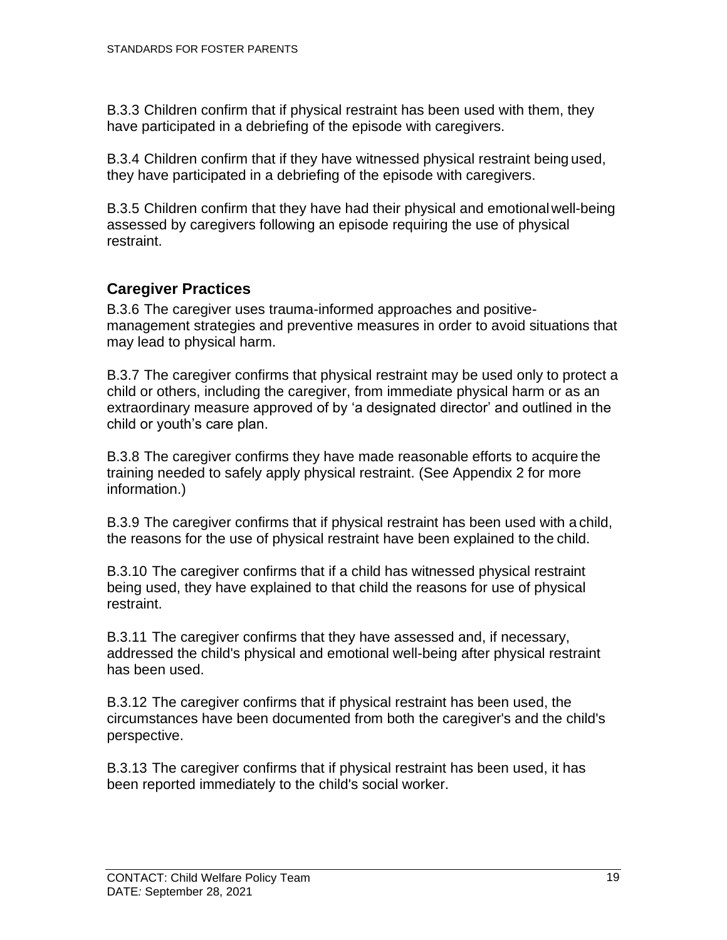B.3.3 Children confirm that if physical restraint has been used with them, they have participated in a debriefing of the episode with caregivers.

B.3.4 Children confirm that if they have witnessed physical restraint being used, they have participated in a debriefing of the episode with caregivers.

B.3.5 Children confirm that they have had their physical and emotionalwell-being assessed by caregivers following an episode requiring the use of physical restraint.

### <span id="page-24-0"></span>**Caregiver Practices**

B.3.6 The caregiver uses trauma-informed approaches and positivemanagement strategies and preventive measures in order to avoid situations that may lead to physical harm.

B.3.7 The caregiver confirms that physical restraint may be used only to protect a child or others, including the caregiver, from immediate physical harm or as an extraordinary measure approved of by 'a designated director' and outlined in the child or youth's care plan.

B.3.8 The caregiver confirms they have made reasonable efforts to acquire the training needed to safely apply physical restraint. (See Appendix 2 for more information.)

B.3.9 The caregiver confirms that if physical restraint has been used with a child, the reasons for the use of physical restraint have been explained to the child.

B.3.10 The caregiver confirms that if a child has witnessed physical restraint being used, they have explained to that child the reasons for use of physical restraint.

B.3.11 The caregiver confirms that they have assessed and, if necessary, addressed the child's physical and emotional well-being after physical restraint has been used.

B.3.12 The caregiver confirms that if physical restraint has been used, the circumstances have been documented from both the caregiver's and the child's perspective.

B.3.13 The caregiver confirms that if physical restraint has been used, it has been reported immediately to the child's social worker.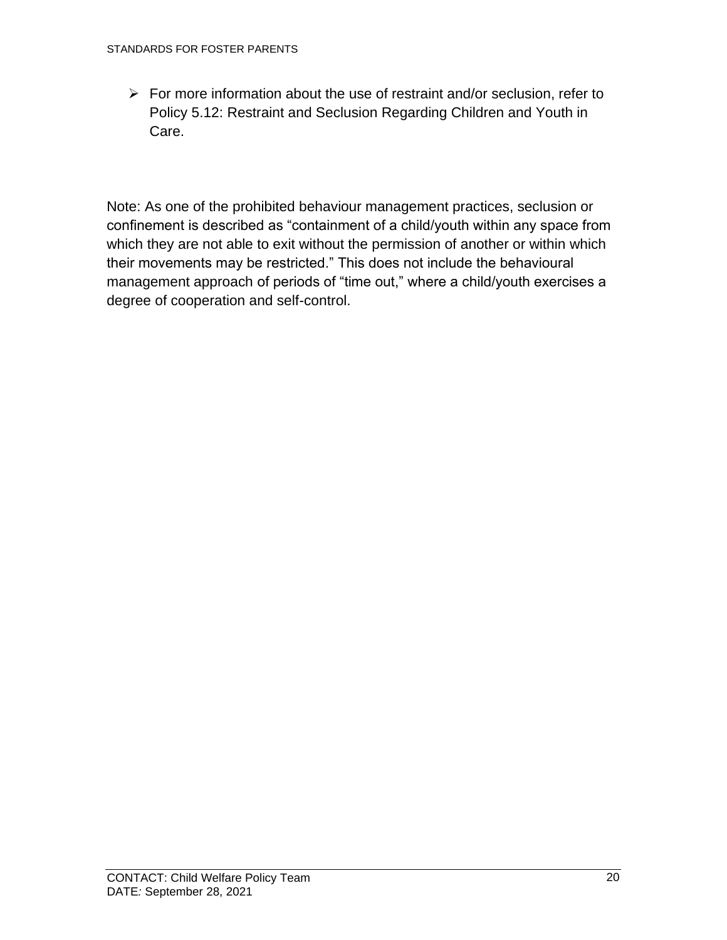$\triangleright$  For more information about the use of restraint and/or seclusion, refer to Policy 5.12: Restraint and Seclusion Regarding Children and Youth in Care.

Note: As one of the prohibited behaviour management practices, seclusion or confinement is described as "containment of a child/youth within any space from which they are not able to exit without the permission of another or within which their movements may be restricted." This does not include the behavioural management approach of periods of "time out," where a child/youth exercises a degree of cooperation and self-control.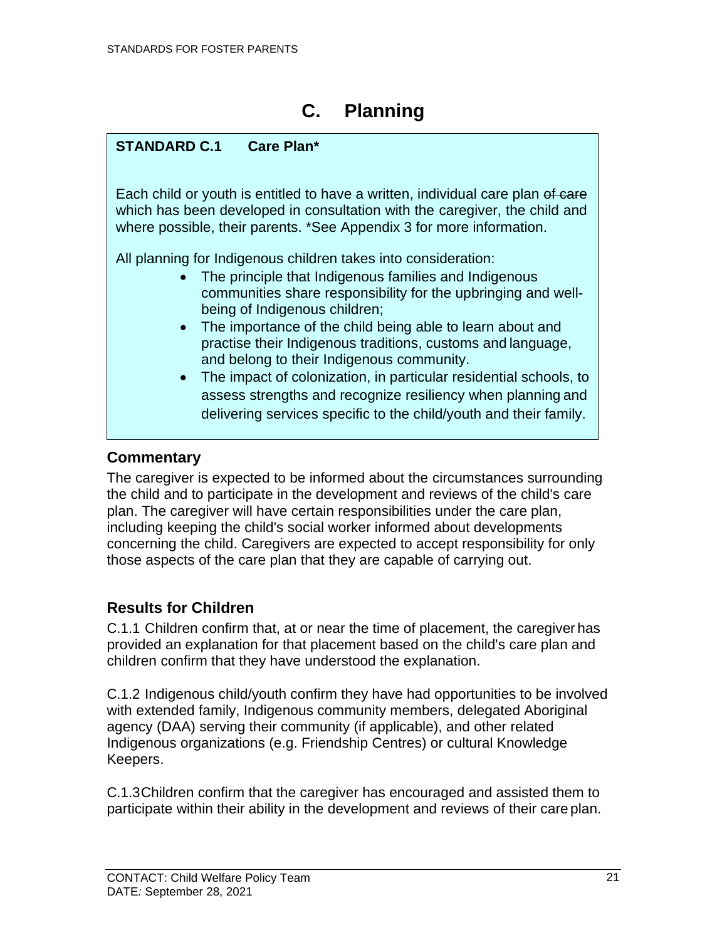# **C. Planning**

### <span id="page-26-0"></span>**STANDARD C.1 Care Plan\***

Each child or youth is entitled to have a written, individual care plan of care which has been developed in consultation with the caregiver, the child and where possible, their parents. \*See Appendix 3 for more information.

All planning for Indigenous children takes into consideration:

- The principle that Indigenous families and Indigenous communities share responsibility for the upbringing and wellbeing of Indigenous children;
- The importance of the child being able to learn about and practise their Indigenous traditions, customs and language, and belong to their Indigenous community.
- <span id="page-26-1"></span>• The impact of colonization, in particular residential schools, to assess strengths and recognize resiliency when planning and delivering services specific to the child/youth and their family.

### **Commentary**

The caregiver is expected to be informed about the circumstances surrounding the child and to participate in the development and reviews of the child's care plan. The caregiver will have certain responsibilities under the care plan, including keeping the child's social worker informed about developments concerning the child. Caregivers are expected to accept responsibility for only those aspects of the care plan that they are capable of carrying out.

### <span id="page-26-2"></span>**Results for Children**

C.1.1 Children confirm that, at or near the time of placement, the caregiver has provided an explanation for that placement based on the child's care plan and children confirm that they have understood the explanation.

C.1.2 Indigenous child/youth confirm they have had opportunities to be involved with extended family, Indigenous community members, delegated Aboriginal agency (DAA) serving their community (if applicable), and other related Indigenous organizations (e.g. Friendship Centres) or cultural Knowledge Keepers.

C.1.3Children confirm that the caregiver has encouraged and assisted them to participate within their ability in the development and reviews of their care plan.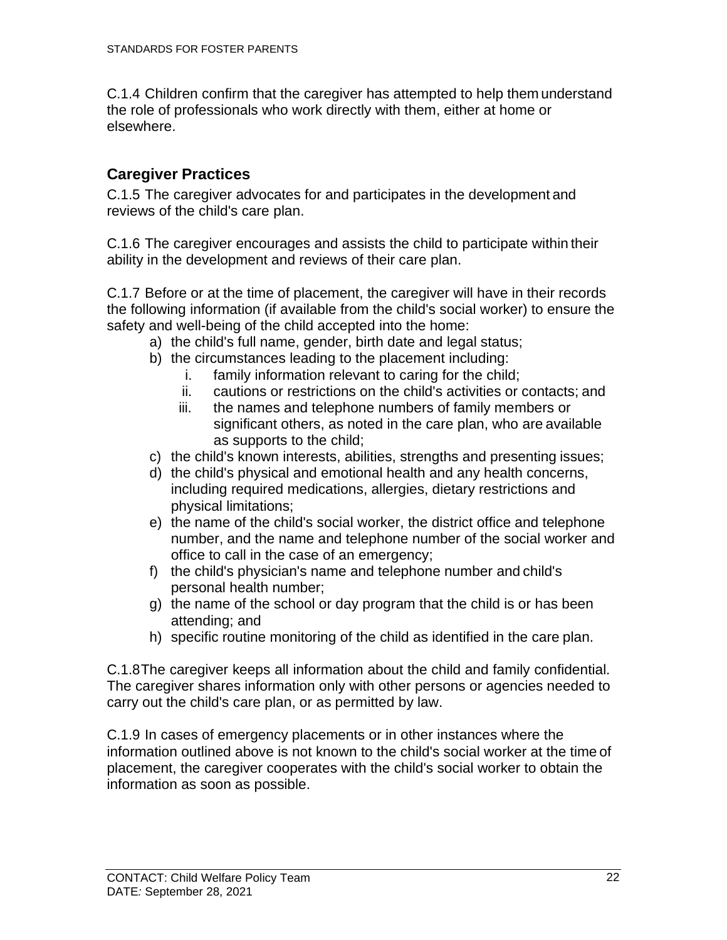C.1.4 Children confirm that the caregiver has attempted to help them understand the role of professionals who work directly with them, either at home or elsewhere.

### <span id="page-27-0"></span>**Caregiver Practices**

C.1.5 The caregiver advocates for and participates in the development and reviews of the child's care plan.

C.1.6 The caregiver encourages and assists the child to participate within their ability in the development and reviews of their care plan.

C.1.7 Before or at the time of placement, the caregiver will have in their records the following information (if available from the child's social worker) to ensure the safety and well-being of the child accepted into the home:

- a) the child's full name, gender, birth date and legal status;
- b) the circumstances leading to the placement including:
	- i. family information relevant to caring for the child;
	- ii. cautions or restrictions on the child's activities or contacts; and
	- iii. the names and telephone numbers of family members or significant others, as noted in the care plan, who are available as supports to the child;
- c) the child's known interests, abilities, strengths and presenting issues;
- d) the child's physical and emotional health and any health concerns, including required medications, allergies, dietary restrictions and physical limitations;
- e) the name of the child's social worker, the district office and telephone number, and the name and telephone number of the social worker and office to call in the case of an emergency;
- f) the child's physician's name and telephone number and child's personal health number;
- g) the name of the school or day program that the child is or has been attending; and
- h) specific routine monitoring of the child as identified in the care plan.

C.1.8The caregiver keeps all information about the child and family confidential. The caregiver shares information only with other persons or agencies needed to carry out the child's care plan, or as permitted by law.

C.1.9 In cases of emergency placements or in other instances where the information outlined above is not known to the child's social worker at the time of placement, the caregiver cooperates with the child's social worker to obtain the information as soon as possible.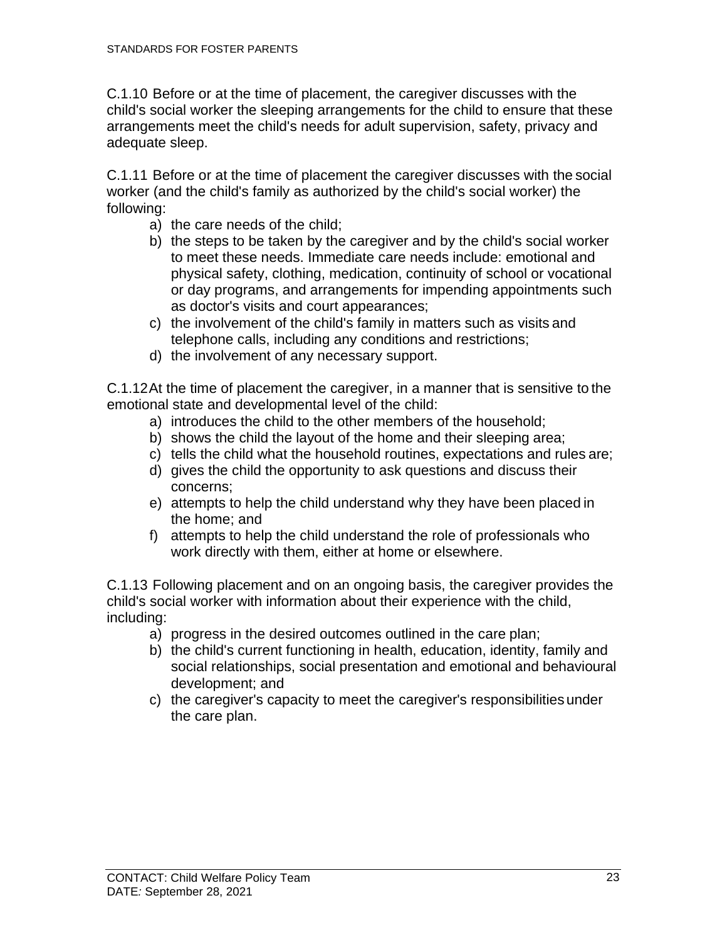C.1.10 Before or at the time of placement, the caregiver discusses with the child's social worker the sleeping arrangements for the child to ensure that these arrangements meet the child's needs for adult supervision, safety, privacy and adequate sleep.

C.1.11 Before or at the time of placement the caregiver discusses with the social worker (and the child's family as authorized by the child's social worker) the following:

- a) the care needs of the child;
- b) the steps to be taken by the caregiver and by the child's social worker to meet these needs. Immediate care needs include: emotional and physical safety, clothing, medication, continuity of school or vocational or day programs, and arrangements for impending appointments such as doctor's visits and court appearances;
- c) the involvement of the child's family in matters such as visits and telephone calls, including any conditions and restrictions;
- d) the involvement of any necessary support.

C.1.12At the time of placement the caregiver, in a manner that is sensitive to the emotional state and developmental level of the child:

- a) introduces the child to the other members of the household;
- b) shows the child the layout of the home and their sleeping area;
- c) tells the child what the household routines, expectations and rules are;
- d) gives the child the opportunity to ask questions and discuss their concerns;
- e) attempts to help the child understand why they have been placed in the home; and
- f) attempts to help the child understand the role of professionals who work directly with them, either at home or elsewhere.

C.1.13 Following placement and on an ongoing basis, the caregiver provides the child's social worker with information about their experience with the child, including:

- a) progress in the desired outcomes outlined in the care plan;
- b) the child's current functioning in health, education, identity, family and social relationships, social presentation and emotional and behavioural development; and
- c) the caregiver's capacity to meet the caregiver's responsibilities under the care plan.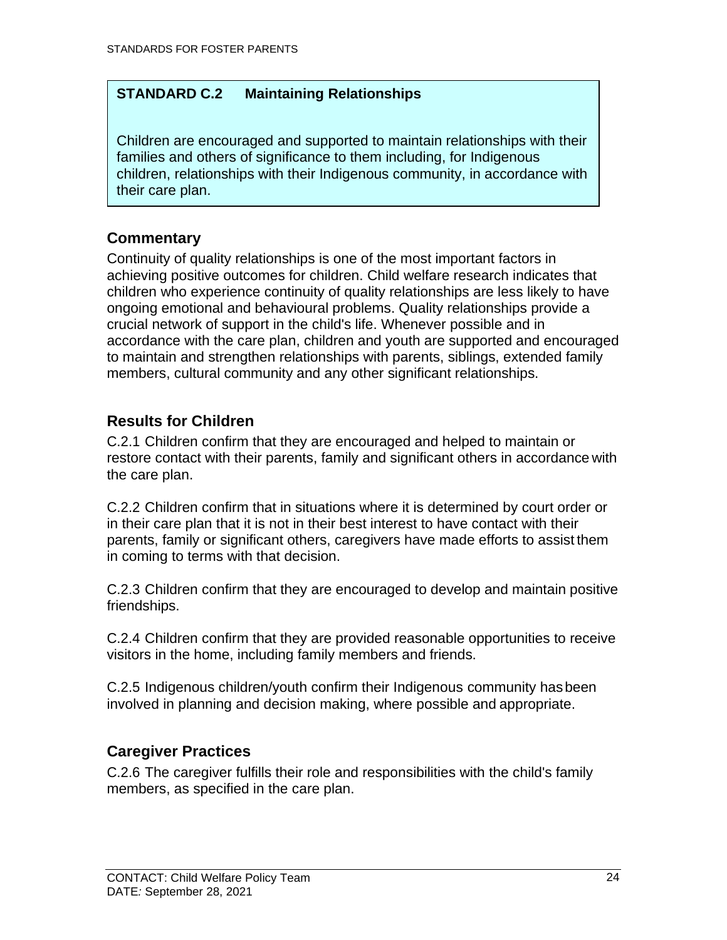### **STANDARD C.2 Maintaining Relationships**

Children are encouraged and supported to maintain relationships with their families and others of significance to them including, for Indigenous children, relationships with their Indigenous community, in accordance with their care plan.

### <span id="page-29-0"></span>**Commentary**

Continuity of quality relationships is one of the most important factors in achieving positive outcomes for children. Child welfare research indicates that children who experience continuity of quality relationships are less likely to have ongoing emotional and behavioural problems. Quality relationships provide a crucial network of support in the child's life. Whenever possible and in accordance with the care plan, children and youth are supported and encouraged to maintain and strengthen relationships with parents, siblings, extended family members, cultural community and any other significant relationships.

### <span id="page-29-1"></span>**Results for Children**

C.2.1 Children confirm that they are encouraged and helped to maintain or restore contact with their parents, family and significant others in accordance with the care plan.

C.2.2 Children confirm that in situations where it is determined by court order or in their care plan that it is not in their best interest to have contact with their parents, family or significant others, caregivers have made efforts to assist them in coming to terms with that decision.

C.2.3 Children confirm that they are encouraged to develop and maintain positive friendships.

C.2.4 Children confirm that they are provided reasonable opportunities to receive visitors in the home, including family members and friends.

C.2.5 Indigenous children/youth confirm their Indigenous community hasbeen involved in planning and decision making, where possible and appropriate.

### <span id="page-29-2"></span>**Caregiver Practices**

C.2.6 The caregiver fulfills their role and responsibilities with the child's family members, as specified in the care plan.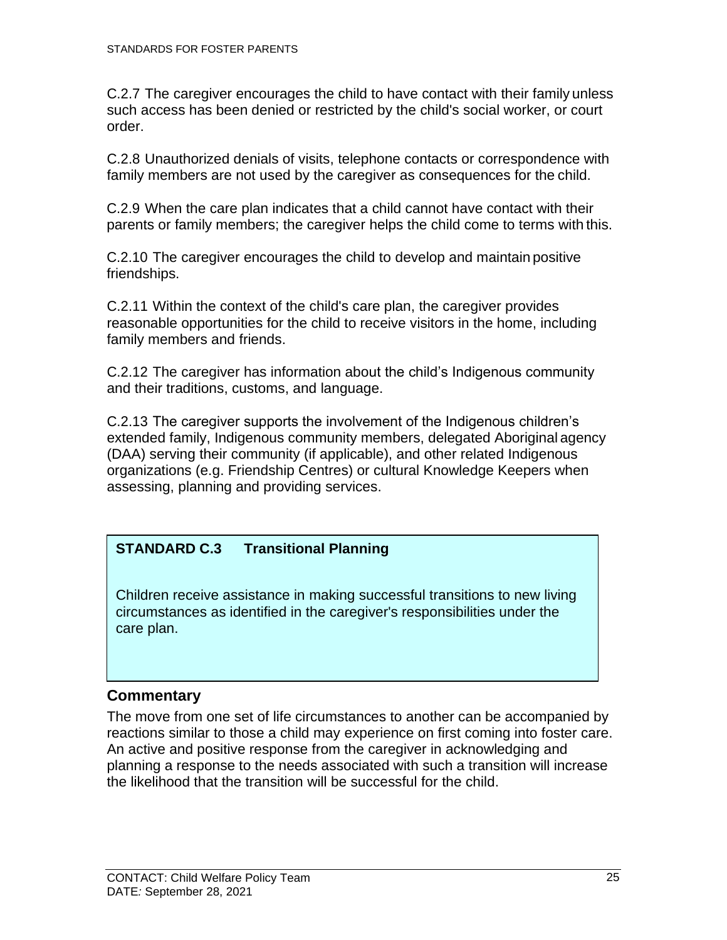C.2.7 The caregiver encourages the child to have contact with their family unless such access has been denied or restricted by the child's social worker, or court order.

C.2.8 Unauthorized denials of visits, telephone contacts or correspondence with family members are not used by the caregiver as consequences for the child.

C.2.9 When the care plan indicates that a child cannot have contact with their parents or family members; the caregiver helps the child come to terms with this.

C.2.10 The caregiver encourages the child to develop and maintain positive friendships.

C.2.11 Within the context of the child's care plan, the caregiver provides reasonable opportunities for the child to receive visitors in the home, including family members and friends.

C.2.12 The caregiver has information about the child's Indigenous community and their traditions, customs, and language.

C.2.13 The caregiver supports the involvement of the Indigenous children's extended family, Indigenous community members, delegated Aboriginal agency (DAA) serving their community (if applicable), and other related Indigenous organizations (e.g. Friendship Centres) or cultural Knowledge Keepers when assessing, planning and providing services.

### **STANDARD C.3 Transitional Planning**

Children receive assistance in making successful transitions to new living circumstances as identified in the caregiver's responsibilities under the care plan.

### <span id="page-30-0"></span>**Commentary**

The move from one set of life circumstances to another can be accompanied by reactions similar to those a child may experience on first coming into foster care. An active and positive response from the caregiver in acknowledging and planning a response to the needs associated with such a transition will increase the likelihood that the transition will be successful for the child.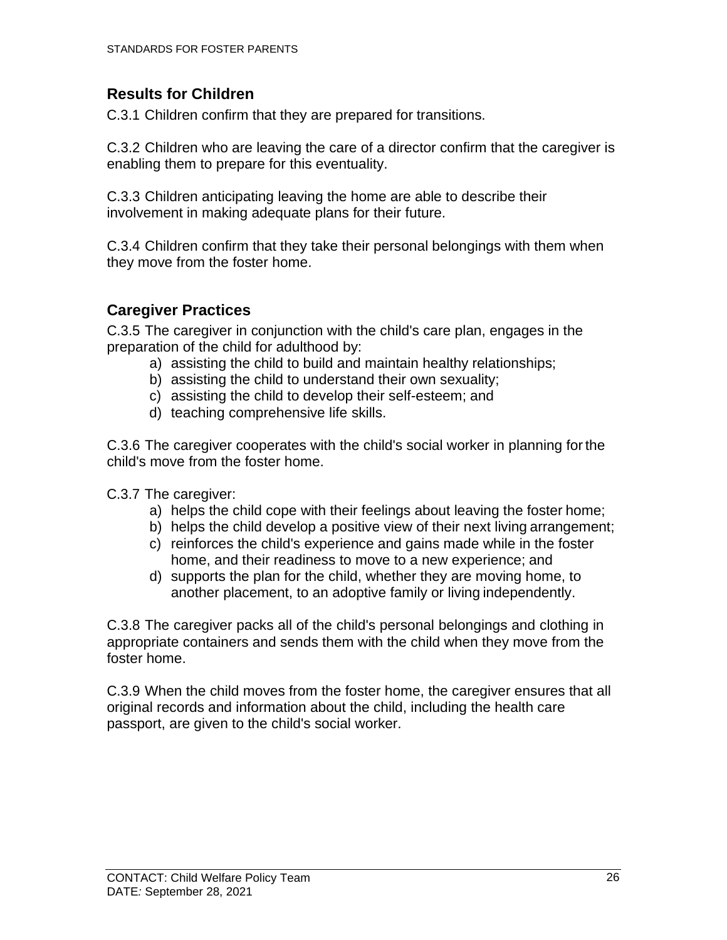### <span id="page-31-0"></span>**Results for Children**

C.3.1 Children confirm that they are prepared for transitions.

C.3.2 Children who are leaving the care of a director confirm that the caregiver is enabling them to prepare for this eventuality.

C.3.3 Children anticipating leaving the home are able to describe their involvement in making adequate plans for their future.

C.3.4 Children confirm that they take their personal belongings with them when they move from the foster home.

### <span id="page-31-1"></span>**Caregiver Practices**

C.3.5 The caregiver in conjunction with the child's care plan, engages in the preparation of the child for adulthood by:

- a) assisting the child to build and maintain healthy relationships;
- b) assisting the child to understand their own sexuality;
- c) assisting the child to develop their self-esteem; and
- d) teaching comprehensive life skills.

C.3.6 The caregiver cooperates with the child's social worker in planning forthe child's move from the foster home.

C.3.7 The caregiver:

- a) helps the child cope with their feelings about leaving the foster home;
- b) helps the child develop a positive view of their next living arrangement;
- c) reinforces the child's experience and gains made while in the foster home, and their readiness to move to a new experience; and
- d) supports the plan for the child, whether they are moving home, to another placement, to an adoptive family or living independently.

C.3.8 The caregiver packs all of the child's personal belongings and clothing in appropriate containers and sends them with the child when they move from the foster home.

C.3.9 When the child moves from the foster home, the caregiver ensures that all original records and information about the child, including the health care passport, are given to the child's social worker.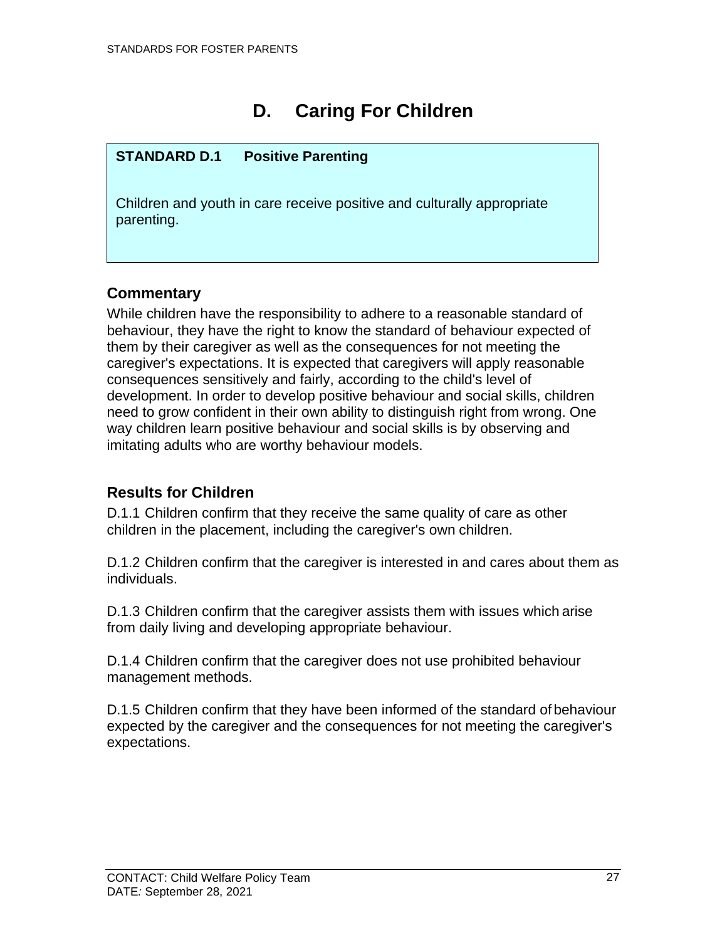# **D. Caring For Children**

### <span id="page-32-0"></span>**STANDARD D.1 Positive Parenting**

Children and youth in care receive positive and culturally appropriate parenting.

### <span id="page-32-1"></span>**Commentary**

While children have the responsibility to adhere to a reasonable standard of behaviour, they have the right to know the standard of behaviour expected of them by their caregiver as well as the consequences for not meeting the caregiver's expectations. It is expected that caregivers will apply reasonable consequences sensitively and fairly, according to the child's level of development. In order to develop positive behaviour and social skills, children need to grow confident in their own ability to distinguish right from wrong. One way children learn positive behaviour and social skills is by observing and imitating adults who are worthy behaviour models.

### <span id="page-32-2"></span>**Results for Children**

D.1.1 Children confirm that they receive the same quality of care as other children in the placement, including the caregiver's own children.

D.1.2 Children confirm that the caregiver is interested in and cares about them as individuals.

D.1.3 Children confirm that the caregiver assists them with issues which arise from daily living and developing appropriate behaviour.

D.1.4 Children confirm that the caregiver does not use prohibited behaviour management methods.

D.1.5 Children confirm that they have been informed of the standard of behaviour expected by the caregiver and the consequences for not meeting the caregiver's expectations.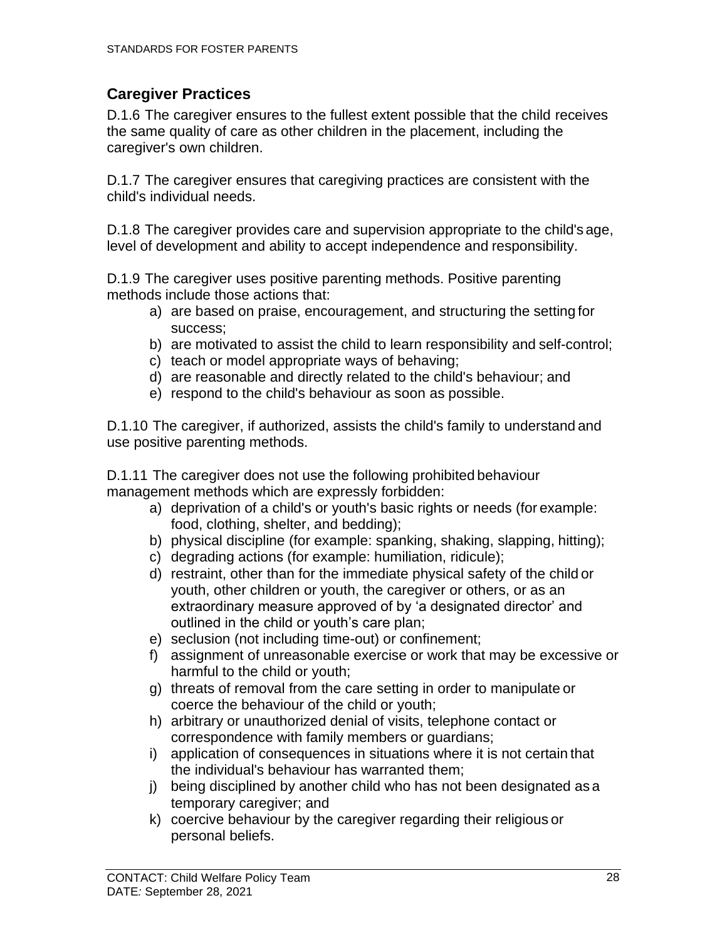### <span id="page-33-0"></span>**Caregiver Practices**

D.1.6 The caregiver ensures to the fullest extent possible that the child receives the same quality of care as other children in the placement, including the caregiver's own children.

D.1.7 The caregiver ensures that caregiving practices are consistent with the child's individual needs.

D.1.8 The caregiver provides care and supervision appropriate to the child's age, level of development and ability to accept independence and responsibility.

D.1.9 The caregiver uses positive parenting methods. Positive parenting methods include those actions that:

- a) are based on praise, encouragement, and structuring the setting for success;
- b) are motivated to assist the child to learn responsibility and self-control;
- c) teach or model appropriate ways of behaving;
- d) are reasonable and directly related to the child's behaviour; and
- e) respond to the child's behaviour as soon as possible.

D.1.10 The caregiver, if authorized, assists the child's family to understand and use positive parenting methods.

D.1.11 The caregiver does not use the following prohibited behaviour management methods which are expressly forbidden:

- a) deprivation of a child's or youth's basic rights or needs (for example: food, clothing, shelter, and bedding);
- b) physical discipline (for example: spanking, shaking, slapping, hitting);
- c) degrading actions (for example: humiliation, ridicule);
- d) restraint, other than for the immediate physical safety of the child or youth, other children or youth, the caregiver or others, or as an extraordinary measure approved of by 'a designated director' and outlined in the child or youth's care plan;
- e) seclusion (not including time-out) or confinement;
- f) assignment of unreasonable exercise or work that may be excessive or harmful to the child or youth;
- g) threats of removal from the care setting in order to manipulate or coerce the behaviour of the child or youth;
- h) arbitrary or unauthorized denial of visits, telephone contact or correspondence with family members or guardians;
- i) application of consequences in situations where it is not certain that the individual's behaviour has warranted them;
- j) being disciplined by another child who has not been designated as a temporary caregiver; and
- k) coercive behaviour by the caregiver regarding their religious or personal beliefs.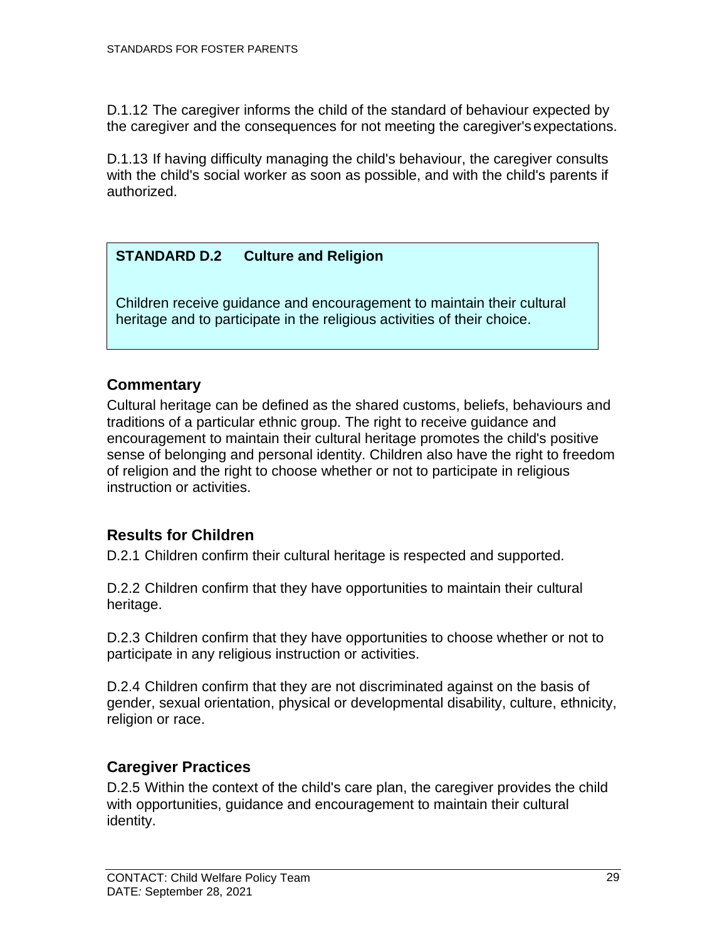D.1.12 The caregiver informs the child of the standard of behaviour expected by the caregiver and the consequences for not meeting the caregiver'sexpectations.

D.1.13 If having difficulty managing the child's behaviour, the caregiver consults with the child's social worker as soon as possible, and with the child's parents if authorized.

### **STANDARD D.2 Culture and Religion**

Children receive guidance and encouragement to maintain their cultural heritage and to participate in the religious activities of their choice.

### <span id="page-34-0"></span>**Commentary**

Cultural heritage can be defined as the shared customs, beliefs, behaviours and traditions of a particular ethnic group. The right to receive guidance and encouragement to maintain their cultural heritage promotes the child's positive sense of belonging and personal identity. Children also have the right to freedom of religion and the right to choose whether or not to participate in religious instruction or activities.

### <span id="page-34-1"></span>**Results for Children**

D.2.1 Children confirm their cultural heritage is respected and supported.

D.2.2 Children confirm that they have opportunities to maintain their cultural heritage.

D.2.3 Children confirm that they have opportunities to choose whether or not to participate in any religious instruction or activities.

D.2.4 Children confirm that they are not discriminated against on the basis of gender, sexual orientation, physical or developmental disability, culture, ethnicity, religion or race.

### <span id="page-34-2"></span>**Caregiver Practices**

D.2.5 Within the context of the child's care plan, the caregiver provides the child with opportunities, guidance and encouragement to maintain their cultural identity.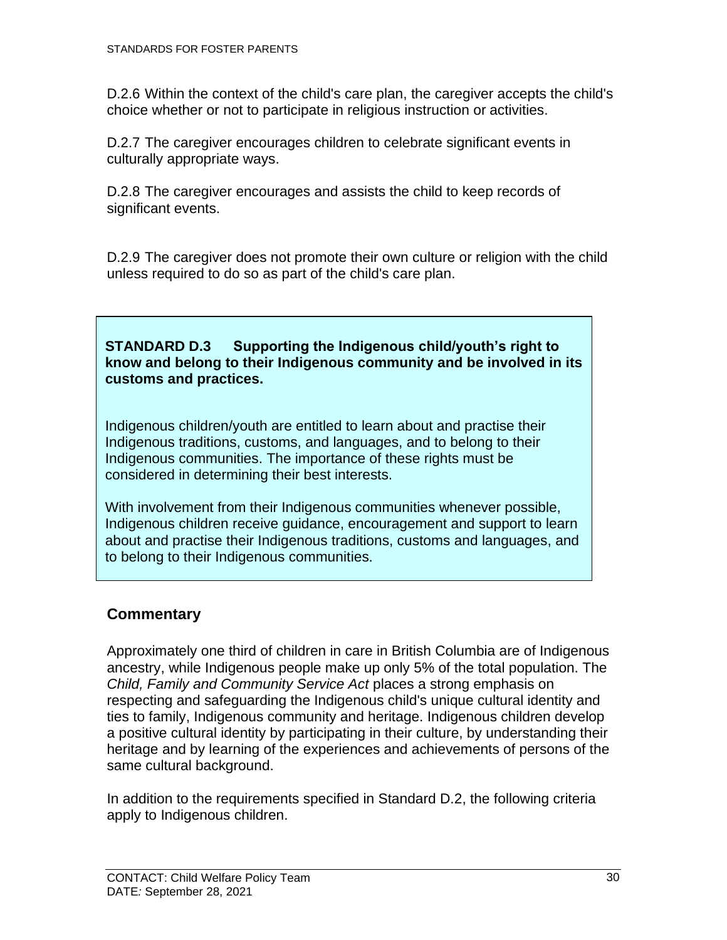D.2.6 Within the context of the child's care plan, the caregiver accepts the child's choice whether or not to participate in religious instruction or activities.

D.2.7 The caregiver encourages children to celebrate significant events in culturally appropriate ways.

D.2.8 The caregiver encourages and assists the child to keep records of significant events.

D.2.9 The caregiver does not promote their own culture or religion with the child unless required to do so as part of the child's care plan.

#### **STANDARD D.3 Supporting the Indigenous child/youth's right to know and belong to their Indigenous community and be involved in its customs and practices.**

Indigenous children/youth are entitled to learn about and practise their Indigenous traditions, customs, and languages, and to belong to their Indigenous communities. The importance of these rights must be considered in determining their best interests.

With involvement from their Indigenous communities whenever possible, Indigenous children receive guidance, encouragement and support to learn about and practise their Indigenous traditions, customs and languages, and to belong to their Indigenous communities.

### <span id="page-35-0"></span>**Commentary**

Approximately one third of children in care in British Columbia are of Indigenous ancestry, while Indigenous people make up only 5% of the total population. The *Child, Family and Community Service Act* places a strong emphasis on respecting and safeguarding the Indigenous child's unique cultural identity and ties to family, Indigenous community and heritage. Indigenous children develop a positive cultural identity by participating in their culture, by understanding their heritage and by learning of the experiences and achievements of persons of the same cultural background.

In addition to the requirements specified in Standard D.2, the following criteria apply to Indigenous children.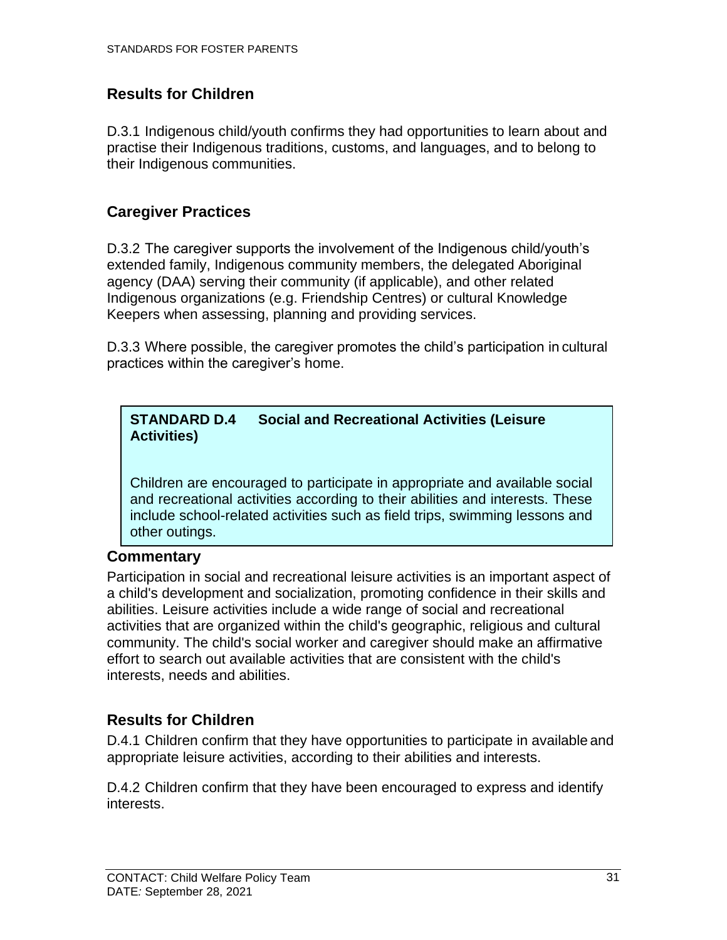### <span id="page-36-0"></span>**Results for Children**

D.3.1 Indigenous child/youth confirms they had opportunities to learn about and practise their Indigenous traditions, customs, and languages, and to belong to their Indigenous communities.

### <span id="page-36-1"></span>**Caregiver Practices**

D.3.2 The caregiver supports the involvement of the Indigenous child/youth's extended family, Indigenous community members, the delegated Aboriginal agency (DAA) serving their community (if applicable), and other related Indigenous organizations (e.g. Friendship Centres) or cultural Knowledge Keepers when assessing, planning and providing services.

D.3.3 Where possible, the caregiver promotes the child's participation in cultural practices within the caregiver's home.

#### **STANDARD D.4 Social and Recreational Activities (Leisure Activities)**

<span id="page-36-2"></span>Children are encouraged to participate in appropriate and available social and recreational activities according to their abilities and interests. These include school-related activities such as field trips, swimming lessons and other outings.

### **Commentary**

Participation in social and recreational leisure activities is an important aspect of a child's development and socialization, promoting confidence in their skills and abilities. Leisure activities include a wide range of social and recreational activities that are organized within the child's geographic, religious and cultural community. The child's social worker and caregiver should make an affirmative effort to search out available activities that are consistent with the child's interests, needs and abilities.

### <span id="page-36-3"></span>**Results for Children**

D.4.1 Children confirm that they have opportunities to participate in available and appropriate leisure activities, according to their abilities and interests.

D.4.2 Children confirm that they have been encouraged to express and identify interests.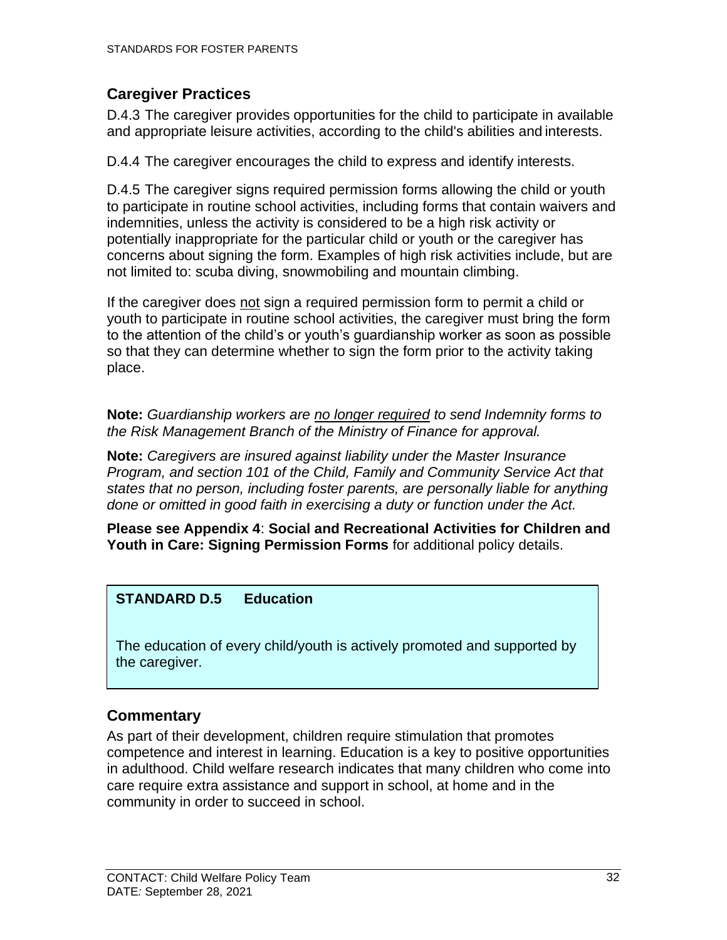### <span id="page-37-0"></span>**Caregiver Practices**

D.4.3 The caregiver provides opportunities for the child to participate in available and appropriate leisure activities, according to the child's abilities and interests.

D.4.4 The caregiver encourages the child to express and identify interests.

D.4.5 The caregiver signs required permission forms allowing the child or youth to participate in routine school activities, including forms that contain waivers and indemnities, unless the activity is considered to be a high risk activity or potentially inappropriate for the particular child or youth or the caregiver has concerns about signing the form. Examples of high risk activities include, but are not limited to: scuba diving, snowmobiling and mountain climbing.

If the caregiver does not sign a required permission form to permit a child or youth to participate in routine school activities, the caregiver must bring the form to the attention of the child's or youth's guardianship worker as soon as possible so that they can determine whether to sign the form prior to the activity taking place.

**Note:** *Guardianship workers are no longer required to send Indemnity forms to the Risk Management Branch of the Ministry of Finance for approval.*

**Note:** *Caregivers are insured against liability under the Master Insurance Program, and section 101 of the Child, Family and Community Service Act that states that no person, including foster parents, are personally liable for anything done or omitted in good faith in exercising a duty or function under the Act.*

**Please see Appendix 4**: **Social and Recreational Activities for Children and Youth in Care: Signing Permission Forms** for additional policy details.

### **STANDARD D.5 Education**

The education of every child/youth is actively promoted and supported by the caregiver.

### <span id="page-37-1"></span>**Commentary**

As part of their development, children require stimulation that promotes competence and interest in learning. Education is a key to positive opportunities in adulthood. Child welfare research indicates that many children who come into care require extra assistance and support in school, at home and in the community in order to succeed in school.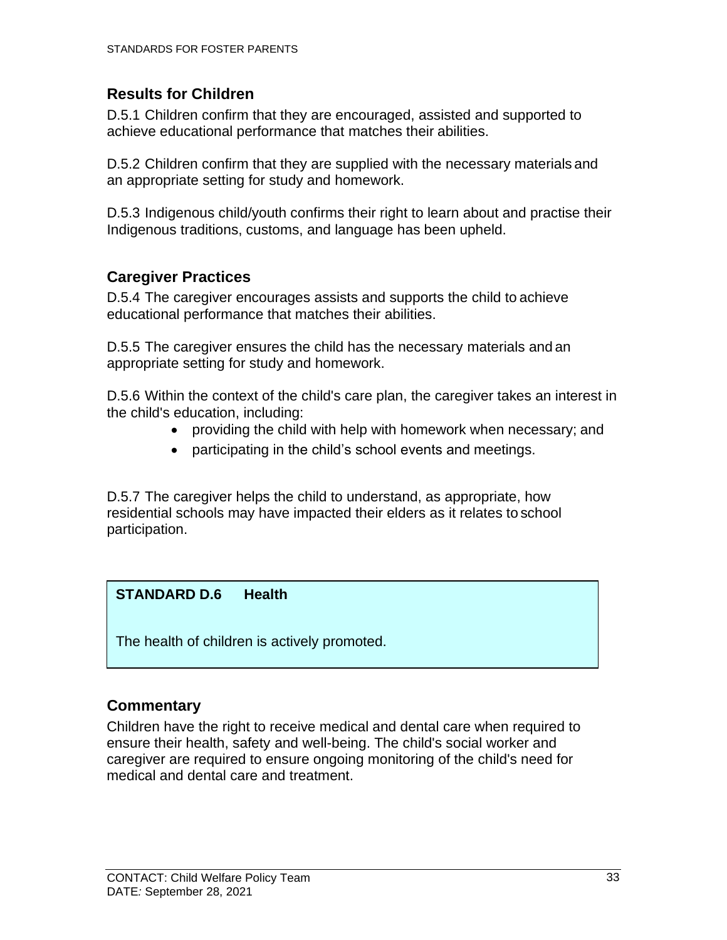### <span id="page-38-0"></span>**Results for Children**

D.5.1 Children confirm that they are encouraged, assisted and supported to achieve educational performance that matches their abilities.

D.5.2 Children confirm that they are supplied with the necessary materials and an appropriate setting for study and homework.

D.5.3 Indigenous child/youth confirms their right to learn about and practise their Indigenous traditions, customs, and language has been upheld.

### <span id="page-38-1"></span>**Caregiver Practices**

D.5.4 The caregiver encourages assists and supports the child to achieve educational performance that matches their abilities.

D.5.5 The caregiver ensures the child has the necessary materials and an appropriate setting for study and homework.

D.5.6 Within the context of the child's care plan, the caregiver takes an interest in the child's education, including:

- providing the child with help with homework when necessary; and
- participating in the child's school events and meetings.

D.5.7 The caregiver helps the child to understand, as appropriate, how residential schools may have impacted their elders as it relates to school participation.

### **STANDARD D.6 Health**

The health of children is actively promoted.

### <span id="page-38-2"></span>**Commentary**

Children have the right to receive medical and dental care when required to ensure their health, safety and well-being. The child's social worker and caregiver are required to ensure ongoing monitoring of the child's need for medical and dental care and treatment.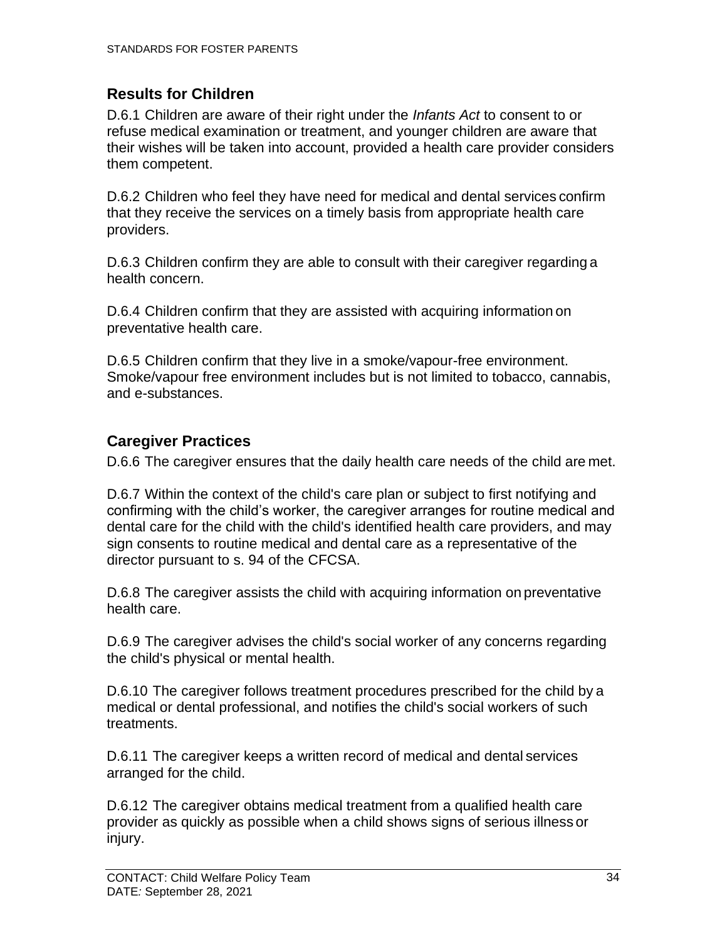### <span id="page-39-0"></span>**Results for Children**

D.6.1 Children are aware of their right under the *Infants Act* to consent to or refuse medical examination or treatment, and younger children are aware that their wishes will be taken into account, provided a health care provider considers them competent.

D.6.2 Children who feel they have need for medical and dental services confirm that they receive the services on a timely basis from appropriate health care providers.

D.6.3 Children confirm they are able to consult with their caregiver regarding a health concern.

D.6.4 Children confirm that they are assisted with acquiring information on preventative health care.

D.6.5 Children confirm that they live in a smoke/vapour-free environment. Smoke/vapour free environment includes but is not limited to tobacco, cannabis, and e-substances.

### <span id="page-39-1"></span>**Caregiver Practices**

D.6.6 The caregiver ensures that the daily health care needs of the child are met.

D.6.7 Within the context of the child's care plan or subject to first notifying and confirming with the child's worker, the caregiver arranges for routine medical and dental care for the child with the child's identified health care providers, and may sign consents to routine medical and dental care as a representative of the director pursuant to s. 94 of the CFCSA.

D.6.8 The caregiver assists the child with acquiring information on preventative health care.

D.6.9 The caregiver advises the child's social worker of any concerns regarding the child's physical or mental health.

D.6.10 The caregiver follows treatment procedures prescribed for the child by a medical or dental professional, and notifies the child's social workers of such treatments.

D.6.11 The caregiver keeps a written record of medical and dental services arranged for the child.

D.6.12 The caregiver obtains medical treatment from a qualified health care provider as quickly as possible when a child shows signs of serious illness or injury.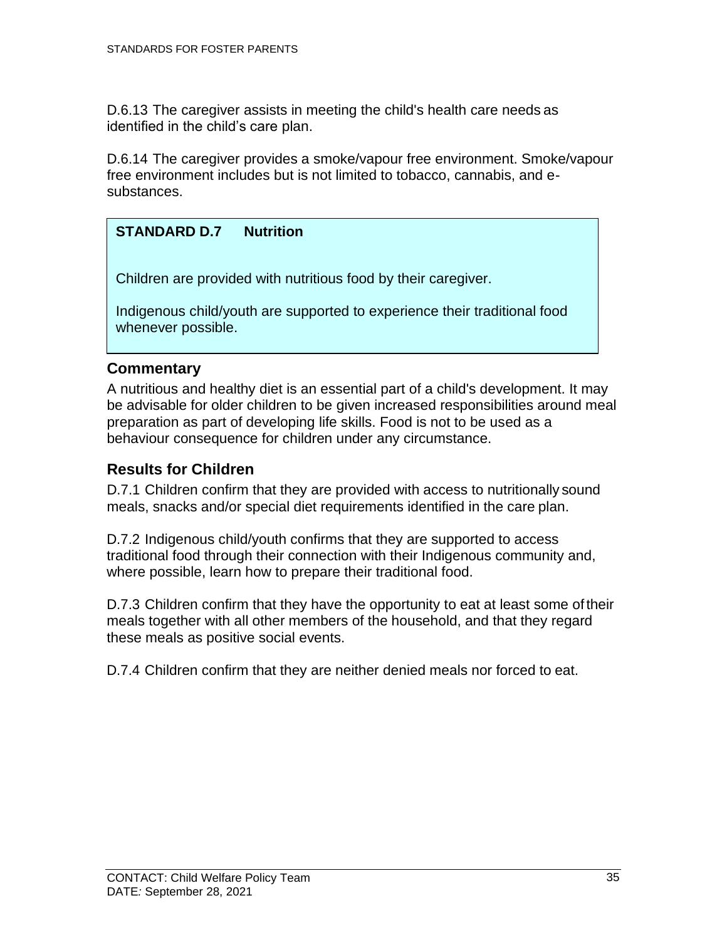D.6.13 The caregiver assists in meeting the child's health care needs as identified in the child's care plan.

D.6.14 The caregiver provides a smoke/vapour free environment. Smoke/vapour free environment includes but is not limited to tobacco, cannabis, and esubstances.

#### **STANDARD D.7 Nutrition**

Children are provided with nutritious food by their caregiver.

<span id="page-40-0"></span>Indigenous child/youth are supported to experience their traditional food whenever possible.

#### **Commentary**

A nutritious and healthy diet is an essential part of a child's development. It may be advisable for older children to be given increased responsibilities around meal preparation as part of developing life skills. Food is not to be used as a behaviour consequence for children under any circumstance.

#### <span id="page-40-1"></span>**Results for Children**

D.7.1 Children confirm that they are provided with access to nutritionally sound meals, snacks and/or special diet requirements identified in the care plan.

D.7.2 Indigenous child/youth confirms that they are supported to access traditional food through their connection with their Indigenous community and, where possible, learn how to prepare their traditional food.

D.7.3 Children confirm that they have the opportunity to eat at least some of their meals together with all other members of the household, and that they regard these meals as positive social events.

D.7.4 Children confirm that they are neither denied meals nor forced to eat.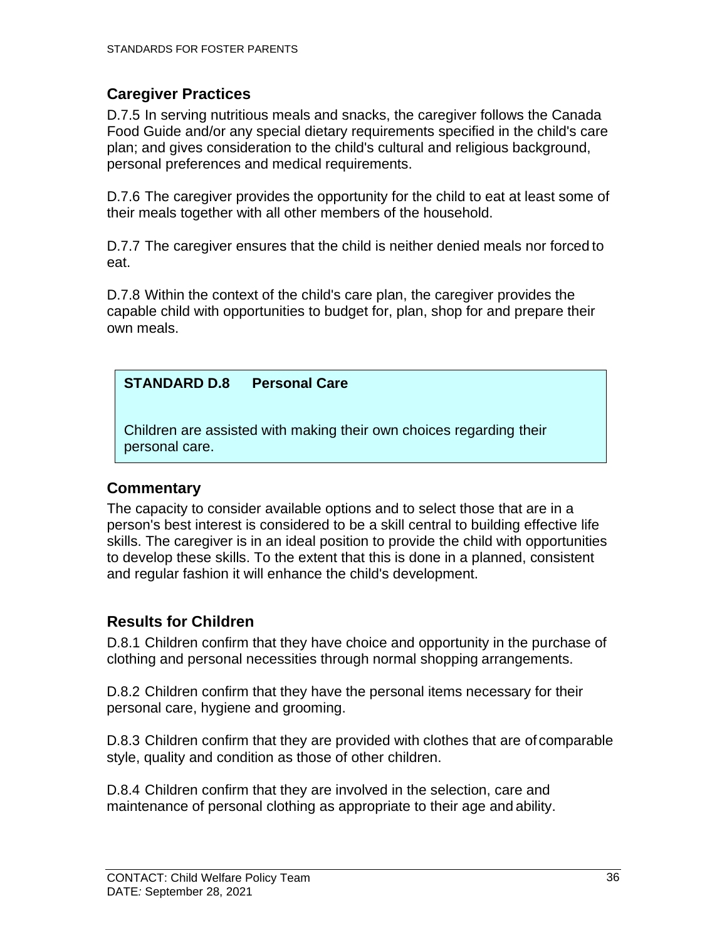### <span id="page-41-0"></span>**Caregiver Practices**

D.7.5 In serving nutritious meals and snacks, the caregiver follows the Canada Food Guide and/or any special dietary requirements specified in the child's care plan; and gives consideration to the child's cultural and religious background, personal preferences and medical requirements.

D.7.6 The caregiver provides the opportunity for the child to eat at least some of their meals together with all other members of the household.

D.7.7 The caregiver ensures that the child is neither denied meals nor forced to eat.

D.7.8 Within the context of the child's care plan, the caregiver provides the capable child with opportunities to budget for, plan, shop for and prepare their own meals.

### **STANDARD D.8 Personal Care**

Children are assisted with making their own choices regarding their personal care.

### <span id="page-41-1"></span>**Commentary**

The capacity to consider available options and to select those that are in a person's best interest is considered to be a skill central to building effective life skills. The caregiver is in an ideal position to provide the child with opportunities to develop these skills. To the extent that this is done in a planned, consistent and regular fashion it will enhance the child's development.

### <span id="page-41-2"></span>**Results for Children**

D.8.1 Children confirm that they have choice and opportunity in the purchase of clothing and personal necessities through normal shopping arrangements.

D.8.2 Children confirm that they have the personal items necessary for their personal care, hygiene and grooming.

D.8.3 Children confirm that they are provided with clothes that are of comparable style, quality and condition as those of other children.

D.8.4 Children confirm that they are involved in the selection, care and maintenance of personal clothing as appropriate to their age and ability.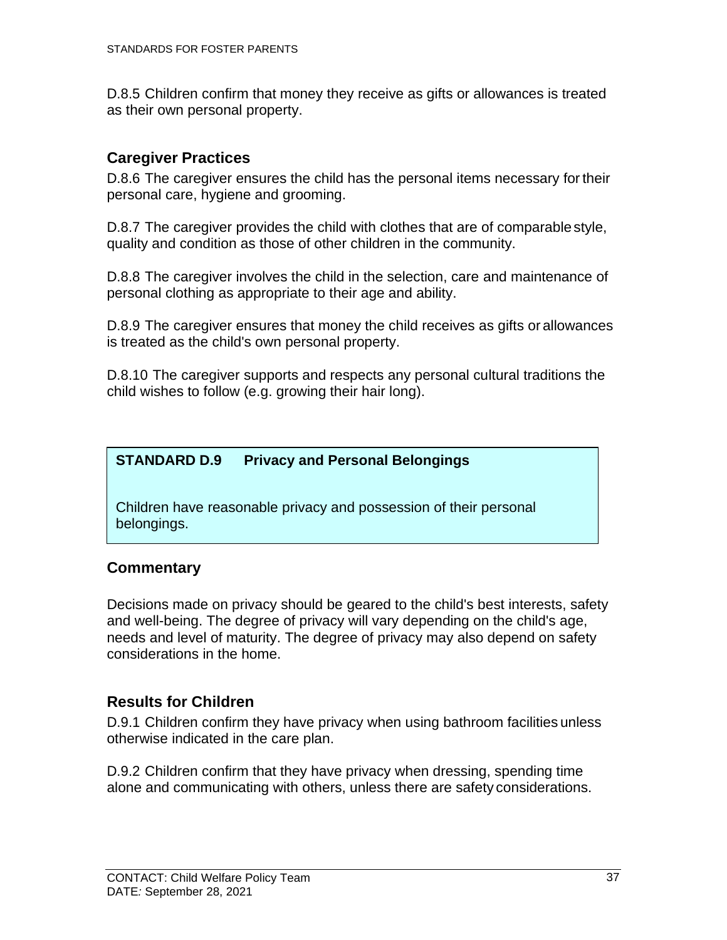D.8.5 Children confirm that money they receive as gifts or allowances is treated as their own personal property.

### <span id="page-42-0"></span>**Caregiver Practices**

D.8.6 The caregiver ensures the child has the personal items necessary fortheir personal care, hygiene and grooming.

D.8.7 The caregiver provides the child with clothes that are of comparable style, quality and condition as those of other children in the community.

D.8.8 The caregiver involves the child in the selection, care and maintenance of personal clothing as appropriate to their age and ability.

D.8.9 The caregiver ensures that money the child receives as gifts or allowances is treated as the child's own personal property.

D.8.10 The caregiver supports and respects any personal cultural traditions the child wishes to follow (e.g. growing their hair long).

**STANDARD D.9 Privacy and Personal Belongings**

Children have reasonable privacy and possession of their personal belongings.

### <span id="page-42-1"></span>**Commentary**

Decisions made on privacy should be geared to the child's best interests, safety and well-being. The degree of privacy will vary depending on the child's age, needs and level of maturity. The degree of privacy may also depend on safety considerations in the home.

### <span id="page-42-2"></span>**Results for Children**

D.9.1 Children confirm they have privacy when using bathroom facilities unless otherwise indicated in the care plan.

D.9.2 Children confirm that they have privacy when dressing, spending time alone and communicating with others, unless there are safety considerations.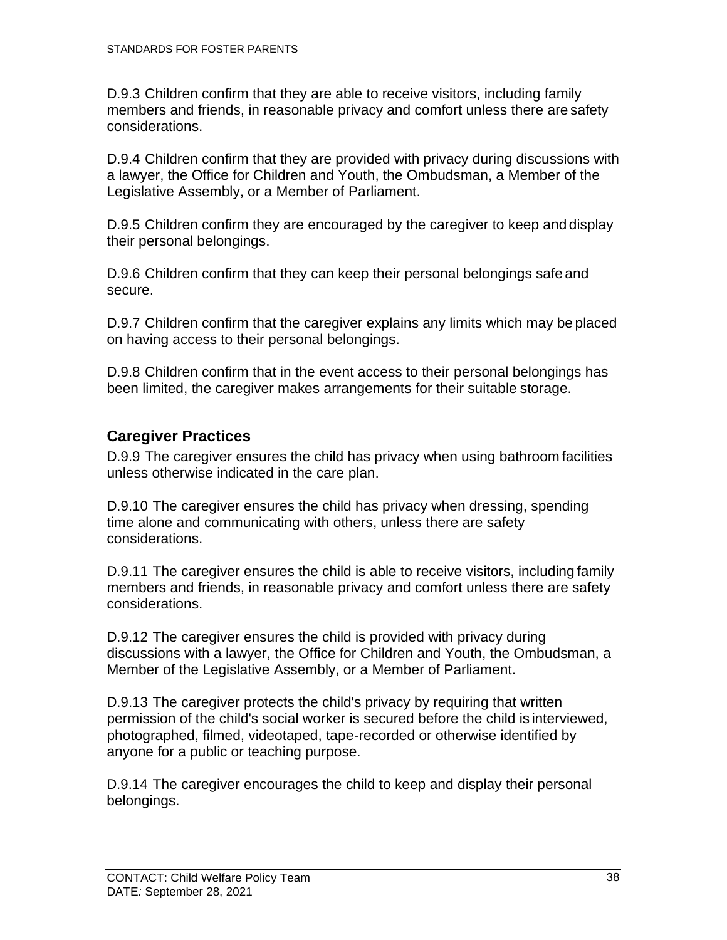D.9.3 Children confirm that they are able to receive visitors, including family members and friends, in reasonable privacy and comfort unless there are safety considerations.

D.9.4 Children confirm that they are provided with privacy during discussions with a lawyer, the Office for Children and Youth, the Ombudsman, a Member of the Legislative Assembly, or a Member of Parliament.

D.9.5 Children confirm they are encouraged by the caregiver to keep and display their personal belongings.

D.9.6 Children confirm that they can keep their personal belongings safe and secure.

D.9.7 Children confirm that the caregiver explains any limits which may be placed on having access to their personal belongings.

D.9.8 Children confirm that in the event access to their personal belongings has been limited, the caregiver makes arrangements for their suitable storage.

### <span id="page-43-0"></span>**Caregiver Practices**

D.9.9 The caregiver ensures the child has privacy when using bathroom facilities unless otherwise indicated in the care plan.

D.9.10 The caregiver ensures the child has privacy when dressing, spending time alone and communicating with others, unless there are safety considerations.

D.9.11 The caregiver ensures the child is able to receive visitors, including family members and friends, in reasonable privacy and comfort unless there are safety considerations.

D.9.12 The caregiver ensures the child is provided with privacy during discussions with a lawyer, the Office for Children and Youth, the Ombudsman, a Member of the Legislative Assembly, or a Member of Parliament.

D.9.13 The caregiver protects the child's privacy by requiring that written permission of the child's social worker is secured before the child is interviewed, photographed, filmed, videotaped, tape-recorded or otherwise identified by anyone for a public or teaching purpose.

D.9.14 The caregiver encourages the child to keep and display their personal belongings.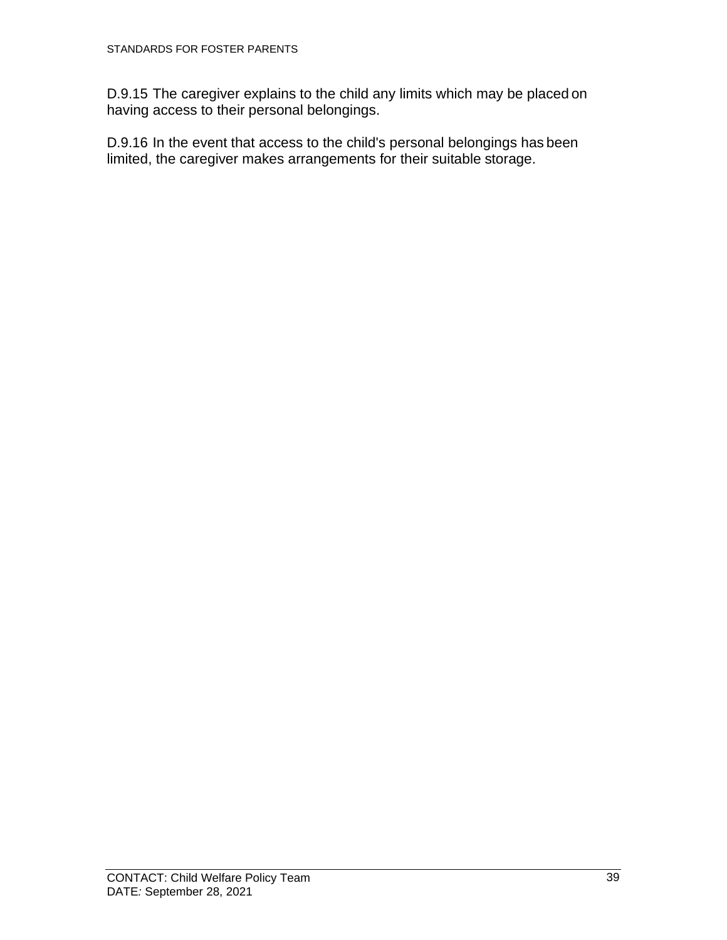D.9.15 The caregiver explains to the child any limits which may be placed on having access to their personal belongings.

D.9.16 In the event that access to the child's personal belongings has been limited, the caregiver makes arrangements for their suitable storage.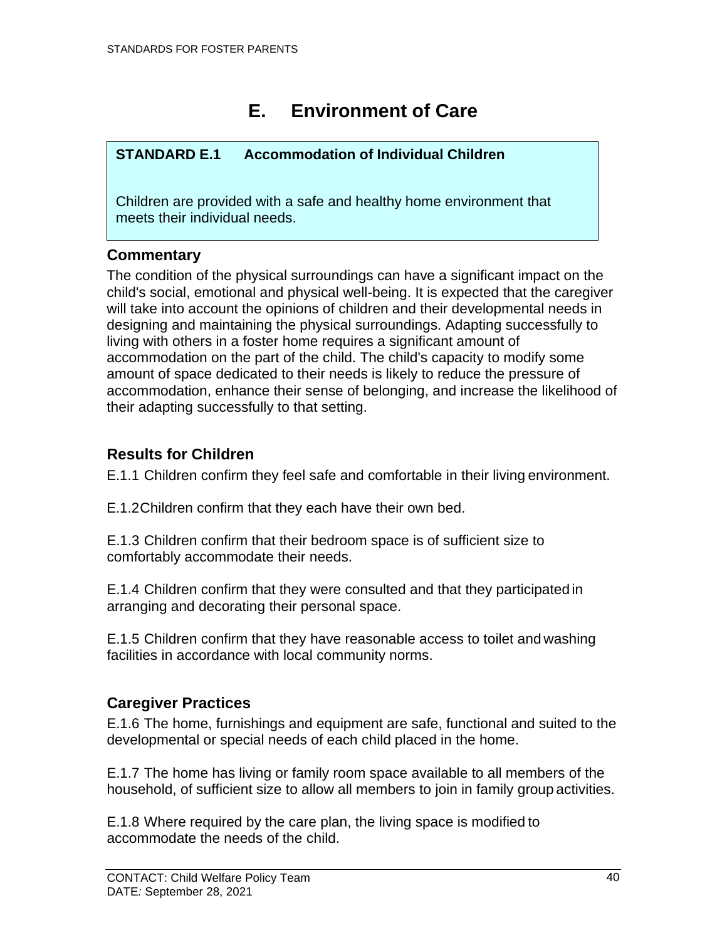# **E. Environment of Care**

### <span id="page-45-0"></span>**STANDARD E.1 Accommodation of Individual Children**

Children are provided with a safe and healthy home environment that meets their individual needs.

### <span id="page-45-1"></span>**Commentary**

The condition of the physical surroundings can have a significant impact on the child's social, emotional and physical well-being. It is expected that the caregiver will take into account the opinions of children and their developmental needs in designing and maintaining the physical surroundings. Adapting successfully to living with others in a foster home requires a significant amount of accommodation on the part of the child. The child's capacity to modify some amount of space dedicated to their needs is likely to reduce the pressure of accommodation, enhance their sense of belonging, and increase the likelihood of their adapting successfully to that setting.

### <span id="page-45-2"></span>**Results for Children**

E.1.1 Children confirm they feel safe and comfortable in their living environment.

E.1.2Children confirm that they each have their own bed.

E.1.3 Children confirm that their bedroom space is of sufficient size to comfortably accommodate their needs.

E.1.4 Children confirm that they were consulted and that they participated in arranging and decorating their personal space.

E.1.5 Children confirm that they have reasonable access to toilet and washing facilities in accordance with local community norms.

### <span id="page-45-3"></span>**Caregiver Practices**

E.1.6 The home, furnishings and equipment are safe, functional and suited to the developmental or special needs of each child placed in the home.

E.1.7 The home has living or family room space available to all members of the household, of sufficient size to allow all members to join in family group activities.

E.1.8 Where required by the care plan, the living space is modified to accommodate the needs of the child.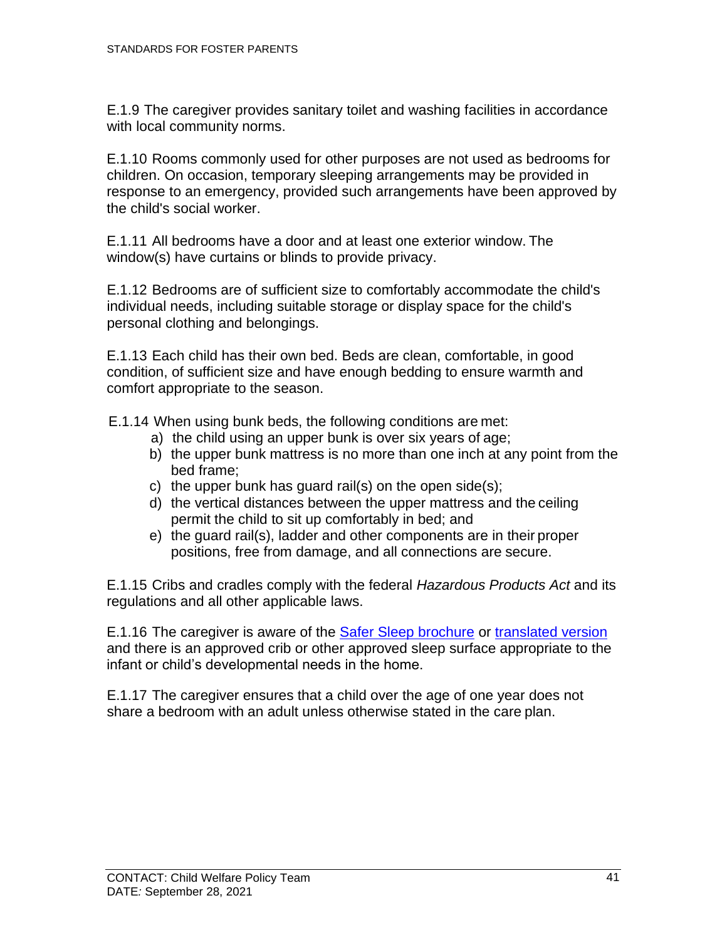E.1.9 The caregiver provides sanitary toilet and washing facilities in accordance with local community norms.

E.1.10 Rooms commonly used for other purposes are not used as bedrooms for children. On occasion, temporary sleeping arrangements may be provided in response to an emergency, provided such arrangements have been approved by the child's social worker.

E.1.11 All bedrooms have a door and at least one exterior window. The window(s) have curtains or blinds to provide privacy.

E.1.12 Bedrooms are of sufficient size to comfortably accommodate the child's individual needs, including suitable storage or display space for the child's personal clothing and belongings.

E.1.13 Each child has their own bed. Beds are clean, comfortable, in good condition, of sufficient size and have enough bedding to ensure warmth and comfort appropriate to the season.

E.1.14 When using bunk beds, the following conditions are met:

- a) the child using an upper bunk is over six years of age;
- b) the upper bunk mattress is no more than one inch at any point from the bed frame;
- c) the upper bunk has guard rail(s) on the open side(s);
- d) the vertical distances between the upper mattress and the ceiling permit the child to sit up comfortably in bed; and
- e) the guard rail(s), ladder and other components are in their proper positions, free from damage, and all connections are secure.

E.1.15 Cribs and cradles comply with the federal *Hazardous Products Act* and its regulations and all other applicable laws.

E.1.16 The caregiver is aware of the [Safer Sleep brochure](https://www.healthlinkbc.ca/hlbc/files/pdf/safer-sleep-for-my-baby.pdf) or [translated version](https://www.healthlinkbc.ca/safer-sleep-baby) and there is an approved crib or other approved sleep surface appropriate to the infant or child's developmental needs in the home.

E.1.17 The caregiver ensures that a child over the age of one year does not share a bedroom with an adult unless otherwise stated in the care plan.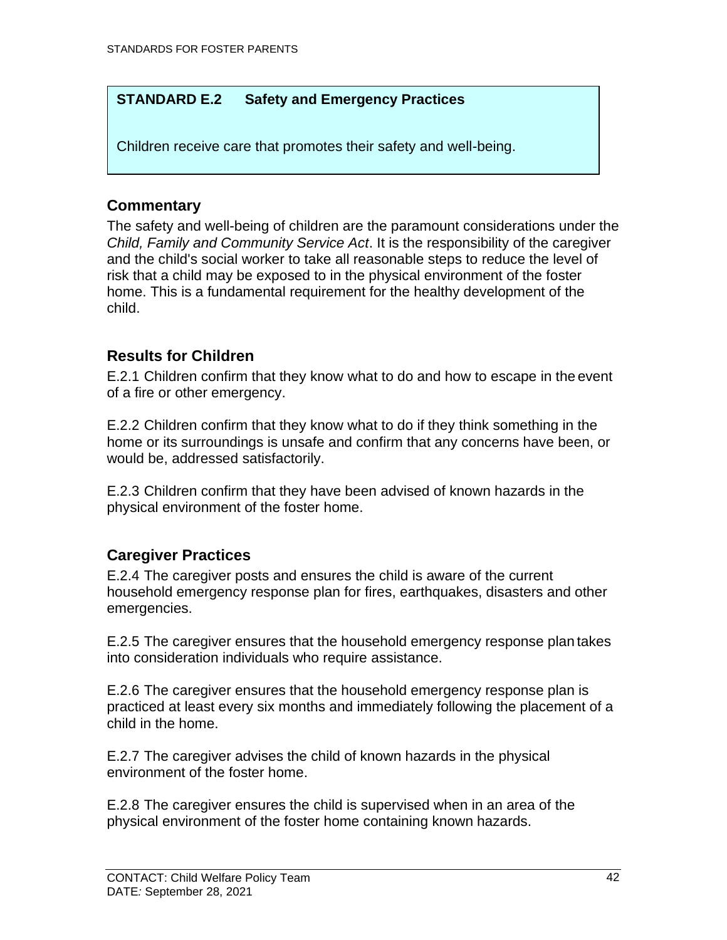#### **STANDARD E.2 Safety and Emergency Practices**

Children receive care that promotes their safety and well-being.

### <span id="page-47-0"></span>**Commentary**

The safety and well-being of children are the paramount considerations under the *Child, Family and Community Service Act*. It is the responsibility of the caregiver and the child's social worker to take all reasonable steps to reduce the level of risk that a child may be exposed to in the physical environment of the foster home. This is a fundamental requirement for the healthy development of the child.

### <span id="page-47-1"></span>**Results for Children**

E.2.1 Children confirm that they know what to do and how to escape in the event of a fire or other emergency.

E.2.2 Children confirm that they know what to do if they think something in the home or its surroundings is unsafe and confirm that any concerns have been, or would be, addressed satisfactorily.

E.2.3 Children confirm that they have been advised of known hazards in the physical environment of the foster home.

### <span id="page-47-2"></span>**Caregiver Practices**

E.2.4 The caregiver posts and ensures the child is aware of the current household emergency response plan for fires, earthquakes, disasters and other emergencies.

E.2.5 The caregiver ensures that the household emergency response plan takes into consideration individuals who require assistance.

E.2.6 The caregiver ensures that the household emergency response plan is practiced at least every six months and immediately following the placement of a child in the home.

E.2.7 The caregiver advises the child of known hazards in the physical environment of the foster home.

E.2.8 The caregiver ensures the child is supervised when in an area of the physical environment of the foster home containing known hazards.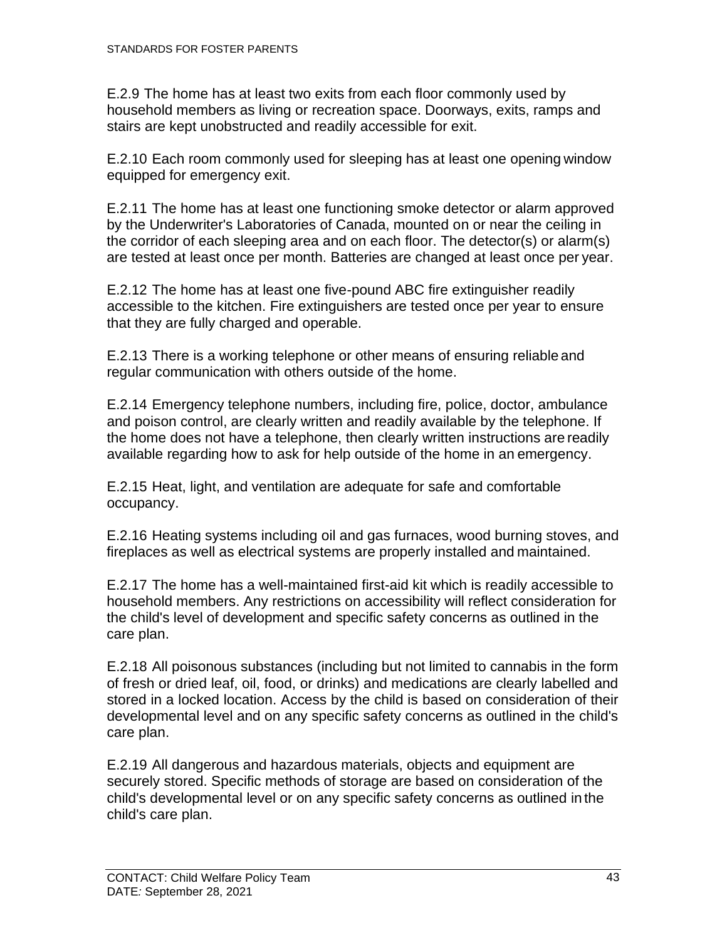E.2.9 The home has at least two exits from each floor commonly used by household members as living or recreation space. Doorways, exits, ramps and stairs are kept unobstructed and readily accessible for exit.

E.2.10 Each room commonly used for sleeping has at least one opening window equipped for emergency exit.

E.2.11 The home has at least one functioning smoke detector or alarm approved by the Underwriter's Laboratories of Canada, mounted on or near the ceiling in the corridor of each sleeping area and on each floor. The detector(s) or alarm(s) are tested at least once per month. Batteries are changed at least once per year.

E.2.12 The home has at least one five-pound ABC fire extinguisher readily accessible to the kitchen. Fire extinguishers are tested once per year to ensure that they are fully charged and operable.

E.2.13 There is a working telephone or other means of ensuring reliable and regular communication with others outside of the home.

E.2.14 Emergency telephone numbers, including fire, police, doctor, ambulance and poison control, are clearly written and readily available by the telephone. If the home does not have a telephone, then clearly written instructions are readily available regarding how to ask for help outside of the home in an emergency.

E.2.15 Heat, light, and ventilation are adequate for safe and comfortable occupancy.

E.2.16 Heating systems including oil and gas furnaces, wood burning stoves, and fireplaces as well as electrical systems are properly installed and maintained.

E.2.17 The home has a well-maintained first-aid kit which is readily accessible to household members. Any restrictions on accessibility will reflect consideration for the child's level of development and specific safety concerns as outlined in the care plan.

E.2.18 All poisonous substances (including but not limited to cannabis in the form of fresh or dried leaf, oil, food, or drinks) and medications are clearly labelled and stored in a locked location. Access by the child is based on consideration of their developmental level and on any specific safety concerns as outlined in the child's care plan.

E.2.19 All dangerous and hazardous materials, objects and equipment are securely stored. Specific methods of storage are based on consideration of the child's developmental level or on any specific safety concerns as outlined in the child's care plan.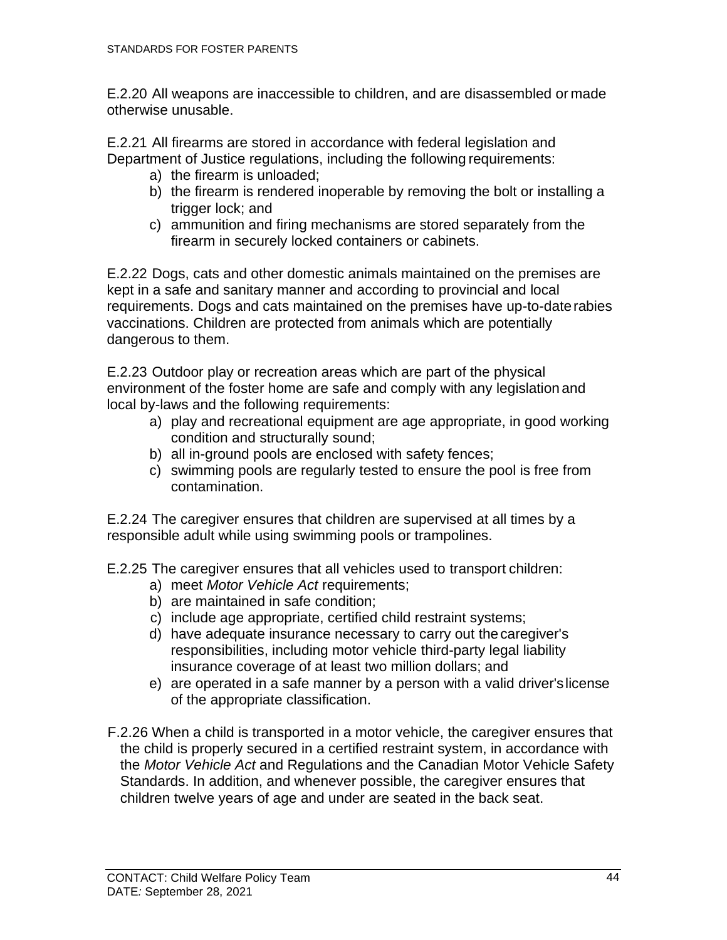E.2.20 All weapons are inaccessible to children, and are disassembled or made otherwise unusable.

E.2.21 All firearms are stored in accordance with federal legislation and Department of Justice regulations, including the following requirements:

- a) the firearm is unloaded;
- b) the firearm is rendered inoperable by removing the bolt or installing a trigger lock; and
- c) ammunition and firing mechanisms are stored separately from the firearm in securely locked containers or cabinets.

E.2.22 Dogs, cats and other domestic animals maintained on the premises are kept in a safe and sanitary manner and according to provincial and local requirements. Dogs and cats maintained on the premises have up-to-daterabies vaccinations. Children are protected from animals which are potentially dangerous to them.

E.2.23 Outdoor play or recreation areas which are part of the physical environment of the foster home are safe and comply with any legislation and local by-laws and the following requirements:

- a) play and recreational equipment are age appropriate, in good working condition and structurally sound;
- b) all in-ground pools are enclosed with safety fences;
- c) swimming pools are regularly tested to ensure the pool is free from contamination.

E.2.24 The caregiver ensures that children are supervised at all times by a responsible adult while using swimming pools or trampolines.

- E.2.25 The caregiver ensures that all vehicles used to transport children:
	- a) meet *Motor Vehicle Act* requirements;
	- b) are maintained in safe condition;
	- c) include age appropriate, certified child restraint systems;
	- d) have adequate insurance necessary to carry out thecaregiver's responsibilities, including motor vehicle third-party legal liability insurance coverage of at least two million dollars; and
	- e) are operated in a safe manner by a person with a valid driver'slicense of the appropriate classification.
- F.2.26 When a child is transported in a motor vehicle, the caregiver ensures that the child is properly secured in a certified restraint system, in accordance with the *Motor Vehicle Act* and Regulations and the Canadian Motor Vehicle Safety Standards. In addition, and whenever possible, the caregiver ensures that children twelve years of age and under are seated in the back seat.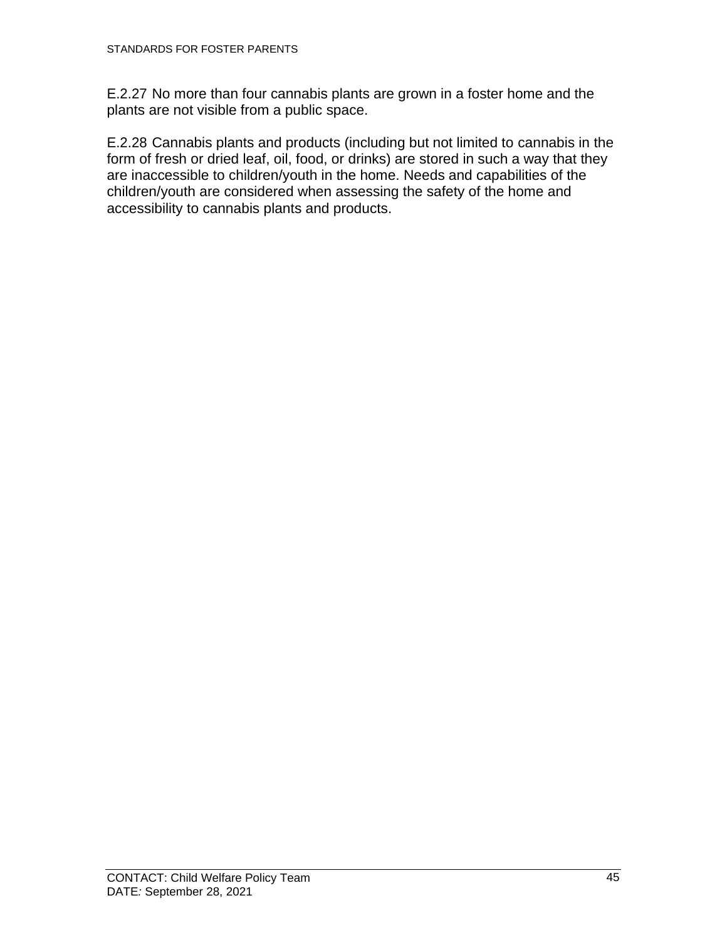E.2.27 No more than four cannabis plants are grown in a foster home and the plants are not visible from a public space.

E.2.28 Cannabis plants and products (including but not limited to cannabis in the form of fresh or dried leaf, oil, food, or drinks) are stored in such a way that they are inaccessible to children/youth in the home. Needs and capabilities of the children/youth are considered when assessing the safety of the home and accessibility to cannabis plants and products.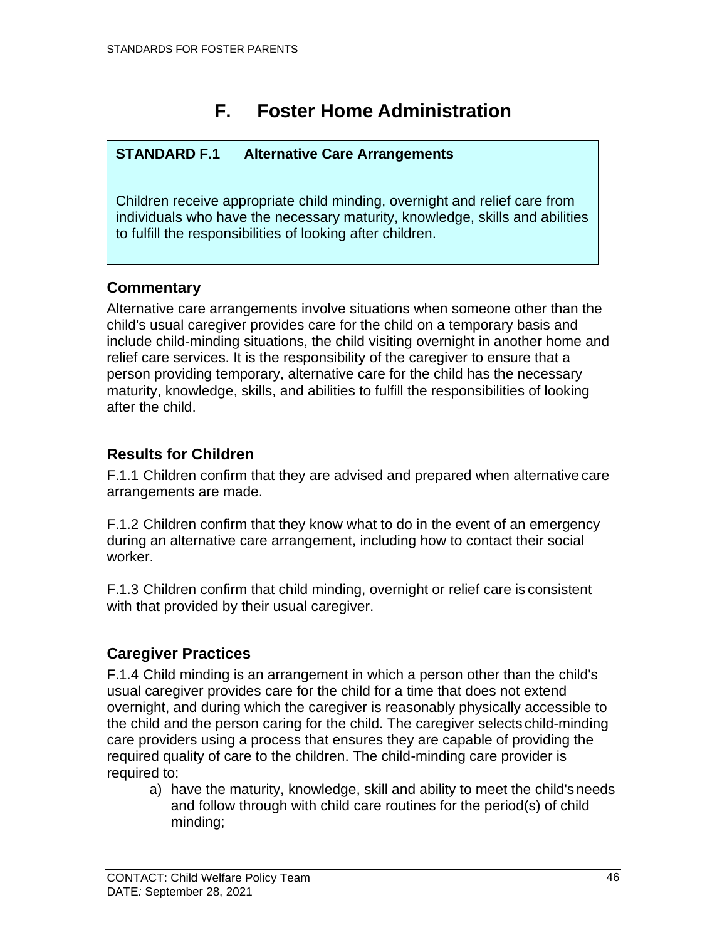# **F. Foster Home Administration**

### <span id="page-51-0"></span>**STANDARD F.1 Alternative Care Arrangements**

Children receive appropriate child minding, overnight and relief care from individuals who have the necessary maturity, knowledge, skills and abilities to fulfill the responsibilities of looking after children.

### <span id="page-51-1"></span>**Commentary**

Alternative care arrangements involve situations when someone other than the child's usual caregiver provides care for the child on a temporary basis and include child-minding situations, the child visiting overnight in another home and relief care services. It is the responsibility of the caregiver to ensure that a person providing temporary, alternative care for the child has the necessary maturity, knowledge, skills, and abilities to fulfill the responsibilities of looking after the child.

### <span id="page-51-2"></span>**Results for Children**

F.1.1 Children confirm that they are advised and prepared when alternative care arrangements are made.

F.1.2 Children confirm that they know what to do in the event of an emergency during an alternative care arrangement, including how to contact their social worker.

F.1.3 Children confirm that child minding, overnight or relief care is consistent with that provided by their usual caregiver.

### <span id="page-51-3"></span>**Caregiver Practices**

F.1.4 Child minding is an arrangement in which a person other than the child's usual caregiver provides care for the child for a time that does not extend overnight, and during which the caregiver is reasonably physically accessible to the child and the person caring for the child. The caregiver selects child-minding care providers using a process that ensures they are capable of providing the required quality of care to the children. The child-minding care provider is required to:

a) have the maturity, knowledge, skill and ability to meet the child's needs and follow through with child care routines for the period(s) of child minding;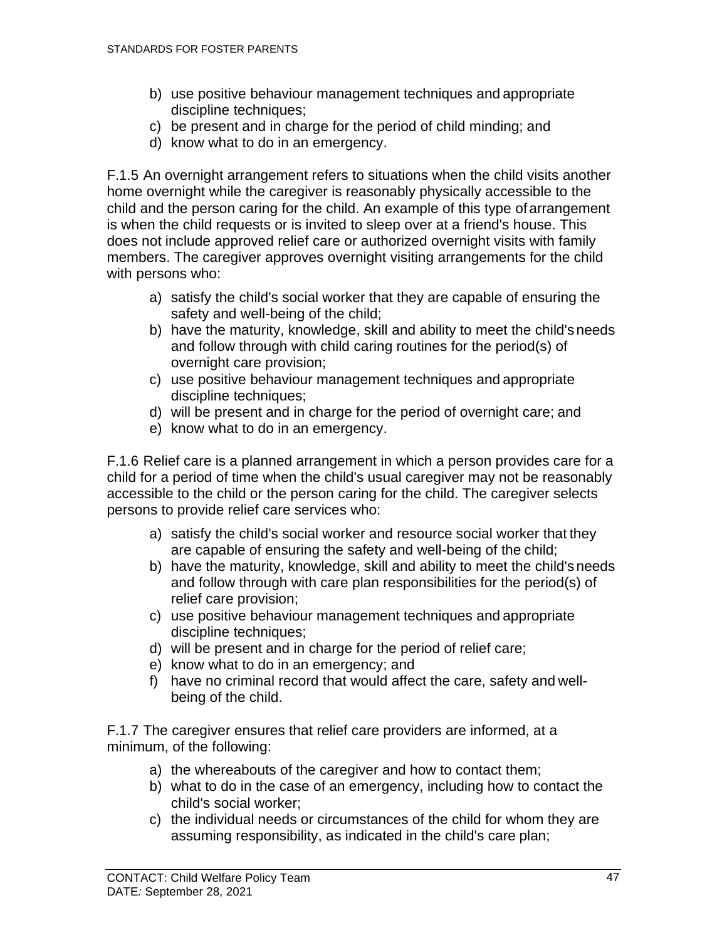- b) use positive behaviour management techniques and appropriate discipline techniques;
- c) be present and in charge for the period of child minding; and
- d) know what to do in an emergency.

F.1.5 An overnight arrangement refers to situations when the child visits another home overnight while the caregiver is reasonably physically accessible to the child and the person caring for the child. An example of this type ofarrangement is when the child requests or is invited to sleep over at a friend's house. This does not include approved relief care or authorized overnight visits with family members. The caregiver approves overnight visiting arrangements for the child with persons who:

- a) satisfy the child's social worker that they are capable of ensuring the safety and well-being of the child;
- b) have the maturity, knowledge, skill and ability to meet the child's needs and follow through with child caring routines for the period(s) of overnight care provision;
- c) use positive behaviour management techniques and appropriate discipline techniques;
- d) will be present and in charge for the period of overnight care; and
- e) know what to do in an emergency.

F.1.6 Relief care is a planned arrangement in which a person provides care for a child for a period of time when the child's usual caregiver may not be reasonably accessible to the child or the person caring for the child. The caregiver selects persons to provide relief care services who:

- a) satisfy the child's social worker and resource social worker that they are capable of ensuring the safety and well-being of the child;
- b) have the maturity, knowledge, skill and ability to meet the child's needs and follow through with care plan responsibilities for the period(s) of relief care provision;
- c) use positive behaviour management techniques and appropriate discipline techniques;
- d) will be present and in charge for the period of relief care;
- e) know what to do in an emergency; and
- f) have no criminal record that would affect the care, safety and wellbeing of the child.

F.1.7 The caregiver ensures that relief care providers are informed, at a minimum, of the following:

- a) the whereabouts of the caregiver and how to contact them;
- b) what to do in the case of an emergency, including how to contact the child's social worker;
- c) the individual needs or circumstances of the child for whom they are assuming responsibility, as indicated in the child's care plan;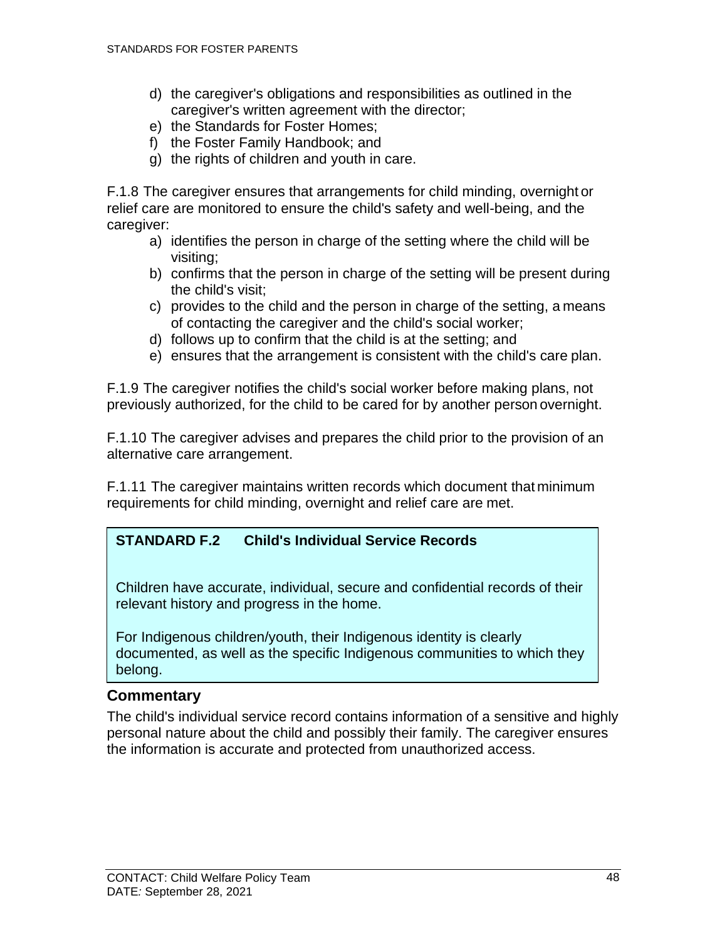- d) the caregiver's obligations and responsibilities as outlined in the caregiver's written agreement with the director;
- e) the Standards for Foster Homes;
- f) the Foster Family Handbook; and
- g) the rights of children and youth in care.

F.1.8 The caregiver ensures that arrangements for child minding, overnight or relief care are monitored to ensure the child's safety and well-being, and the caregiver:

- a) identifies the person in charge of the setting where the child will be visiting;
- b) confirms that the person in charge of the setting will be present during the child's visit;
- c) provides to the child and the person in charge of the setting, a means of contacting the caregiver and the child's social worker;
- d) follows up to confirm that the child is at the setting; and
- e) ensures that the arrangement is consistent with the child's care plan.

F.1.9 The caregiver notifies the child's social worker before making plans, not previously authorized, for the child to be cared for by another person overnight.

F.1.10 The caregiver advises and prepares the child prior to the provision of an alternative care arrangement.

F.1.11 The caregiver maintains written records which document that minimum requirements for child minding, overnight and relief care are met.

### **STANDARD F.2 Child's Individual Service Records**

Children have accurate, individual, secure and confidential records of their relevant history and progress in the home.

<span id="page-53-0"></span>For Indigenous children/youth, their Indigenous identity is clearly documented, as well as the specific Indigenous communities to which they belong.

#### **Commentary**

The child's individual service record contains information of a sensitive and highly personal nature about the child and possibly their family. The caregiver ensures the information is accurate and protected from unauthorized access.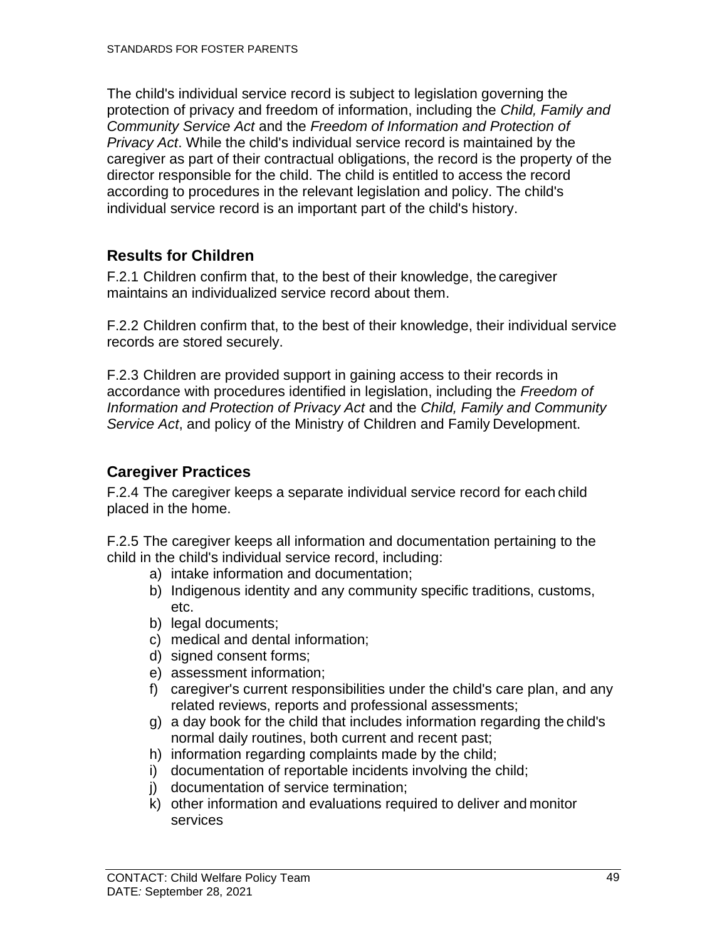The child's individual service record is subject to legislation governing the protection of privacy and freedom of information, including the *Child, Family and Community Service Act* and the *Freedom of Information and Protection of Privacy Act*. While the child's individual service record is maintained by the caregiver as part of their contractual obligations, the record is the property of the director responsible for the child. The child is entitled to access the record according to procedures in the relevant legislation and policy. The child's individual service record is an important part of the child's history.

### <span id="page-54-0"></span>**Results for Children**

F.2.1 Children confirm that, to the best of their knowledge, the caregiver maintains an individualized service record about them.

F.2.2 Children confirm that, to the best of their knowledge, their individual service records are stored securely.

F.2.3 Children are provided support in gaining access to their records in accordance with procedures identified in legislation, including the *Freedom of Information and Protection of Privacy Act* and the *Child, Family and Community Service Act*, and policy of the Ministry of Children and Family Development.

### <span id="page-54-1"></span>**Caregiver Practices**

F.2.4 The caregiver keeps a separate individual service record for each child placed in the home.

F.2.5 The caregiver keeps all information and documentation pertaining to the child in the child's individual service record, including:

- a) intake information and documentation;
- b) Indigenous identity and any community specific traditions, customs, etc.
- b) legal documents;
- c) medical and dental information;
- d) signed consent forms;
- e) assessment information;
- f) caregiver's current responsibilities under the child's care plan, and any related reviews, reports and professional assessments;
- g) a day book for the child that includes information regarding the child's normal daily routines, both current and recent past;
- h) information regarding complaints made by the child;
- i) documentation of reportable incidents involving the child;
- j) documentation of service termination;
- k) other information and evaluations required to deliver and monitor services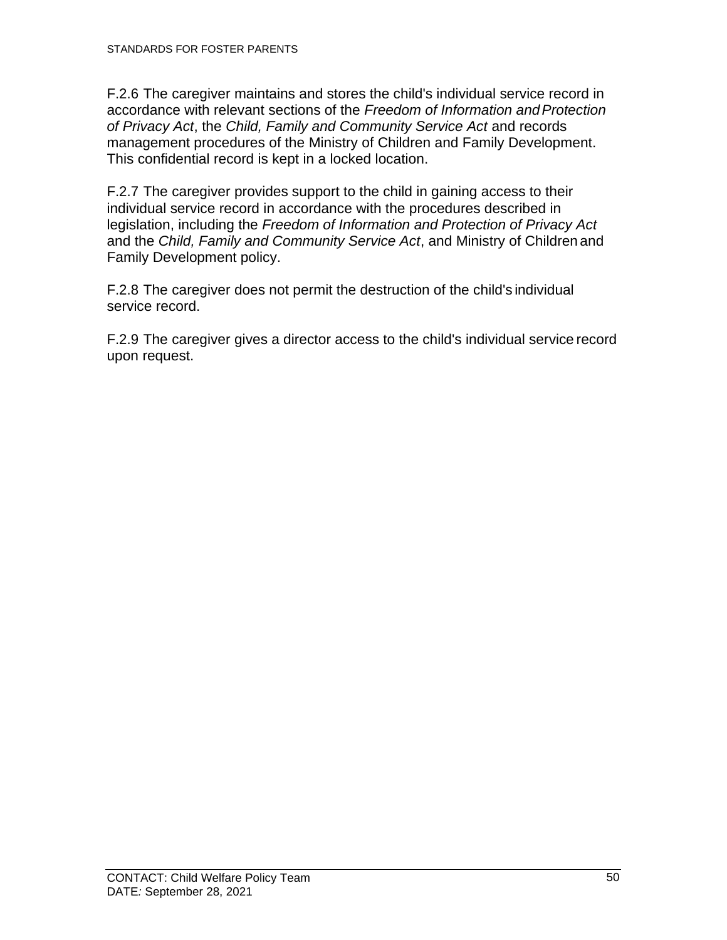F.2.6 The caregiver maintains and stores the child's individual service record in accordance with relevant sections of the *Freedom of Information andProtection of Privacy Act*, the *Child, Family and Community Service Act* and records management procedures of the Ministry of Children and Family Development. This confidential record is kept in a locked location.

F.2.7 The caregiver provides support to the child in gaining access to their individual service record in accordance with the procedures described in legislation, including the *Freedom of Information and Protection of Privacy Act*  and the *Child, Family and Community Service Act*, and Ministry of Children and Family Development policy.

F.2.8 The caregiver does not permit the destruction of the child's individual service record.

F.2.9 The caregiver gives a director access to the child's individual service record upon request.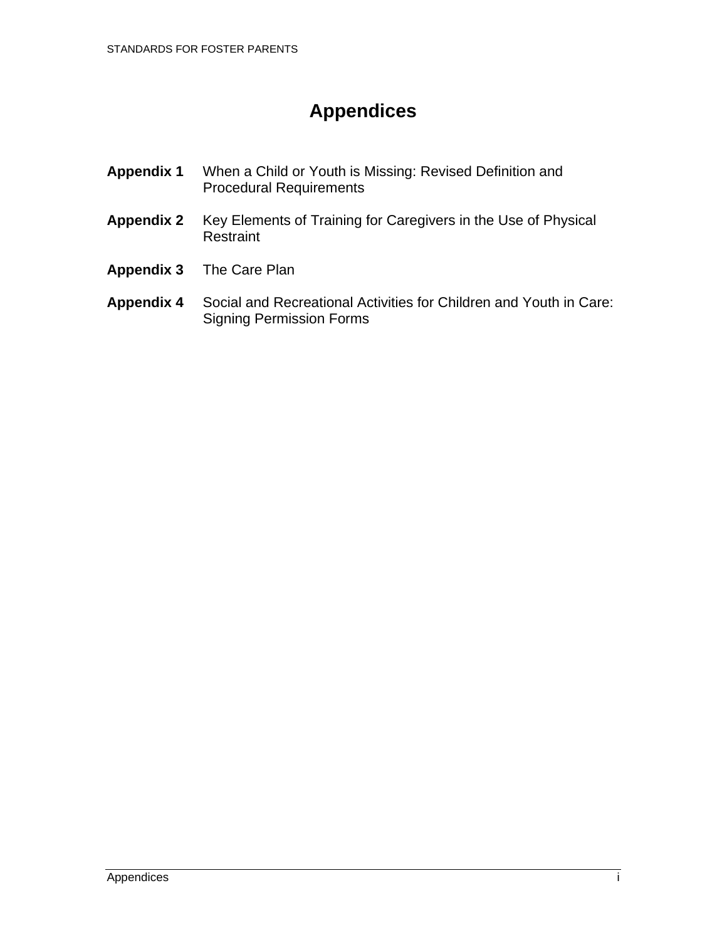# **Appendices**

- <span id="page-56-0"></span>**Appendix 1** When a Child or Youth is Missing: Revised Definition and Procedural Requirements
- **Appendix 2** Key Elements of Training for Caregivers in the Use of Physical Restraint
- **Appendix 3** The Care Plan

#### **Appendix 4** Social and Recreational Activities for Children and Youth in Care: Signing Permission Forms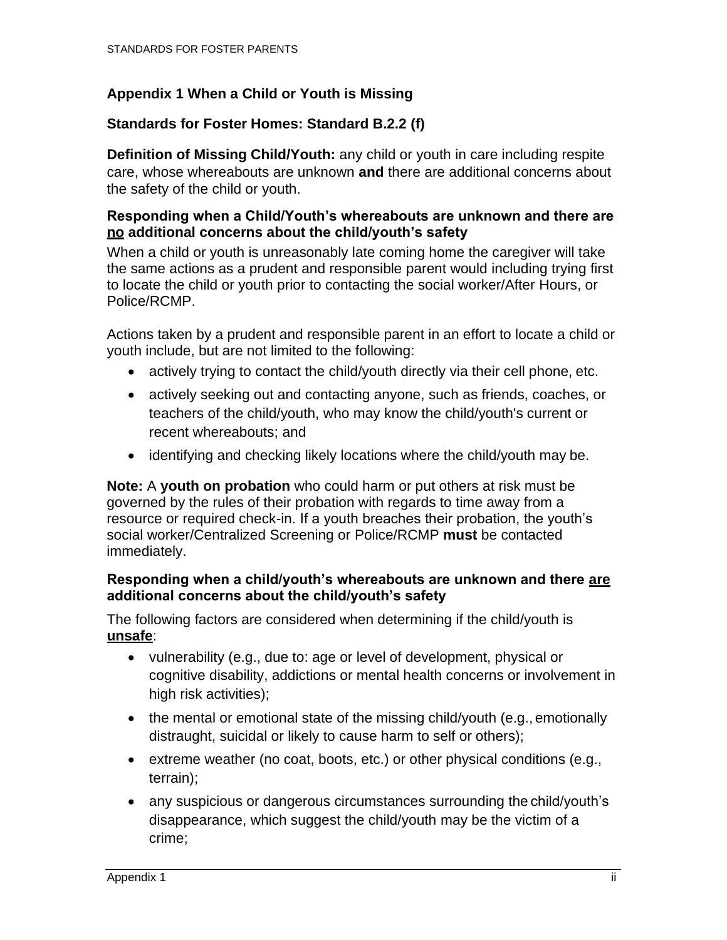### <span id="page-57-0"></span>**Appendix 1 When a Child or Youth is Missing**

#### **Standards for Foster Homes: Standard B.2.2 (f)**

**Definition of Missing Child/Youth:** any child or youth in care including respite care, whose whereabouts are unknown **and** there are additional concerns about the safety of the child or youth.

#### **Responding when a Child/Youth's whereabouts are unknown and there are no additional concerns about the child/youth's safety**

When a child or youth is unreasonably late coming home the caregiver will take the same actions as a prudent and responsible parent would including trying first to locate the child or youth prior to contacting the social worker/After Hours, or Police/RCMP.

Actions taken by a prudent and responsible parent in an effort to locate a child or youth include, but are not limited to the following:

- actively trying to contact the child/youth directly via their cell phone, etc.
- actively seeking out and contacting anyone, such as friends, coaches, or teachers of the child/youth, who may know the child/youth's current or recent whereabouts; and
- identifying and checking likely locations where the child/youth may be.

**Note:** A **youth on probation** who could harm or put others at risk must be governed by the rules of their probation with regards to time away from a resource or required check-in. If a youth breaches their probation, the youth's social worker/Centralized Screening or Police/RCMP **must** be contacted immediately.

#### **Responding when a child/youth's whereabouts are unknown and there are additional concerns about the child/youth's safety**

The following factors are considered when determining if the child/youth is **unsafe**:

- vulnerability (e.g., due to: age or level of development, physical or cognitive disability, addictions or mental health concerns or involvement in high risk activities);
- the mental or emotional state of the missing child/youth (e.g., emotionally distraught, suicidal or likely to cause harm to self or others);
- extreme weather (no coat, boots, etc.) or other physical conditions (e.g., terrain);
- any suspicious or dangerous circumstances surrounding the child/youth's disappearance, which suggest the child/youth may be the victim of a crime;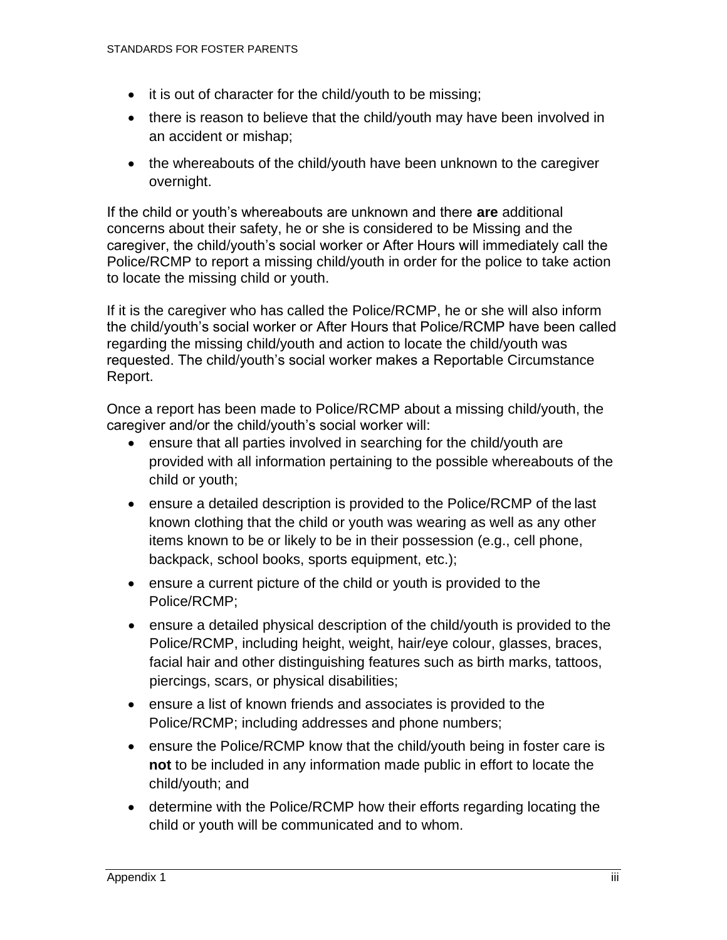- it is out of character for the child/youth to be missing;
- there is reason to believe that the child/youth may have been involved in an accident or mishap;
- the whereabouts of the child/youth have been unknown to the caregiver overnight.

If the child or youth's whereabouts are unknown and there **are** additional concerns about their safety, he or she is considered to be Missing and the caregiver, the child/youth's social worker or After Hours will immediately call the Police/RCMP to report a missing child/youth in order for the police to take action to locate the missing child or youth.

If it is the caregiver who has called the Police/RCMP, he or she will also inform the child/youth's social worker or After Hours that Police/RCMP have been called regarding the missing child/youth and action to locate the child/youth was requested. The child/youth's social worker makes a Reportable Circumstance Report.

Once a report has been made to Police/RCMP about a missing child/youth, the caregiver and/or the child/youth's social worker will:

- ensure that all parties involved in searching for the child/youth are provided with all information pertaining to the possible whereabouts of the child or youth;
- ensure a detailed description is provided to the Police/RCMP of the last known clothing that the child or youth was wearing as well as any other items known to be or likely to be in their possession (e.g., cell phone, backpack, school books, sports equipment, etc.);
- ensure a current picture of the child or youth is provided to the Police/RCMP;
- ensure a detailed physical description of the child/youth is provided to the Police/RCMP, including height, weight, hair/eye colour, glasses, braces, facial hair and other distinguishing features such as birth marks, tattoos, piercings, scars, or physical disabilities;
- ensure a list of known friends and associates is provided to the Police/RCMP; including addresses and phone numbers;
- ensure the Police/RCMP know that the child/youth being in foster care is **not** to be included in any information made public in effort to locate the child/youth; and
- determine with the Police/RCMP how their efforts regarding locating the child or youth will be communicated and to whom.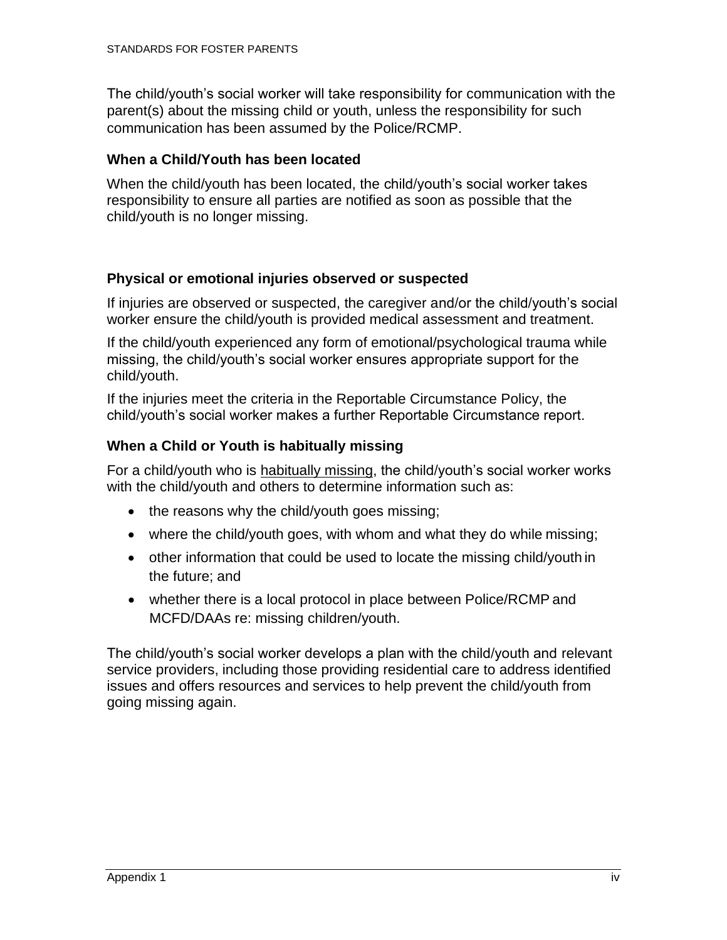The child/youth's social worker will take responsibility for communication with the parent(s) about the missing child or youth, unless the responsibility for such communication has been assumed by the Police/RCMP.

#### **When a Child/Youth has been located**

When the child/youth has been located, the child/youth's social worker takes responsibility to ensure all parties are notified as soon as possible that the child/youth is no longer missing.

### **Physical or emotional injuries observed or suspected**

If injuries are observed or suspected, the caregiver and/or the child/youth's social worker ensure the child/youth is provided medical assessment and treatment.

If the child/youth experienced any form of emotional/psychological trauma while missing, the child/youth's social worker ensures appropriate support for the child/youth.

If the injuries meet the criteria in the Reportable Circumstance Policy, the child/youth's social worker makes a further Reportable Circumstance report.

### **When a Child or Youth is habitually missing**

For a child/youth who is habitually missing, the child/youth's social worker works with the child/youth and others to determine information such as:

- the reasons why the child/youth goes missing;
- where the child/youth goes, with whom and what they do while missing;
- other information that could be used to locate the missing child/youth in the future; and
- whether there is a local protocol in place between Police/RCMP and MCFD/DAAs re: missing children/youth.

The child/youth's social worker develops a plan with the child/youth and relevant service providers, including those providing residential care to address identified issues and offers resources and services to help prevent the child/youth from going missing again.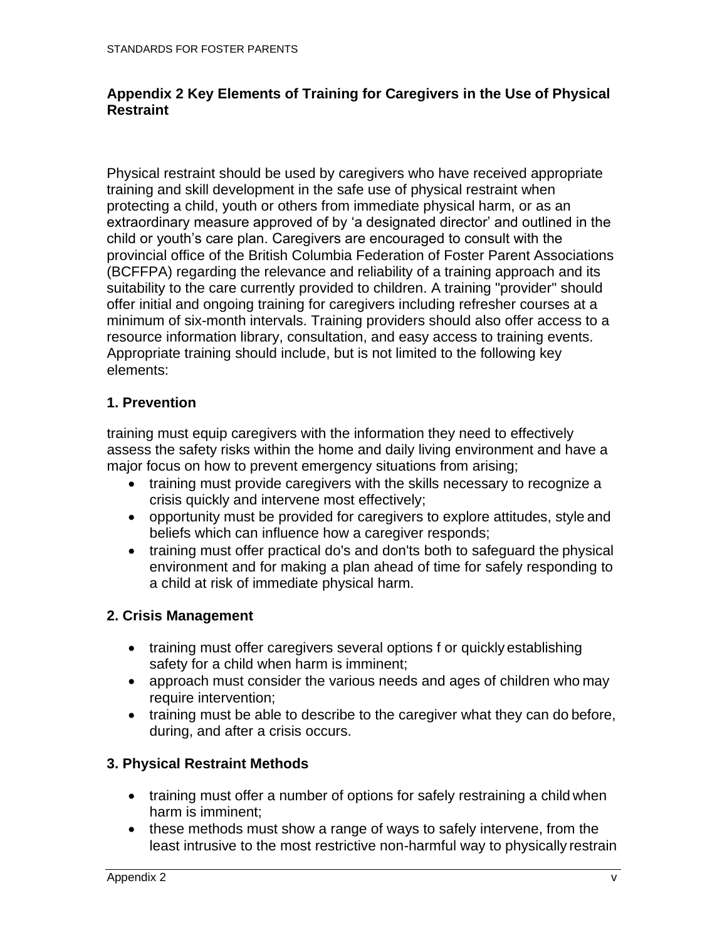#### <span id="page-60-0"></span>**Appendix 2 Key Elements of Training for Caregivers in the Use of Physical Restraint**

Physical restraint should be used by caregivers who have received appropriate training and skill development in the safe use of physical restraint when protecting a child, youth or others from immediate physical harm, or as an extraordinary measure approved of by 'a designated director' and outlined in the child or youth's care plan. Caregivers are encouraged to consult with the provincial office of the British Columbia Federation of Foster Parent Associations (BCFFPA) regarding the relevance and reliability of a training approach and its suitability to the care currently provided to children. A training "provider" should offer initial and ongoing training for caregivers including refresher courses at a minimum of six-month intervals. Training providers should also offer access to a resource information library, consultation, and easy access to training events. Appropriate training should include, but is not limited to the following key elements:

### <span id="page-60-1"></span>**1. Prevention**

training must equip caregivers with the information they need to effectively assess the safety risks within the home and daily living environment and have a major focus on how to prevent emergency situations from arising;

- training must provide caregivers with the skills necessary to recognize a crisis quickly and intervene most effectively;
- opportunity must be provided for caregivers to explore attitudes, style and beliefs which can influence how a caregiver responds;
- training must offer practical do's and don'ts both to safeguard the physical environment and for making a plan ahead of time for safely responding to a child at risk of immediate physical harm.

### <span id="page-60-2"></span>**2. Crisis Management**

- training must offer caregivers several options f or quickly establishing safety for a child when harm is imminent;
- approach must consider the various needs and ages of children who may require intervention;
- training must be able to describe to the caregiver what they can do before, during, and after a crisis occurs.

#### <span id="page-60-3"></span>**3. Physical Restraint Methods**

- training must offer a number of options for safely restraining a child when harm is imminent;
- these methods must show a range of ways to safely intervene, from the least intrusive to the most restrictive non-harmful way to physically restrain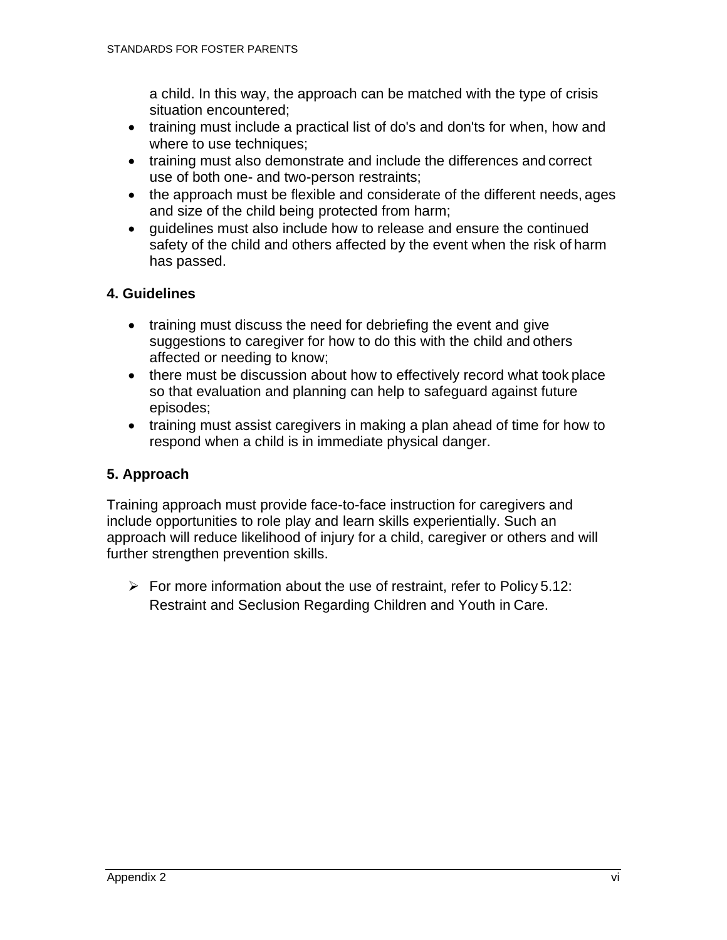a child. In this way, the approach can be matched with the type of crisis situation encountered;

- training must include a practical list of do's and don'ts for when, how and where to use techniques;
- training must also demonstrate and include the differences and correct use of both one- and two-person restraints;
- the approach must be flexible and considerate of the different needs, ages and size of the child being protected from harm;
- guidelines must also include how to release and ensure the continued safety of the child and others affected by the event when the risk of harm has passed.

### <span id="page-61-0"></span>**4. Guidelines**

- training must discuss the need for debriefing the event and give suggestions to caregiver for how to do this with the child and others affected or needing to know;
- there must be discussion about how to effectively record what took place so that evaluation and planning can help to safeguard against future episodes;
- training must assist caregivers in making a plan ahead of time for how to respond when a child is in immediate physical danger.

### <span id="page-61-1"></span>**5. Approach**

Training approach must provide face-to-face instruction for caregivers and include opportunities to role play and learn skills experientially. Such an approach will reduce likelihood of injury for a child, caregiver or others and will further strengthen prevention skills.

 $\triangleright$  For more information about the use of restraint, refer to Policy 5.12: Restraint and Seclusion Regarding Children and Youth in Care.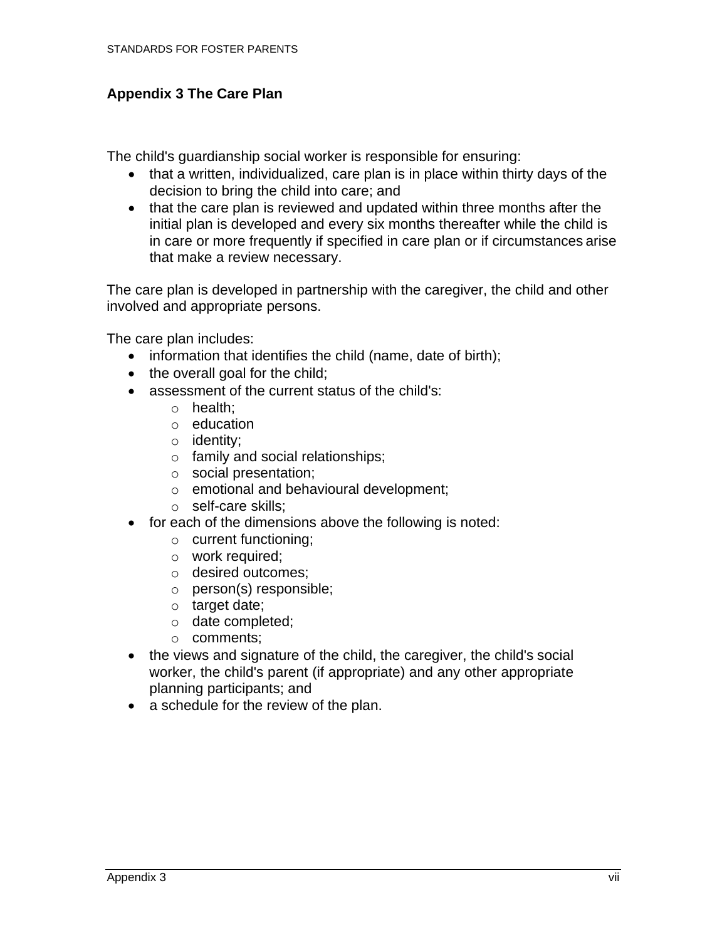### <span id="page-62-0"></span>**Appendix 3 The Care Plan**

The child's guardianship social worker is responsible for ensuring:

- that a written, individualized, care plan is in place within thirty days of the decision to bring the child into care; and
- that the care plan is reviewed and updated within three months after the initial plan is developed and every six months thereafter while the child is in care or more frequently if specified in care plan or if circumstances arise that make a review necessary.

The care plan is developed in partnership with the caregiver, the child and other involved and appropriate persons.

The care plan includes:

- information that identifies the child (name, date of birth);
- the overall goal for the child;
- assessment of the current status of the child's:
	- o health;
	- o education
	- o identity;
	- o family and social relationships;
	- o social presentation;
	- o emotional and behavioural development;
	- o self-care skills;
- for each of the dimensions above the following is noted:
	- o current functioning;
	- o work required;
	- o desired outcomes;
	- o person(s) responsible;
	- o target date;
	- o date completed;
	- o comments;
- the views and signature of the child, the caregiver, the child's social worker, the child's parent (if appropriate) and any other appropriate planning participants; and
- a schedule for the review of the plan.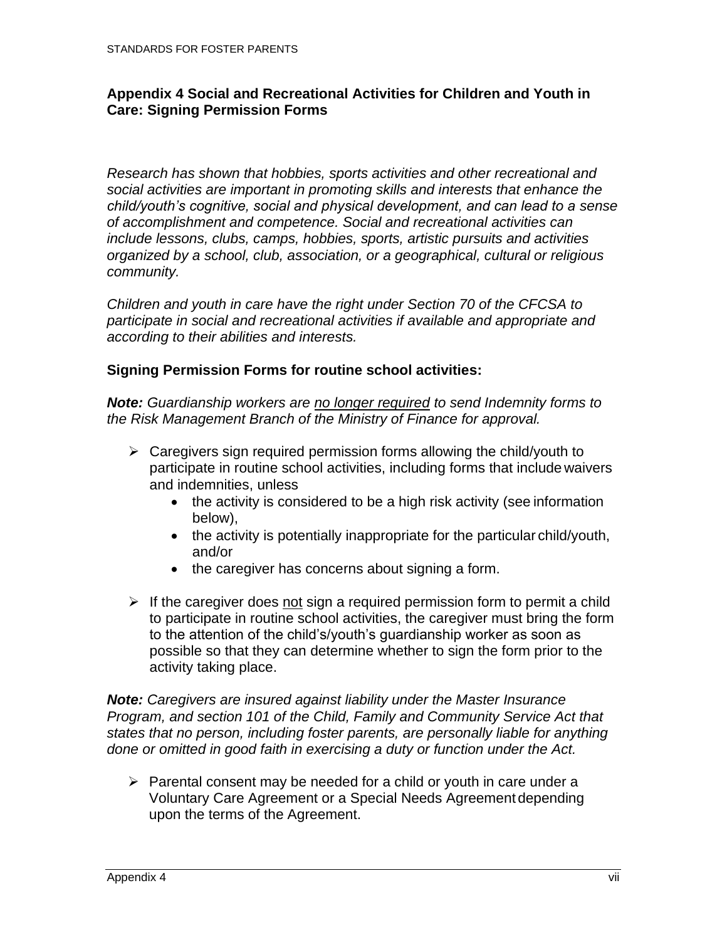#### <span id="page-63-0"></span>**Appendix 4 Social and Recreational Activities for Children and Youth in Care: Signing Permission Forms**

*Research has shown that hobbies, sports activities and other recreational and social activities are important in promoting skills and interests that enhance the child/youth's cognitive, social and physical development, and can lead to a sense of accomplishment and competence. Social and recreational activities can include lessons, clubs, camps, hobbies, sports, artistic pursuits and activities organized by a school, club, association, or a geographical, cultural or religious community.*

*Children and youth in care have the right under Section 70 of the CFCSA to participate in social and recreational activities if available and appropriate and according to their abilities and interests.*

#### **Signing Permission Forms for routine school activities:**

*Note: Guardianship workers are no longer required to send Indemnity forms to the Risk Management Branch of the Ministry of Finance for approval.*

- $\triangleright$  Caregivers sign required permission forms allowing the child/youth to participate in routine school activities, including forms that include waivers and indemnities, unless
	- the activity is considered to be a high risk activity (see information below),
	- the activity is potentially inappropriate for the particular child/youth, and/or
	- the caregiver has concerns about signing a form.
- $\triangleright$  If the caregiver does not sign a required permission form to permit a child to participate in routine school activities, the caregiver must bring the form to the attention of the child's/youth's guardianship worker as soon as possible so that they can determine whether to sign the form prior to the activity taking place.

*Note: Caregivers are insured against liability under the Master Insurance Program, and section 101 of the Child, Family and Community Service Act that states that no person, including foster parents, are personally liable for anything done or omitted in good faith in exercising a duty or function under the Act.*

 $\triangleright$  Parental consent may be needed for a child or youth in care under a Voluntary Care Agreement or a Special Needs Agreement depending upon the terms of the Agreement.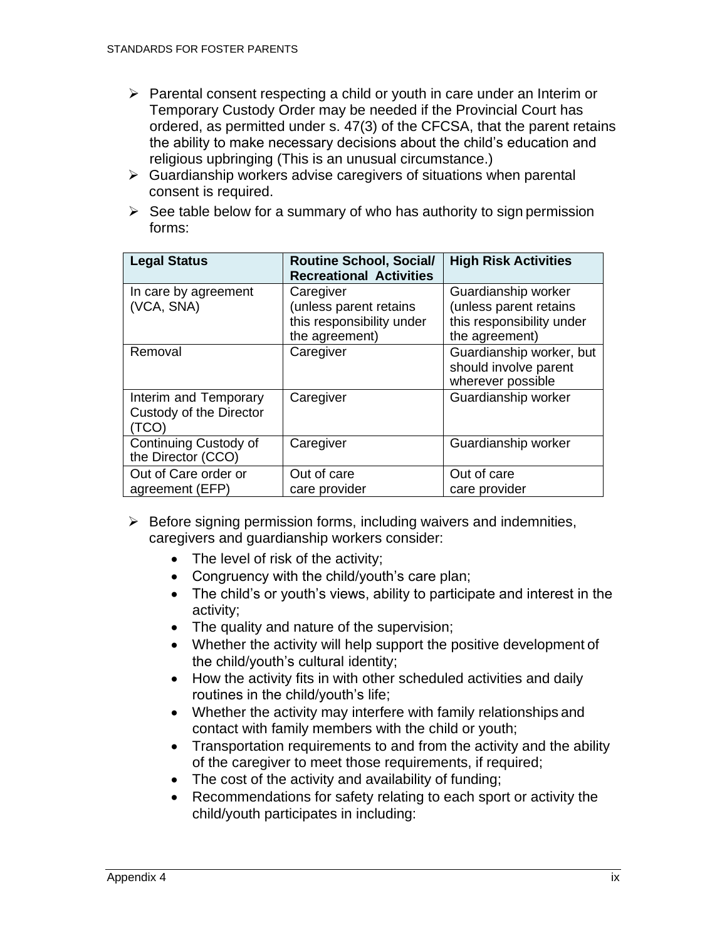- ➢ Parental consent respecting a child or youth in care under an Interim or Temporary Custody Order may be needed if the Provincial Court has ordered, as permitted under s. 47(3) of the CFCSA, that the parent retains the ability to make necessary decisions about the child's education and religious upbringing (This is an unusual circumstance.)
- $\triangleright$  Guardianship workers advise caregivers of situations when parental consent is required.
- $\triangleright$  See table below for a summary of who has authority to sign permission forms:

| <b>Legal Status</b>                                       | <b>Routine School, Social/</b><br><b>Recreational Activities</b>                   | <b>High Risk Activities</b>                                                                  |
|-----------------------------------------------------------|------------------------------------------------------------------------------------|----------------------------------------------------------------------------------------------|
| In care by agreement<br>(VCA, SNA)                        | Caregiver<br>(unless parent retains<br>this responsibility under<br>the agreement) | Guardianship worker<br>(unless parent retains<br>this responsibility under<br>the agreement) |
| Removal                                                   | Caregiver                                                                          | Guardianship worker, but<br>should involve parent<br>wherever possible                       |
| Interim and Temporary<br>Custody of the Director<br>(TCO) | Caregiver                                                                          | Guardianship worker                                                                          |
| Continuing Custody of<br>the Director (CCO)               | Caregiver                                                                          | Guardianship worker                                                                          |
| Out of Care order or<br>agreement (EFP)                   | Out of care<br>care provider                                                       | Out of care<br>care provider                                                                 |

- $\triangleright$  Before signing permission forms, including waivers and indemnities, caregivers and guardianship workers consider:
	- The level of risk of the activity;
	- Congruency with the child/youth's care plan;
	- The child's or youth's views, ability to participate and interest in the activity;
	- The quality and nature of the supervision;
	- Whether the activity will help support the positive development of the child/youth's cultural identity;
	- How the activity fits in with other scheduled activities and daily routines in the child/youth's life;
	- Whether the activity may interfere with family relationships and contact with family members with the child or youth;
	- Transportation requirements to and from the activity and the ability of the caregiver to meet those requirements, if required;
	- The cost of the activity and availability of funding;
	- Recommendations for safety relating to each sport or activity the child/youth participates in including: